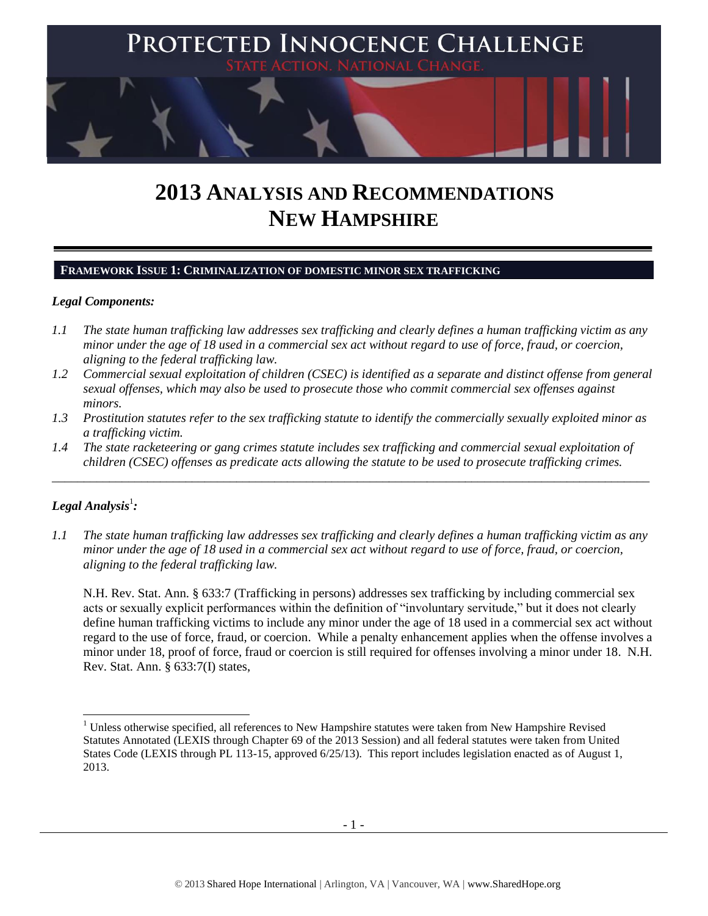

# **2013 ANALYSIS AND RECOMMENDATIONS NEW HAMPSHIRE**

## **FRAMEWORK ISSUE 1: CRIMINALIZATION OF DOMESTIC MINOR SEX TRAFFICKING**

#### *Legal Components:*

- *1.1 The state human trafficking law addresses sex trafficking and clearly defines a human trafficking victim as any minor under the age of 18 used in a commercial sex act without regard to use of force, fraud, or coercion, aligning to the federal trafficking law.*
- *1.2 Commercial sexual exploitation of children (CSEC) is identified as a separate and distinct offense from general sexual offenses, which may also be used to prosecute those who commit commercial sex offenses against minors.*
- *1.3 Prostitution statutes refer to the sex trafficking statute to identify the commercially sexually exploited minor as a trafficking victim.*
- *1.4 The state racketeering or gang crimes statute includes sex trafficking and commercial sexual exploitation of children (CSEC) offenses as predicate acts allowing the statute to be used to prosecute trafficking crimes.*

\_\_\_\_\_\_\_\_\_\_\_\_\_\_\_\_\_\_\_\_\_\_\_\_\_\_\_\_\_\_\_\_\_\_\_\_\_\_\_\_\_\_\_\_\_\_\_\_\_\_\_\_\_\_\_\_\_\_\_\_\_\_\_\_\_\_\_\_\_\_\_\_\_\_\_\_\_\_\_\_\_\_\_\_\_\_\_\_\_\_\_\_\_\_

## $\bm{L}$ egal Analysis $^1$ :

 $\overline{a}$ 

*1.1 The state human trafficking law addresses sex trafficking and clearly defines a human trafficking victim as any minor under the age of 18 used in a commercial sex act without regard to use of force, fraud, or coercion, aligning to the federal trafficking law.*

N.H. Rev. Stat. Ann. § 633:7 (Trafficking in persons) addresses sex trafficking by including commercial sex acts or sexually explicit performances within the definition of "involuntary servitude," but it does not clearly define human trafficking victims to include any minor under the age of 18 used in a commercial sex act without regard to the use of force, fraud, or coercion. While a penalty enhancement applies when the offense involves a minor under 18, proof of force, fraud or coercion is still required for offenses involving a minor under 18. N.H. Rev. Stat. Ann. § 633:7(I) states,

<sup>&</sup>lt;sup>1</sup> Unless otherwise specified, all references to New Hampshire statutes were taken from New Hampshire Revised Statutes Annotated (LEXIS through Chapter 69 of the 2013 Session) and all federal statutes were taken from United States Code (LEXIS through PL 113-15, approved 6/25/13). This report includes legislation enacted as of August 1, 2013.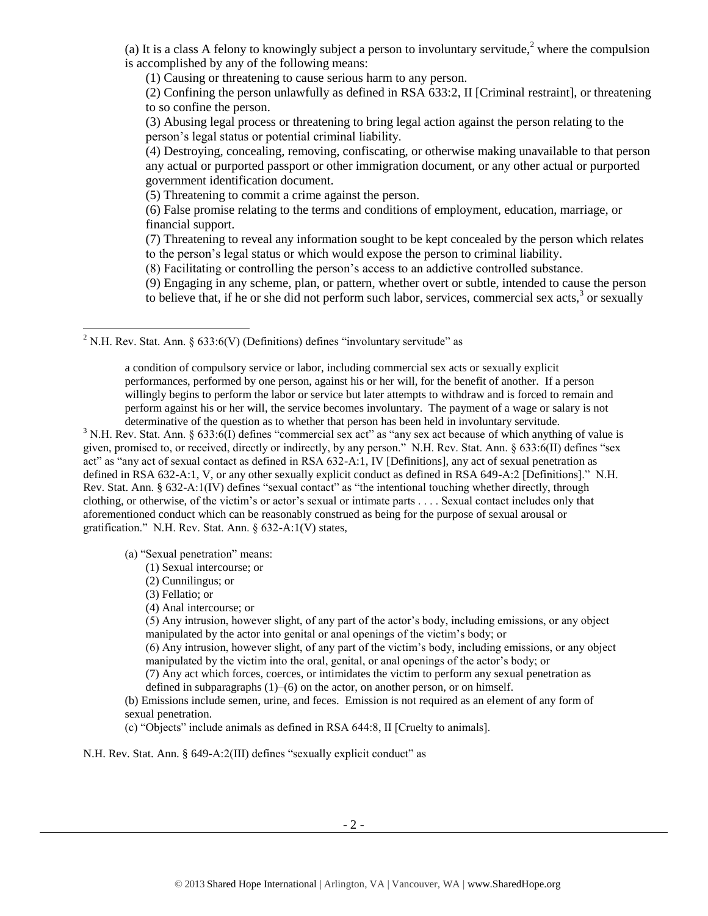(a) It is a class A felony to knowingly subject a person to involuntary servitude,  $\alpha$  where the compulsion is accomplished by any of the following means:

(1) Causing or threatening to cause serious harm to any person.

(2) Confining the person unlawfully as defined in RSA 633:2, II [Criminal restraint], or threatening to so confine the person.

(3) Abusing legal process or threatening to bring legal action against the person relating to the person's legal status or potential criminal liability.

(4) Destroying, concealing, removing, confiscating, or otherwise making unavailable to that person any actual or purported passport or other immigration document, or any other actual or purported government identification document.

(5) Threatening to commit a crime against the person.

(6) False promise relating to the terms and conditions of employment, education, marriage, or financial support.

(7) Threatening to reveal any information sought to be kept concealed by the person which relates to the person's legal status or which would expose the person to criminal liability.

(8) Facilitating or controlling the person's access to an addictive controlled substance.

<span id="page-1-0"></span>(9) Engaging in any scheme, plan, or pattern, whether overt or subtle, intended to cause the person to believe that, if he or she did not perform such labor, services, commercial sex acts, $3$  or sexually

<sup>2</sup> N.H. Rev. Stat. Ann. § 633:6(V) (Definitions) defines "involuntary servitude" as

a condition of compulsory service or labor, including commercial sex acts or sexually explicit performances, performed by one person, against his or her will, for the benefit of another. If a person willingly begins to perform the labor or service but later attempts to withdraw and is forced to remain and perform against his or her will, the service becomes involuntary. The payment of a wage or salary is not determinative of the question as to whether that person has been held in involuntary servitude.

<sup>3</sup> N.H. Rev. Stat. Ann.  $\S 633:6(I)$  defines "commercial sex act" as "any sex act because of which anything of value is given, promised to, or received, directly or indirectly, by any person." N.H. Rev. Stat. Ann. § 633:6(II) defines "sex act" as "any act of sexual contact as defined in RSA 632-A:1, IV [Definitions], any act of sexual penetration as defined in RSA 632-A:1, V, or any other sexually explicit conduct as defined in RSA 649-A:2 [Definitions]." N.H. Rev. Stat. Ann. § 632-A:1(IV) defines "sexual contact" as "the intentional touching whether directly, through clothing, or otherwise, of the victim's or actor's sexual or intimate parts . . . . Sexual contact includes only that aforementioned conduct which can be reasonably construed as being for the purpose of sexual arousal or gratification." N.H. Rev. Stat. Ann. § 632-A:1(V) states,

(a) "Sexual penetration" means:

- (1) Sexual intercourse; or
- (2) Cunnilingus; or
- (3) Fellatio; or

l

(4) Anal intercourse; or

(5) Any intrusion, however slight, of any part of the actor's body, including emissions, or any object manipulated by the actor into genital or anal openings of the victim's body; or

(6) Any intrusion, however slight, of any part of the victim's body, including emissions, or any object manipulated by the victim into the oral, genital, or anal openings of the actor's body; or

(7) Any act which forces, coerces, or intimidates the victim to perform any sexual penetration as defined in subparagraphs  $(1)$ – $(6)$  on the actor, on another person, or on himself.

(b) Emissions include semen, urine, and feces. Emission is not required as an element of any form of sexual penetration.

(c) "Objects" include animals as defined in RSA 644:8, II [Cruelty to animals].

N.H. Rev. Stat. Ann. § 649-A:2(III) defines "sexually explicit conduct" as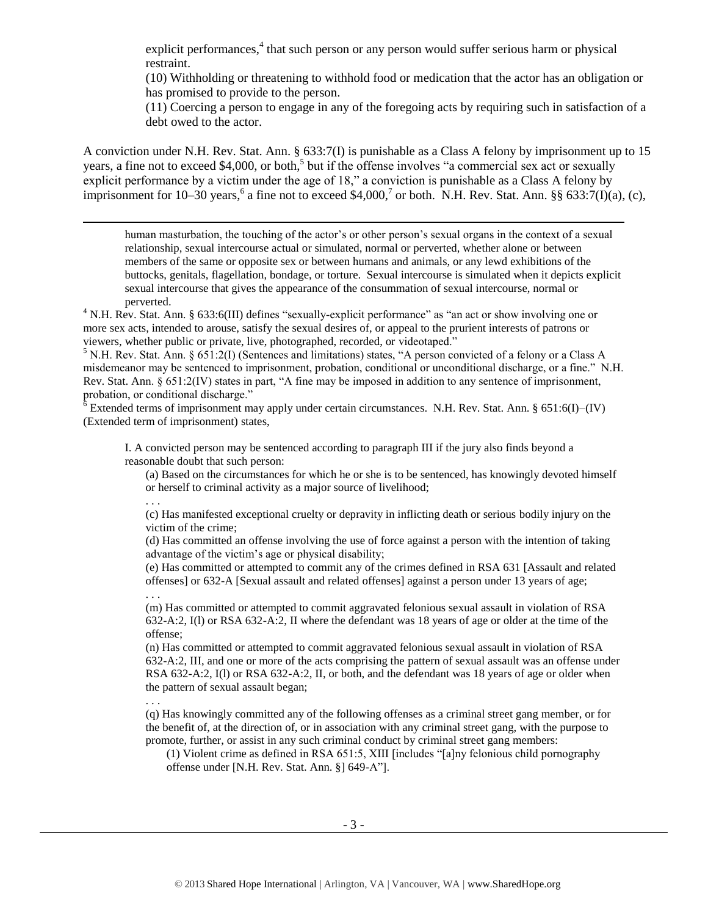explicit performances,<sup>4</sup> that such person or any person would suffer serious harm or physical restraint.

(10) Withholding or threatening to withhold food or medication that the actor has an obligation or has promised to provide to the person.

<span id="page-2-2"></span>(11) Coercing a person to engage in any of the foregoing acts by requiring such in satisfaction of a debt owed to the actor.

A conviction under N.H. Rev. Stat. Ann. § 633:7(I) is punishable as a Class A felony by imprisonment up to 15 years, a fine not to exceed \$4,000, or both,<sup>5</sup> but if the offense involves "a commercial sex act or sexually explicit performance by a victim under the age of 18," a conviction is punishable as a Class A felony by imprisonment for 10–30 years,<sup>6</sup> a fine not to exceed \$4,000,<sup>7</sup> or both. N.H. Rev. Stat. Ann. §§ 633:7(I)(a), (c),

<span id="page-2-1"></span><span id="page-2-0"></span>human masturbation, the touching of the actor's or other person's sexual organs in the context of a sexual relationship, sexual intercourse actual or simulated, normal or perverted, whether alone or between members of the same or opposite sex or between humans and animals, or any lewd exhibitions of the buttocks, genitals, flagellation, bondage, or torture. Sexual intercourse is simulated when it depicts explicit sexual intercourse that gives the appearance of the consummation of sexual intercourse, normal or perverted.

<sup>4</sup> N.H. Rev. Stat. Ann. § 633:6(III) defines "sexually-explicit performance" as "an act or show involving one or more sex acts, intended to arouse, satisfy the sexual desires of, or appeal to the prurient interests of patrons or viewers, whether public or private, live, photographed, recorded, or videotaped."

<sup>5</sup> N.H. Rev. Stat. Ann. § 651:2(I) (Sentences and limitations) states, "A person convicted of a felony or a Class A misdemeanor may be sentenced to imprisonment, probation, conditional or unconditional discharge, or a fine." N.H. Rev. Stat. Ann. § 651:2(IV) states in part, "A fine may be imposed in addition to any sentence of imprisonment, probation, or conditional discharge."

 $6$  Extended terms of imprisonment may apply under certain circumstances. N.H. Rev. Stat. Ann. § 651:6(I)–(IV) (Extended term of imprisonment) states,

I. A convicted person may be sentenced according to paragraph III if the jury also finds beyond a reasonable doubt that such person:

(a) Based on the circumstances for which he or she is to be sentenced, has knowingly devoted himself or herself to criminal activity as a major source of livelihood;

. . .

l

(c) Has manifested exceptional cruelty or depravity in inflicting death or serious bodily injury on the victim of the crime;

(d) Has committed an offense involving the use of force against a person with the intention of taking advantage of the victim's age or physical disability;

(e) Has committed or attempted to commit any of the crimes defined in RSA 631 [Assault and related offenses] or 632-A [Sexual assault and related offenses] against a person under 13 years of age; . . .

(m) Has committed or attempted to commit aggravated felonious sexual assault in violation of RSA 632-A:2, I(l) or RSA 632-A:2, II where the defendant was 18 years of age or older at the time of the offense;

(n) Has committed or attempted to commit aggravated felonious sexual assault in violation of RSA 632-A:2, III, and one or more of the acts comprising the pattern of sexual assault was an offense under RSA 632-A:2, I(l) or RSA 632-A:2, II, or both, and the defendant was 18 years of age or older when the pattern of sexual assault began;

. . . (q) Has knowingly committed any of the following offenses as a criminal street gang member, or for the benefit of, at the direction of, or in association with any criminal street gang, with the purpose to promote, further, or assist in any such criminal conduct by criminal street gang members:

(1) Violent crime as defined in RSA 651:5, XIII [includes "[a]ny felonious child pornography offense under [N.H. Rev. Stat. Ann. §] 649-A"].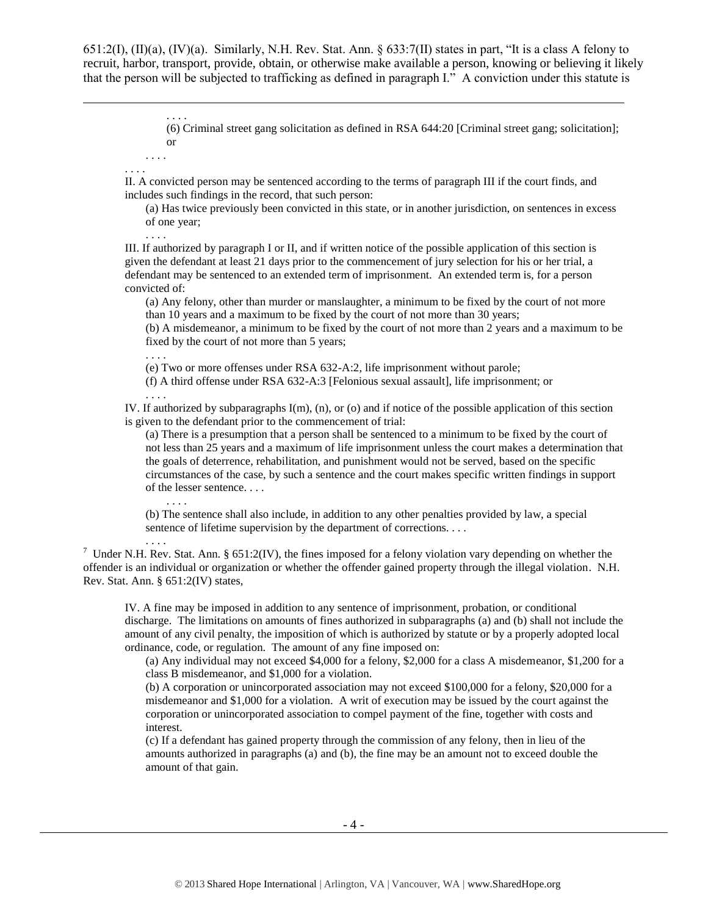651:2(I), (II)(a), (IV)(a). Similarly, N.H. Rev. Stat. Ann. § 633:7(II) states in part, "It is a class A felony to recruit, harbor, transport, provide, obtain, or otherwise make available a person, knowing or believing it likely that the person will be subjected to trafficking as defined in paragraph I." A conviction under this statute is

> (6) Criminal street gang solicitation as defined in RSA 644:20 [Criminal street gang; solicitation]; or

. . . . . . . .

. . . .

l

II. A convicted person may be sentenced according to the terms of paragraph III if the court finds, and includes such findings in the record, that such person:

(a) Has twice previously been convicted in this state, or in another jurisdiction, on sentences in excess of one year;

III. If authorized by paragraph I or II, and if written notice of the possible application of this section is given the defendant at least 21 days prior to the commencement of jury selection for his or her trial, a defendant may be sentenced to an extended term of imprisonment. An extended term is, for a person convicted of:

(a) Any felony, other than murder or manslaughter, a minimum to be fixed by the court of not more than 10 years and a maximum to be fixed by the court of not more than 30 years;

(b) A misdemeanor, a minimum to be fixed by the court of not more than 2 years and a maximum to be fixed by the court of not more than 5 years;

. . . .

. . . .

(e) Two or more offenses under RSA 632-A:2, life imprisonment without parole;

(f) A third offense under RSA 632-A:3 [Felonious sexual assault], life imprisonment; or

. . . .

IV. If authorized by subparagraphs I(m), (n), or (o) and if notice of the possible application of this section is given to the defendant prior to the commencement of trial:

(a) There is a presumption that a person shall be sentenced to a minimum to be fixed by the court of not less than 25 years and a maximum of life imprisonment unless the court makes a determination that the goals of deterrence, rehabilitation, and punishment would not be served, based on the specific circumstances of the case, by such a sentence and the court makes specific written findings in support of the lesser sentence. . . .

(b) The sentence shall also include, in addition to any other penalties provided by law, a special sentence of lifetime supervision by the department of corrections. . . .

. . . .

. . . .

<sup>7</sup> Under N.H. Rev. Stat. Ann. § 651:2(IV), the fines imposed for a felony violation vary depending on whether the offender is an individual or organization or whether the offender gained property through the illegal violation. N.H. Rev. Stat. Ann. § 651:2(IV) states,

IV. A fine may be imposed in addition to any sentence of imprisonment, probation, or conditional discharge. The limitations on amounts of fines authorized in subparagraphs (a) and (b) shall not include the amount of any civil penalty, the imposition of which is authorized by statute or by a properly adopted local ordinance, code, or regulation. The amount of any fine imposed on:

(a) Any individual may not exceed \$4,000 for a felony, \$2,000 for a class A misdemeanor, \$1,200 for a class B misdemeanor, and \$1,000 for a violation.

(b) A corporation or unincorporated association may not exceed \$100,000 for a felony, \$20,000 for a misdemeanor and \$1,000 for a violation. A writ of execution may be issued by the court against the corporation or unincorporated association to compel payment of the fine, together with costs and interest.

(c) If a defendant has gained property through the commission of any felony, then in lieu of the amounts authorized in paragraphs (a) and (b), the fine may be an amount not to exceed double the amount of that gain.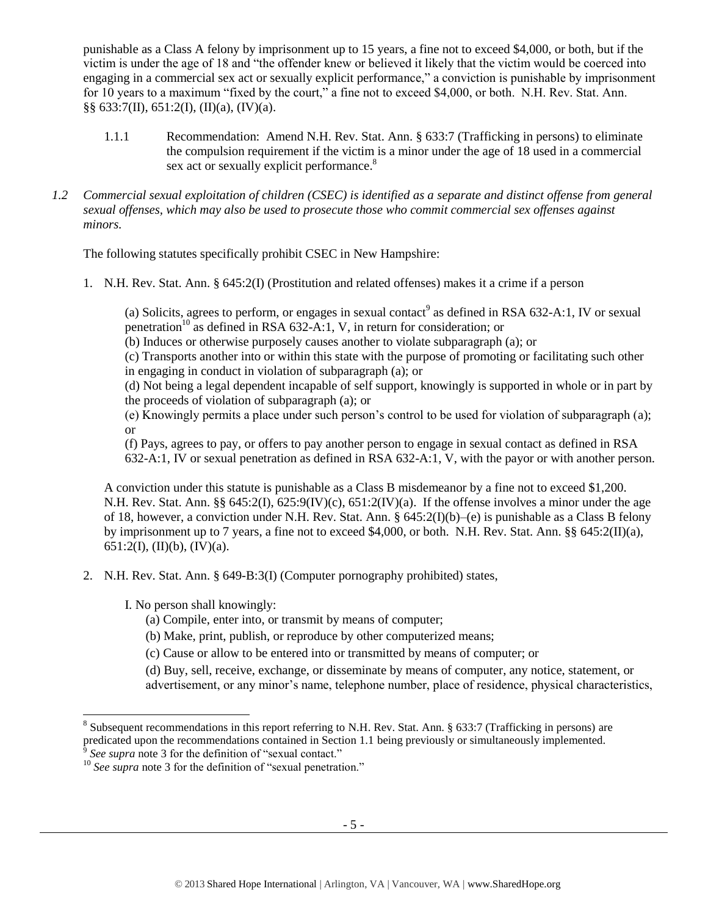punishable as a Class A felony by imprisonment up to 15 years, a fine not to exceed \$4,000, or both, but if the victim is under the age of 18 and "the offender knew or believed it likely that the victim would be coerced into engaging in a commercial sex act or sexually explicit performance," a conviction is punishable by imprisonment for 10 years to a maximum "fixed by the court," a fine not to exceed \$4,000, or both. N.H. Rev. Stat. Ann. §§ 633:7(II), 651:2(I), (II)(a), (IV)(a).

- 1.1.1 Recommendation: Amend N.H. Rev. Stat. Ann. § 633:7 (Trafficking in persons) to eliminate the compulsion requirement if the victim is a minor under the age of 18 used in a commercial sex act or sexually explicit performance.<sup>8</sup>
- *1.2 Commercial sexual exploitation of children (CSEC) is identified as a separate and distinct offense from general sexual offenses, which may also be used to prosecute those who commit commercial sex offenses against minors.*

The following statutes specifically prohibit CSEC in New Hampshire:

1. N.H. Rev. Stat. Ann. § 645:2(I) (Prostitution and related offenses) makes it a crime if a person

(a) Solicits, agrees to perform, or engages in sexual contact<sup>9</sup> as defined in RSA 632-A:1, IV or sexual penetration<sup>10</sup> as defined in RSA 632-A:1, V, in return for consideration; or

(b) Induces or otherwise purposely causes another to violate subparagraph (a); or

(c) Transports another into or within this state with the purpose of promoting or facilitating such other in engaging in conduct in violation of subparagraph (a); or

(d) Not being a legal dependent incapable of self support, knowingly is supported in whole or in part by the proceeds of violation of subparagraph (a); or

(e) Knowingly permits a place under such person's control to be used for violation of subparagraph (a); or

(f) Pays, agrees to pay, or offers to pay another person to engage in sexual contact as defined in RSA 632-A:1, IV or sexual penetration as defined in RSA 632-A:1, V, with the payor or with another person.

A conviction under this statute is punishable as a Class B misdemeanor by a fine not to exceed \$1,200. N.H. Rev. Stat. Ann. §§ 645:2(I), 625:9(IV)(c), 651:2(IV)(a). If the offense involves a minor under the age of 18, however, a conviction under N.H. Rev. Stat. Ann. § 645:2(I)(b)–(e) is punishable as a Class B felony by imprisonment up to 7 years, a fine not to exceed \$4,000, or both. N.H. Rev. Stat. Ann. §§ 645:2(II)(a), 651:2(I), (II)(b), (IV)(a).

2. N.H. Rev. Stat. Ann. § 649-B:3(I) (Computer pornography prohibited) states,

I. No person shall knowingly:

- (a) Compile, enter into, or transmit by means of computer;
- (b) Make, print, publish, or reproduce by other computerized means;
- (c) Cause or allow to be entered into or transmitted by means of computer; or

(d) Buy, sell, receive, exchange, or disseminate by means of computer, any notice, statement, or advertisement, or any minor's name, telephone number, place of residence, physical characteristics,

<sup>&</sup>lt;sup>8</sup> Subsequent recommendations in this report referring to N.H. Rev. Stat. Ann. § 633:7 (Trafficking in persons) are predicated upon the recommendations contained in Section 1.1 being previously or simultaneously implemented. *See supra* note [3](#page-1-0) for the definition of "sexual contact."

<sup>&</sup>lt;sup>10</sup> See supra note [3](#page-1-0) for the definition of "sexual penetration."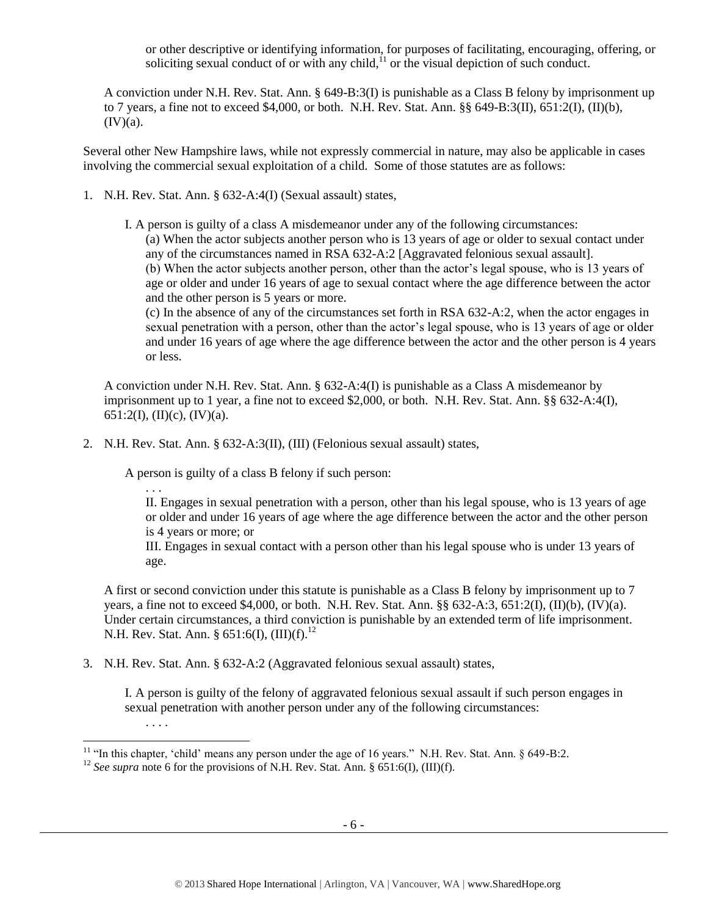<span id="page-5-0"></span>or other descriptive or identifying information, for purposes of facilitating, encouraging, offering, or soliciting sexual conduct of or with any child, $11$  or the visual depiction of such conduct.

A conviction under N.H. Rev. Stat. Ann. § 649-B:3(I) is punishable as a Class B felony by imprisonment up to 7 years, a fine not to exceed \$4,000, or both. N.H. Rev. Stat. Ann. §§ 649-B:3(II), 651:2(I), (II)(b),  $(IV)(a)$ .

Several other New Hampshire laws, while not expressly commercial in nature, may also be applicable in cases involving the commercial sexual exploitation of a child. Some of those statutes are as follows:

- 1. N.H. Rev. Stat. Ann. § 632-A:4(I) (Sexual assault) states,
	- I. A person is guilty of a class A misdemeanor under any of the following circumstances: (a) When the actor subjects another person who is 13 years of age or older to sexual contact under any of the circumstances named in RSA 632-A:2 [Aggravated felonious sexual assault]. (b) When the actor subjects another person, other than the actor's legal spouse, who is 13 years of age or older and under 16 years of age to sexual contact where the age difference between the actor and the other person is 5 years or more.

(c) In the absence of any of the circumstances set forth in RSA 632-A:2, when the actor engages in sexual penetration with a person, other than the actor's legal spouse, who is 13 years of age or older and under 16 years of age where the age difference between the actor and the other person is 4 years or less.

A conviction under N.H. Rev. Stat. Ann. § 632-A:4(I) is punishable as a Class A misdemeanor by imprisonment up to 1 year, a fine not to exceed \$2,000, or both. N.H. Rev. Stat. Ann. §§ 632-A:4(I), 651:2(I), (II)(c), (IV)(a).

2. N.H. Rev. Stat. Ann. § 632-A:3(II), (III) (Felonious sexual assault) states,

A person is guilty of a class B felony if such person:

. . .

II. Engages in sexual penetration with a person, other than his legal spouse, who is 13 years of age or older and under 16 years of age where the age difference between the actor and the other person is 4 years or more; or

III. Engages in sexual contact with a person other than his legal spouse who is under 13 years of age.

A first or second conviction under this statute is punishable as a Class B felony by imprisonment up to 7 years, a fine not to exceed \$4,000, or both. N.H. Rev. Stat. Ann. §§ 632-A:3, 651:2(I), (II)(b), (IV)(a). Under certain circumstances, a third conviction is punishable by an extended term of life imprisonment. N.H. Rev. Stat. Ann. § 651:6(I),  $(III)(f).^{12}$ 

3. N.H. Rev. Stat. Ann. § 632-A:2 (Aggravated felonious sexual assault) states,

I. A person is guilty of the felony of aggravated felonious sexual assault if such person engages in sexual penetration with another person under any of the following circumstances:

. . . .

l <sup>11</sup> "In this chapter, 'child' means any person under the age of 16 years." N.H. Rev. Stat. Ann.  $\S$  649-B:2.

<sup>&</sup>lt;sup>12</sup> *See supra* note [6](#page-2-0) for the provisions of N.H. Rev. Stat. Ann. § 651:6(I), (III)(f).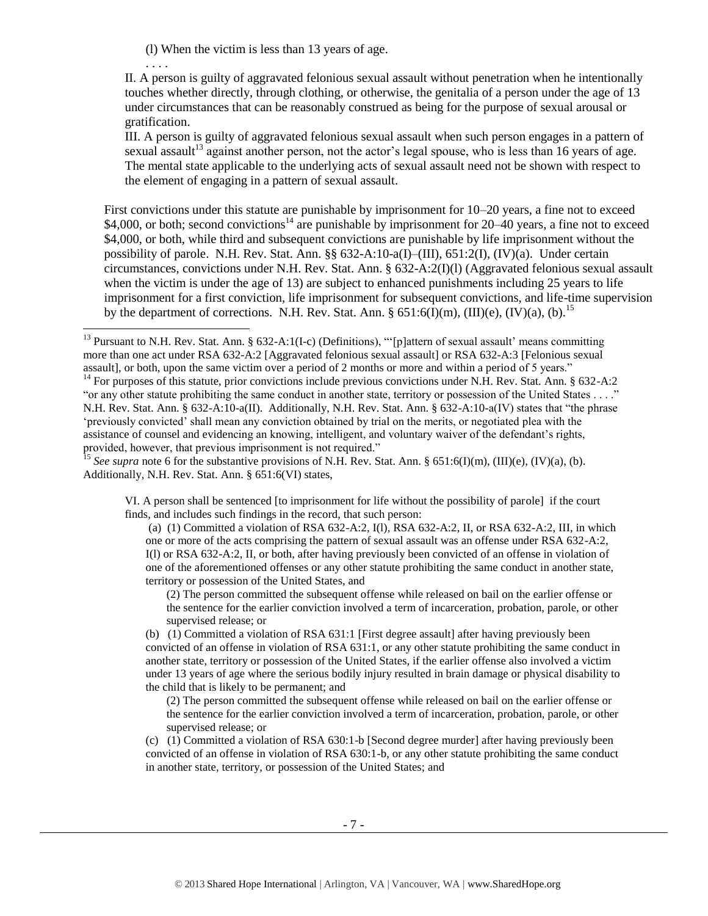(l) When the victim is less than 13 years of age.

. . . .

l

II. A person is guilty of aggravated felonious sexual assault without penetration when he intentionally touches whether directly, through clothing, or otherwise, the genitalia of a person under the age of 13 under circumstances that can be reasonably construed as being for the purpose of sexual arousal or gratification.

III. A person is guilty of aggravated felonious sexual assault when such person engages in a pattern of sexual assault<sup>13</sup> against another person, not the actor's legal spouse, who is less than 16 years of age. The mental state applicable to the underlying acts of sexual assault need not be shown with respect to the element of engaging in a pattern of sexual assault.

First convictions under this statute are punishable by imprisonment for 10–20 years, a fine not to exceed \$4,000, or both; second convictions<sup>14</sup> are punishable by imprisonment for 20–40 years, a fine not to exceed \$4,000, or both, while third and subsequent convictions are punishable by life imprisonment without the possibility of parole. N.H. Rev. Stat. Ann. §§ 632-A:10-a(I)–(III), 651:2(I), (IV)(a). Under certain circumstances, convictions under N.H. Rev. Stat. Ann. § 632-A:2(I)(l) (Aggravated felonious sexual assault when the victim is under the age of 13) are subject to enhanced punishments including 25 years to life imprisonment for a first conviction, life imprisonment for subsequent convictions, and life-time supervision by the department of corrections. N.H. Rev. Stat. Ann. §  $651:6(\overline{I})(m)$ ,  $(III)(e)$ ,  $(IV)(a)$ ,  $(b)$ .<sup>15</sup>

VI. A person shall be sentenced [to imprisonment for life without the possibility of parole] if the court finds, and includes such findings in the record, that such person:

(a) (1) Committed a violation of RSA 632-A:2, I(l), RSA 632-A:2, II, or RSA 632-A:2, III, in which one or more of the acts comprising the pattern of sexual assault was an offense under RSA 632-A:2, I(l) or RSA 632-A:2, II, or both, after having previously been convicted of an offense in violation of one of the aforementioned offenses or any other statute prohibiting the same conduct in another state, territory or possession of the United States, and

(2) The person committed the subsequent offense while released on bail on the earlier offense or the sentence for the earlier conviction involved a term of incarceration, probation, parole, or other supervised release; or

(b) (1) Committed a violation of RSA 631:1 [First degree assault] after having previously been convicted of an offense in violation of RSA 631:1, or any other statute prohibiting the same conduct in another state, territory or possession of the United States, if the earlier offense also involved a victim under 13 years of age where the serious bodily injury resulted in brain damage or physical disability to the child that is likely to be permanent; and

(2) The person committed the subsequent offense while released on bail on the earlier offense or the sentence for the earlier conviction involved a term of incarceration, probation, parole, or other supervised release; or

(c) (1) Committed a violation of RSA 630:1-b [Second degree murder] after having previously been convicted of an offense in violation of RSA 630:1-b, or any other statute prohibiting the same conduct in another state, territory, or possession of the United States; and

<sup>&</sup>lt;sup>13</sup> Pursuant to N.H. Rev. Stat. Ann. § 632-A:1(I-c) (Definitions), "'[p]attern of sexual assault' means committing more than one act under RSA 632-A:2 [Aggravated felonious sexual assault] or RSA 632-A:3 [Felonious sexual assault], or both, upon the same victim over a period of 2 months or more and within a period of 5 years."

 $14$  For purposes of this statute, prior convictions include previous convictions under N.H. Rev. Stat. Ann. § 632-A:2 "or any other statute prohibiting the same conduct in another state, territory or possession of the United States . . . ." N.H. Rev. Stat. Ann. § 632-A:10-a(II). Additionally, N.H. Rev. Stat. Ann. § 632-A:10-a(IV) states that "the phrase 'previously convicted' shall mean any conviction obtained by trial on the merits, or negotiated plea with the assistance of counsel and evidencing an knowing, intelligent, and voluntary waiver of the defendant's rights, provided, however, that previous imprisonment is not required."

<sup>&</sup>lt;sup>15</sup> *See supra* note [6](#page-2-1) for the substantive provisions of N.H. Rev. Stat. Ann. § 651:6(I)(m), (III)(e), (IV)(a), (b). Additionally, N.H. Rev. Stat. Ann. § 651:6(VI) states,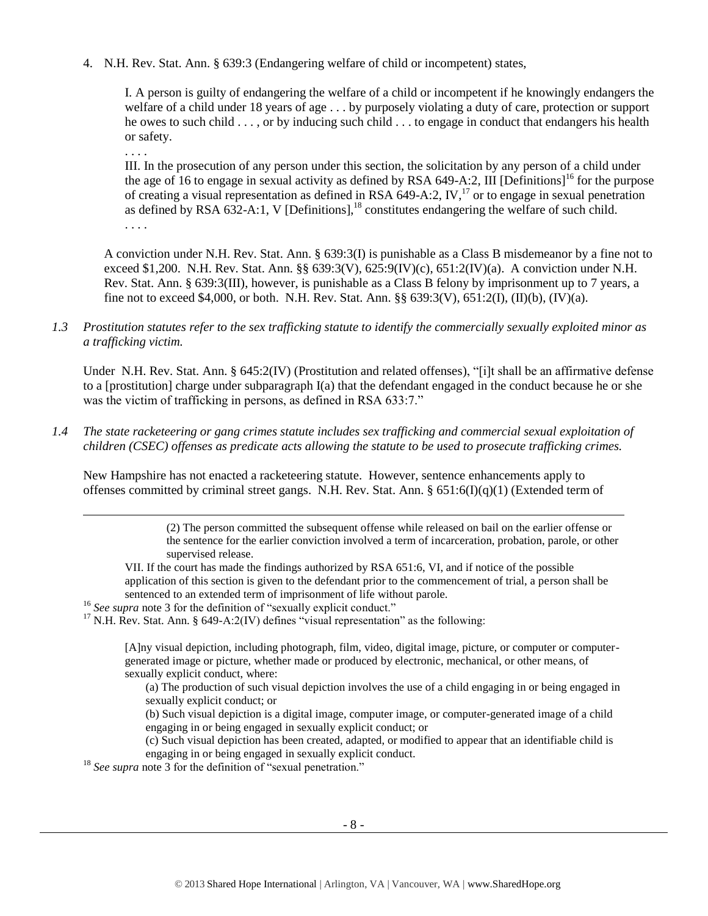4. N.H. Rev. Stat. Ann. § 639:3 (Endangering welfare of child or incompetent) states,

I. A person is guilty of endangering the welfare of a child or incompetent if he knowingly endangers the welfare of a child under 18 years of age . . . by purposely violating a duty of care, protection or support he owes to such child . . . , or by inducing such child . . . to engage in conduct that endangers his health or safety.

. . . .

. . . .

l

III. In the prosecution of any person under this section, the solicitation by any person of a child under the age of 16 to engage in sexual activity as defined by RSA 649-A:2. III [Definitions]<sup>16</sup> for the purpose of creating a visual representation as defined in RSA 649-A:2, IV,<sup>17</sup> or to engage in sexual penetration as defined by RSA  $632-A:1$ , V [Definitions],<sup>18</sup> constitutes endangering the welfare of such child.

A conviction under N.H. Rev. Stat. Ann. § 639:3(I) is punishable as a Class B misdemeanor by a fine not to exceed \$1,200. N.H. Rev. Stat. Ann. §§ 639:3(V), 625:9(IV)(c), 651:2(IV)(a). A conviction under N.H. Rev. Stat. Ann. § 639:3(III), however, is punishable as a Class B felony by imprisonment up to 7 years, a fine not to exceed \$4,000, or both. N.H. Rev. Stat. Ann.  $\S$ § 639:3(V), 651:2(I), (II)(b), (IV)(a).

*1.3 Prostitution statutes refer to the sex trafficking statute to identify the commercially sexually exploited minor as a trafficking victim.* 

Under N.H. Rev. Stat. Ann. § 645:2(IV) (Prostitution and related offenses), "[i]t shall be an affirmative defense to a [prostitution] charge under subparagraph I(a) that the defendant engaged in the conduct because he or she was the victim of trafficking in persons, as defined in RSA 633:7."

*1.4 The state racketeering or gang crimes statute includes sex trafficking and commercial sexual exploitation of children (CSEC) offenses as predicate acts allowing the statute to be used to prosecute trafficking crimes.* 

New Hampshire has not enacted a racketeering statute. However, sentence enhancements apply to offenses committed by criminal street gangs. N.H. Rev. Stat. Ann. § 651:6(I)(q)(1) (Extended term of

> (2) The person committed the subsequent offense while released on bail on the earlier offense or the sentence for the earlier conviction involved a term of incarceration, probation, parole, or other supervised release.

VII. If the court has made the findings authorized by RSA 651:6, VI, and if notice of the possible application of this section is given to the defendant prior to the commencement of trial, a person shall be sentenced to an extended term of imprisonment of life without parole.

<sup>16</sup> See supra note [3](#page-1-0) for the definition of "sexually explicit conduct."

 $17$  N.H. Rev. Stat. Ann. § 649-A:2(IV) defines "visual representation" as the following:

[A]ny visual depiction, including photograph, film, video, digital image, picture, or computer or computergenerated image or picture, whether made or produced by electronic, mechanical, or other means, of sexually explicit conduct, where:

(a) The production of such visual depiction involves the use of a child engaging in or being engaged in sexually explicit conduct; or

(b) Such visual depiction is a digital image, computer image, or computer-generated image of a child engaging in or being engaged in sexually explicit conduct; or

(c) Such visual depiction has been created, adapted, or modified to appear that an identifiable child is engaging in or being engaged in sexually explicit conduct.

<sup>18</sup> See supra note [3](#page-1-0) for the definition of "sexual penetration."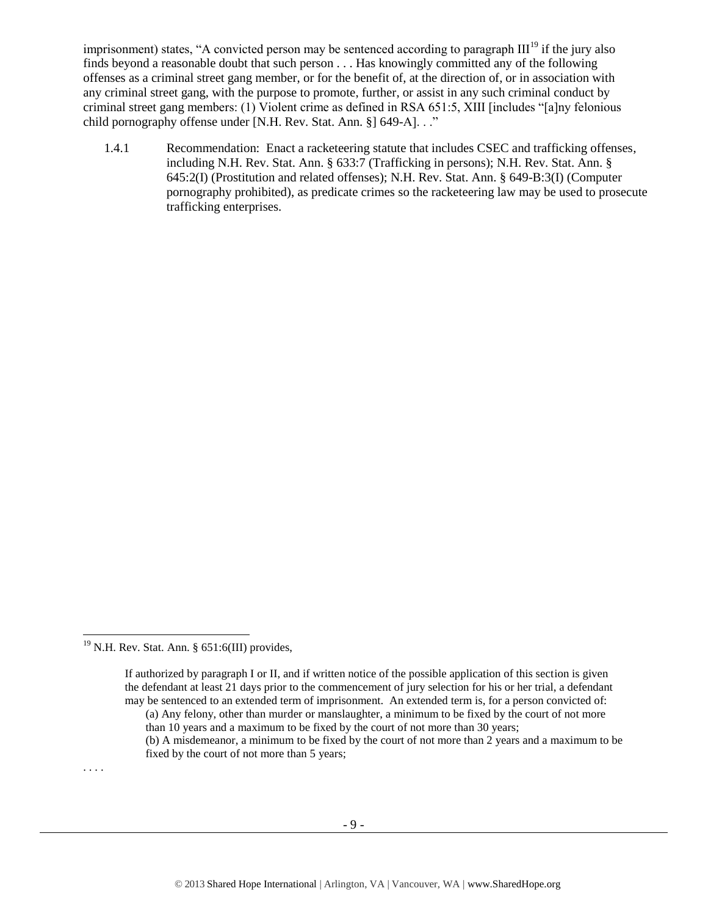imprisonment) states, "A convicted person may be sentenced according to paragraph  $III<sup>19</sup>$  if the jury also finds beyond a reasonable doubt that such person . . . Has knowingly committed any of the following offenses as a criminal street gang member, or for the benefit of, at the direction of, or in association with any criminal street gang, with the purpose to promote, further, or assist in any such criminal conduct by criminal street gang members: (1) Violent crime as defined in RSA 651:5, XIII [includes "[a]ny felonious child pornography offense under [N.H. Rev. Stat. Ann. §] 649-A]. . ."

1.4.1 Recommendation: Enact a racketeering statute that includes CSEC and trafficking offenses, including N.H. Rev. Stat. Ann. § 633:7 (Trafficking in persons); N.H. Rev. Stat. Ann. § 645:2(I) (Prostitution and related offenses); N.H. Rev. Stat. Ann. § 649-B:3(I) (Computer pornography prohibited), as predicate crimes so the racketeering law may be used to prosecute trafficking enterprises.

. . . .

 $\overline{a}$ 

<sup>&</sup>lt;sup>19</sup> N.H. Rev. Stat. Ann. § 651:6(III) provides,

If authorized by paragraph I or II, and if written notice of the possible application of this section is given the defendant at least 21 days prior to the commencement of jury selection for his or her trial, a defendant may be sentenced to an extended term of imprisonment. An extended term is, for a person convicted of:

<sup>(</sup>a) Any felony, other than murder or manslaughter, a minimum to be fixed by the court of not more than 10 years and a maximum to be fixed by the court of not more than 30 years;

<sup>(</sup>b) A misdemeanor, a minimum to be fixed by the court of not more than 2 years and a maximum to be fixed by the court of not more than 5 years;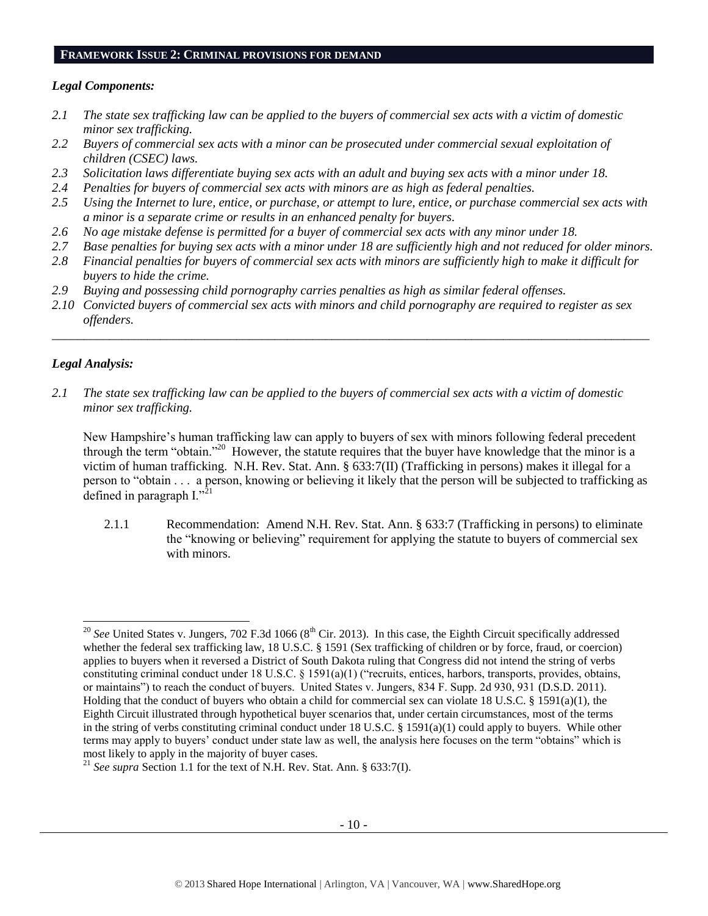#### **FRAMEWORK ISSUE 2: CRIMINAL PROVISIONS FOR DEMAND**

## *Legal Components:*

- *2.1 The state sex trafficking law can be applied to the buyers of commercial sex acts with a victim of domestic minor sex trafficking.*
- *2.2 Buyers of commercial sex acts with a minor can be prosecuted under commercial sexual exploitation of children (CSEC) laws.*
- *2.3 Solicitation laws differentiate buying sex acts with an adult and buying sex acts with a minor under 18.*
- *2.4 Penalties for buyers of commercial sex acts with minors are as high as federal penalties.*
- *2.5 Using the Internet to lure, entice, or purchase, or attempt to lure, entice, or purchase commercial sex acts with a minor is a separate crime or results in an enhanced penalty for buyers.*
- *2.6 No age mistake defense is permitted for a buyer of commercial sex acts with any minor under 18.*
- *2.7 Base penalties for buying sex acts with a minor under 18 are sufficiently high and not reduced for older minors.*
- *2.8 Financial penalties for buyers of commercial sex acts with minors are sufficiently high to make it difficult for buyers to hide the crime.*
- *2.9 Buying and possessing child pornography carries penalties as high as similar federal offenses.*
- *2.10 Convicted buyers of commercial sex acts with minors and child pornography are required to register as sex offenders.*

\_\_\_\_\_\_\_\_\_\_\_\_\_\_\_\_\_\_\_\_\_\_\_\_\_\_\_\_\_\_\_\_\_\_\_\_\_\_\_\_\_\_\_\_\_\_\_\_\_\_\_\_\_\_\_\_\_\_\_\_\_\_\_\_\_\_\_\_\_\_\_\_\_\_\_\_\_\_\_\_\_\_\_\_\_\_\_\_\_\_\_\_\_\_

## *Legal Analysis:*

l

*2.1 The state sex trafficking law can be applied to the buyers of commercial sex acts with a victim of domestic minor sex trafficking.*

New Hampshire's human trafficking law can apply to buyers of sex with minors following federal precedent through the term "obtain."<sup>20</sup> However, the statute requires that the buyer have knowledge that the minor is a victim of human trafficking. N.H. Rev. Stat. Ann. § 633:7(II) (Trafficking in persons) makes it illegal for a person to "obtain . . . a person, knowing or believing it likely that the person will be subjected to trafficking as defined in paragraph  $I.^{321}$ 

2.1.1 Recommendation: Amend N.H. Rev. Stat. Ann. § 633:7 (Trafficking in persons) to eliminate the "knowing or believing" requirement for applying the statute to buyers of commercial sex with minors.

<sup>&</sup>lt;sup>20</sup> See United States v. Jungers, 702 F.3d 1066 (8<sup>th</sup> Cir. 2013). In this case, the Eighth Circuit specifically addressed whether the federal sex trafficking law, 18 U.S.C. § 1591 (Sex trafficking of children or by force, fraud, or coercion) applies to buyers when it reversed a District of South Dakota ruling that Congress did not intend the string of verbs constituting criminal conduct under 18 U.S.C. § 1591(a)(1) ("recruits, entices, harbors, transports, provides, obtains, or maintains") to reach the conduct of buyers. United States v. Jungers, 834 F. Supp. 2d 930, 931 (D.S.D. 2011). Holding that the conduct of buyers who obtain a child for commercial sex can violate 18 U.S.C. § 1591(a)(1), the Eighth Circuit illustrated through hypothetical buyer scenarios that, under certain circumstances, most of the terms in the string of verbs constituting criminal conduct under 18 U.S.C. § 1591(a)(1) could apply to buyers. While other terms may apply to buyers' conduct under state law as well, the analysis here focuses on the term "obtains" which is most likely to apply in the majority of buyer cases.

<sup>&</sup>lt;sup>21</sup> *See supra* Section 1.1 for the text of N.H. Rev. Stat. Ann. § 633:7(I).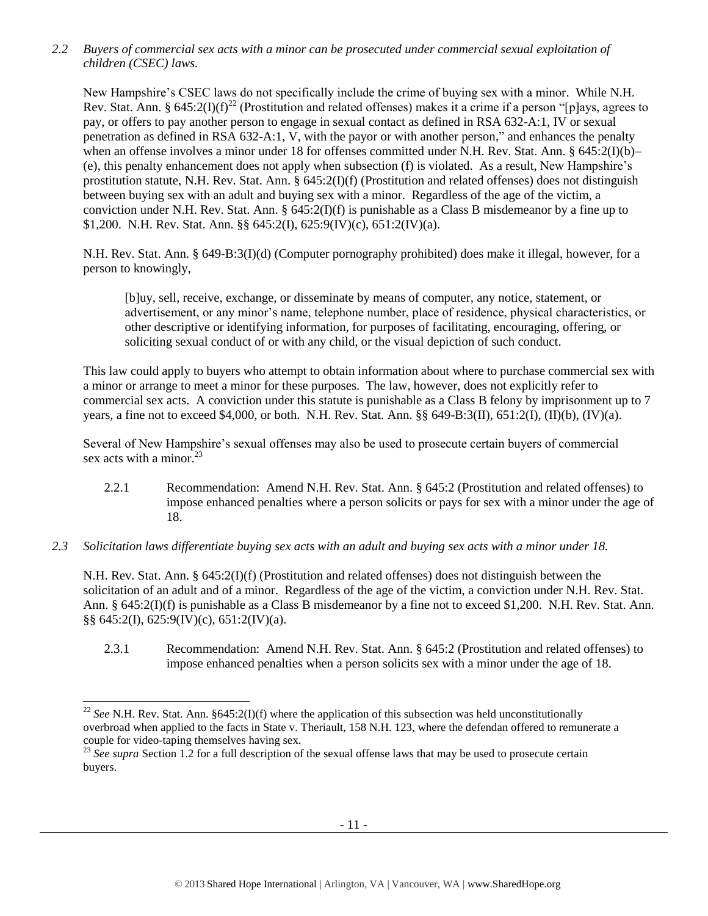*2.2 Buyers of commercial sex acts with a minor can be prosecuted under commercial sexual exploitation of children (CSEC) laws.*

New Hampshire's CSEC laws do not specifically include the crime of buying sex with a minor. While N.H. Rev. Stat. Ann. § 645:2(I)(f)<sup>22</sup> (Prostitution and related offenses) makes it a crime if a person "[p]ays, agrees to pay, or offers to pay another person to engage in sexual contact as defined in RSA 632-A:1, IV or sexual penetration as defined in RSA 632-A:1, V, with the payor or with another person," and enhances the penalty when an offense involves a minor under 18 for offenses committed under N.H. Rev. Stat. Ann. § 645:2(I)(b)– (e), this penalty enhancement does not apply when subsection (f) is violated. As a result, New Hampshire's prostitution statute, N.H. Rev. Stat. Ann. § 645:2(I)(f) (Prostitution and related offenses) does not distinguish between buying sex with an adult and buying sex with a minor. Regardless of the age of the victim, a conviction under N.H. Rev. Stat. Ann. §  $645:2(I)(f)$  is punishable as a Class B misdemeanor by a fine up to \$1,200. N.H. Rev. Stat. Ann. §§ 645:2(I), 625:9(IV)(c), 651:2(IV)(a).

N.H. Rev. Stat. Ann. § 649-B:3(I)(d) (Computer pornography prohibited) does make it illegal, however, for a person to knowingly,

[b]uy, sell, receive, exchange, or disseminate by means of computer, any notice, statement, or advertisement, or any minor's name, telephone number, place of residence, physical characteristics, or other descriptive or identifying information, for purposes of facilitating, encouraging, offering, or soliciting sexual conduct of or with any child, or the visual depiction of such conduct.

This law could apply to buyers who attempt to obtain information about where to purchase commercial sex with a minor or arrange to meet a minor for these purposes. The law, however, does not explicitly refer to commercial sex acts. A conviction under this statute is punishable as a Class B felony by imprisonment up to 7 years, a fine not to exceed \$4,000, or both. N.H. Rev. Stat. Ann. §§ 649-B:3(II), 651:2(I), (II)(b), (IV)(a).

Several of New Hampshire's sexual offenses may also be used to prosecute certain buyers of commercial sex acts with a minor. $^{23}$ 

- 2.2.1 Recommendation: Amend N.H. Rev. Stat. Ann. § 645:2 (Prostitution and related offenses) to impose enhanced penalties where a person solicits or pays for sex with a minor under the age of 18.
- *2.3 Solicitation laws differentiate buying sex acts with an adult and buying sex acts with a minor under 18.*

N.H. Rev. Stat. Ann. § 645:2(I)(f) (Prostitution and related offenses) does not distinguish between the solicitation of an adult and of a minor. Regardless of the age of the victim, a conviction under N.H. Rev. Stat. Ann. § 645:2(I)(f) is punishable as a Class B misdemeanor by a fine not to exceed \$1,200. N.H. Rev. Stat. Ann. §§ 645:2(I), 625:9(IV)(c), 651:2(IV)(a).

2.3.1 Recommendation: Amend N.H. Rev. Stat. Ann. § 645:2 (Prostitution and related offenses) to impose enhanced penalties when a person solicits sex with a minor under the age of 18.

<sup>&</sup>lt;sup>22</sup> *See* N.H. Rev. Stat. Ann. §645:2(I)(f) where the application of this subsection was held unconstitutionally overbroad when applied to the facts in State v. Theriault, 158 N.H. 123, where the defendan offered to remunerate a couple for video-taping themselves having sex.

<sup>&</sup>lt;sup>23</sup> See supra Section 1.2 for a full description of the sexual offense laws that may be used to prosecute certain buyers.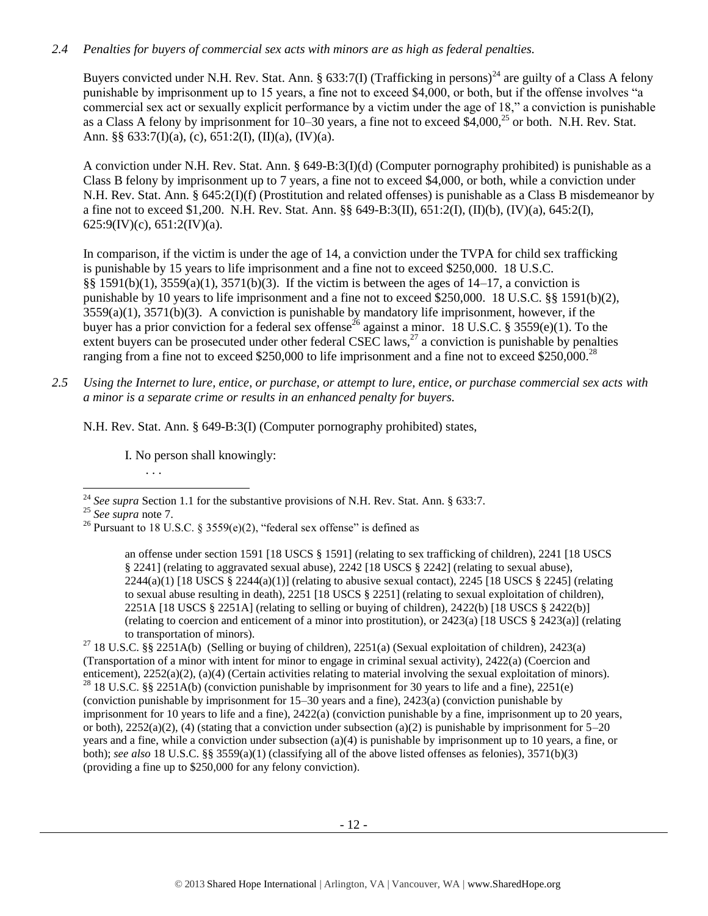## *2.4 Penalties for buyers of commercial sex acts with minors are as high as federal penalties.*

Buyers convicted under N.H. Rev. Stat. Ann. § 633:7(I) (Trafficking in persons)<sup>24</sup> are guilty of a Class A felony punishable by imprisonment up to 15 years, a fine not to exceed \$4,000, or both, but if the offense involves "a commercial sex act or sexually explicit performance by a victim under the age of 18," a conviction is punishable as a Class A felony by imprisonment for 10–30 years, a fine not to exceed \$4,000,<sup>25</sup> or both. N.H. Rev. Stat. Ann. §§  $633:7(I)(a)$ , (c),  $651:2(I)$ ,  $(II)(a)$ ,  $(IV)(a)$ .

A conviction under N.H. Rev. Stat. Ann. § 649-B:3(I)(d) (Computer pornography prohibited) is punishable as a Class B felony by imprisonment up to 7 years, a fine not to exceed \$4,000, or both, while a conviction under N.H. Rev. Stat. Ann. § 645:2(I)(f) (Prostitution and related offenses) is punishable as a Class B misdemeanor by a fine not to exceed \$1,200. N.H. Rev. Stat. Ann. §§ 649-B:3(II), 651:2(I), (II)(b), (IV)(a), 645:2(I),  $625:9$ (IV)(c),  $651:2$ (IV)(a).

In comparison, if the victim is under the age of 14, a conviction under the TVPA for child sex trafficking is punishable by 15 years to life imprisonment and a fine not to exceed \$250,000. 18 U.S.C. §§ 1591(b)(1), 3559(a)(1), 3571(b)(3). If the victim is between the ages of 14–17, a conviction is punishable by 10 years to life imprisonment and a fine not to exceed \$250,000. 18 U.S.C. §§ 1591(b)(2), 3559(a)(1), 3571(b)(3). A conviction is punishable by mandatory life imprisonment, however, if the buyer has a prior conviction for a federal sex offense<sup>26</sup> against a minor. 18 U.S.C. § 3559(e)(1). To the extent buyers can be prosecuted under other federal CSEC laws,<sup>27</sup> a conviction is punishable by penalties ranging from a fine not to exceed \$250,000 to life imprisonment and a fine not to exceed \$250,000.<sup>28</sup>

*2.5 Using the Internet to lure, entice, or purchase, or attempt to lure, entice, or purchase commercial sex acts with a minor is a separate crime or results in an enhanced penalty for buyers.*

N.H. Rev. Stat. Ann. § 649-B:3(I) (Computer pornography prohibited) states,

I. No person shall knowingly:

<span id="page-11-0"></span>. . .

l <sup>24</sup> *See supra* Section 1.1 for the substantive provisions of N.H. Rev. Stat. Ann. § 633:7.

<sup>25</sup> *See supra* note [7.](#page-2-2)

<sup>&</sup>lt;sup>26</sup> Pursuant to 18 U.S.C. § 3559(e)(2), "federal sex offense" is defined as

an offense under section 1591 [18 USCS § 1591] (relating to sex trafficking of children), 2241 [18 USCS § 2241] (relating to aggravated sexual abuse), 2242 [18 USCS § 2242] (relating to sexual abuse),  $2244(a)(1)$  [18 USCS §  $2244(a)(1)$ ] (relating to abusive sexual contact),  $2245$  [18 USCS § 2245] (relating to sexual abuse resulting in death), 2251 [18 USCS § 2251] (relating to sexual exploitation of children), 2251A [18 USCS § 2251A] (relating to selling or buying of children), 2422(b) [18 USCS § 2422(b)] (relating to coercion and enticement of a minor into prostitution), or 2423(a) [18 USCS § 2423(a)] (relating to transportation of minors).

<sup>&</sup>lt;sup>27</sup> 18 U.S.C. §§ 2251A(b) (Selling or buying of children), 2251(a) (Sexual exploitation of children), 2423(a) (Transportation of a minor with intent for minor to engage in criminal sexual activity), 2422(a) (Coercion and enticement), 2252(a)(2), (a)(4) (Certain activities relating to material involving the sexual exploitation of minors). <sup>28</sup> 18 U.S.C. §§ 2251A(b) (conviction punishable by imprisonment for 30 years to life and a fine), 2251(e) (conviction punishable by imprisonment for 15–30 years and a fine), 2423(a) (conviction punishable by imprisonment for 10 years to life and a fine), 2422(a) (conviction punishable by a fine, imprisonment up to 20 years, or both),  $2252(a)(2)$ , (4) (stating that a conviction under subsection (a)(2) is punishable by imprisonment for  $5-20$ years and a fine, while a conviction under subsection (a)(4) is punishable by imprisonment up to 10 years, a fine, or both); *see also* 18 U.S.C. §§ 3559(a)(1) (classifying all of the above listed offenses as felonies), 3571(b)(3) (providing a fine up to \$250,000 for any felony conviction).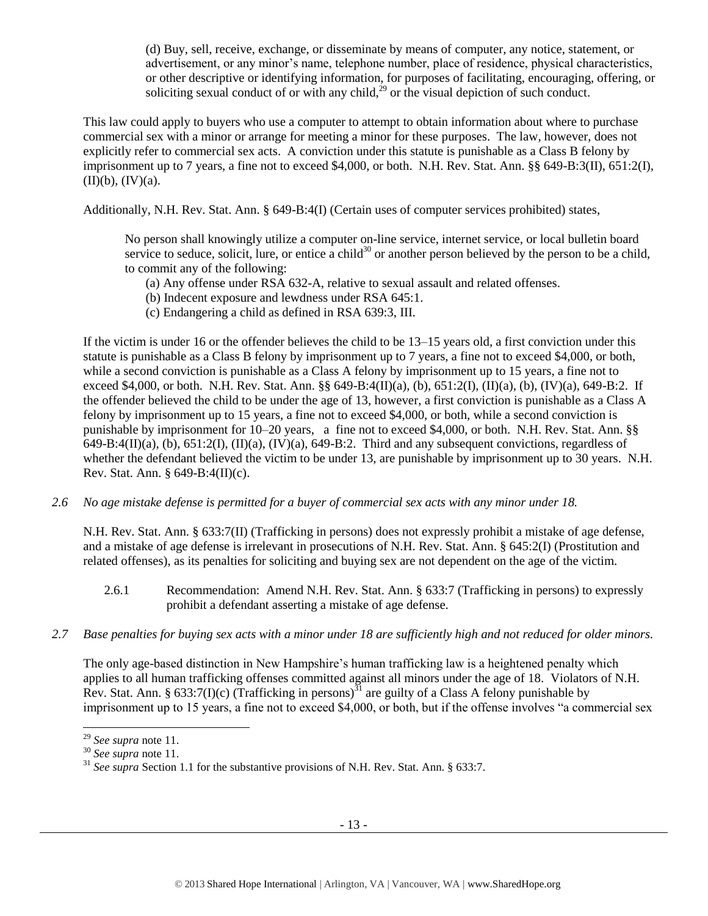(d) Buy, sell, receive, exchange, or disseminate by means of computer, any notice, statement, or advertisement, or any minor's name, telephone number, place of residence, physical characteristics, or other descriptive or identifying information, for purposes of facilitating, encouraging, offering, or soliciting sexual conduct of or with any child,<sup>29</sup> or the visual depiction of such conduct.

This law could apply to buyers who use a computer to attempt to obtain information about where to purchase commercial sex with a minor or arrange for meeting a minor for these purposes. The law, however, does not explicitly refer to commercial sex acts. A conviction under this statute is punishable as a Class B felony by imprisonment up to 7 years, a fine not to exceed \$4,000, or both. N.H. Rev. Stat. Ann. §§ 649-B:3(II), 651:2(I),  $(II)(b)$ ,  $(IV)(a)$ .

Additionally, N.H. Rev. Stat. Ann. § 649-B:4(I) (Certain uses of computer services prohibited) states,

No person shall knowingly utilize a computer on-line service, internet service, or local bulletin board service to seduce, solicit, lure, or entice a child<sup>30</sup> or another person believed by the person to be a child, to commit any of the following:

- (a) Any offense under RSA 632-A, relative to sexual assault and related offenses.
- (b) Indecent exposure and lewdness under RSA 645:1.
- (c) Endangering a child as defined in RSA 639:3, III.

If the victim is under 16 or the offender believes the child to be 13–15 years old, a first conviction under this statute is punishable as a Class B felony by imprisonment up to 7 years, a fine not to exceed \$4,000, or both, while a second conviction is punishable as a Class A felony by imprisonment up to 15 years, a fine not to exceed \$4,000, or both. N.H. Rev. Stat. Ann. §§ 649-B:4(II)(a), (b), 651:2(I), (II)(a), (b), (IV)(a), 649-B:2. If the offender believed the child to be under the age of 13, however, a first conviction is punishable as a Class A felony by imprisonment up to 15 years, a fine not to exceed \$4,000, or both, while a second conviction is punishable by imprisonment for 10–20 years, a fine not to exceed \$4,000, or both. N.H. Rev. Stat. Ann. §§  $649-B:4(II)(a)$ , (b),  $651:2(I)$ ,  $(II)(a)$ ,  $(IV)(a)$ ,  $649-B:2$ . Third and any subsequent convictions, regardless of whether the defendant believed the victim to be under 13, are punishable by imprisonment up to 30 years. N.H. Rev. Stat. Ann. § 649-B:4(II)(c).

*2.6 No age mistake defense is permitted for a buyer of commercial sex acts with any minor under 18.*

N.H. Rev. Stat. Ann. § 633:7(II) (Trafficking in persons) does not expressly prohibit a mistake of age defense, and a mistake of age defense is irrelevant in prosecutions of N.H. Rev. Stat. Ann. § 645:2(I) (Prostitution and related offenses), as its penalties for soliciting and buying sex are not dependent on the age of the victim.

- 2.6.1 Recommendation: Amend N.H. Rev. Stat. Ann. § 633:7 (Trafficking in persons) to expressly prohibit a defendant asserting a mistake of age defense.
- *2.7 Base penalties for buying sex acts with a minor under 18 are sufficiently high and not reduced for older minors.*

The only age-based distinction in New Hampshire's human trafficking law is a heightened penalty which applies to all human trafficking offenses committed against all minors under the age of 18. Violators of N.H. Rev. Stat. Ann. § 633:7(I)(c) (Trafficking in persons)<sup>31</sup> are guilty of a Class A felony punishable by imprisonment up to 15 years, a fine not to exceed \$4,000, or both, but if the offense involves "a commercial sex

l <sup>29</sup> *See supra* note [11.](#page-5-0) 

<sup>30</sup> *See supra* note [11.](#page-5-0) 

<sup>31</sup> *See supra* Section 1.1 for the substantive provisions of N.H. Rev. Stat. Ann. § 633:7.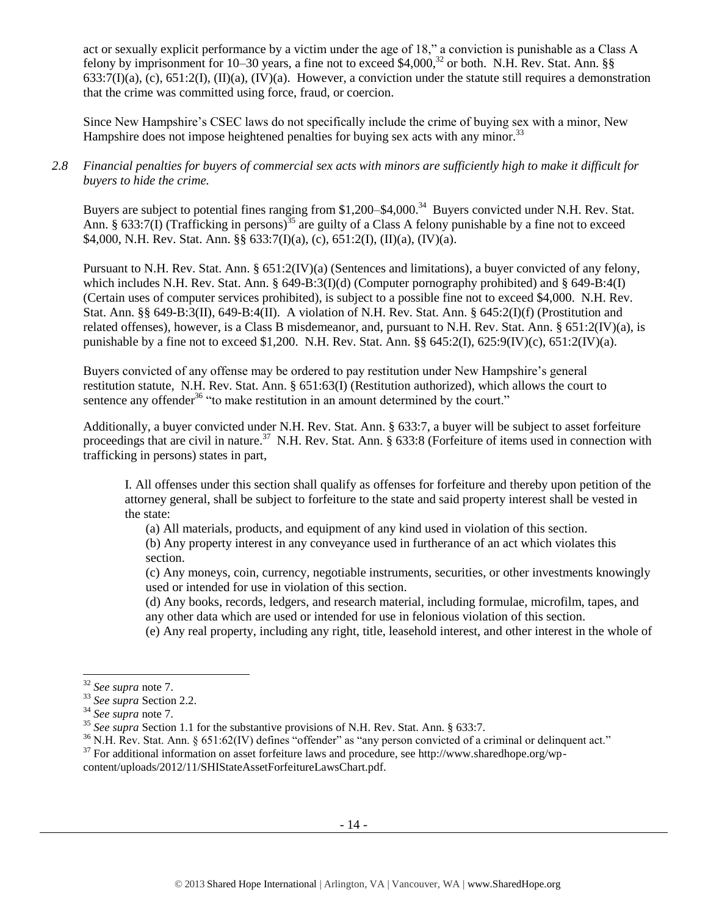act or sexually explicit performance by a victim under the age of 18," a conviction is punishable as a Class A felony by imprisonment for 10–30 years, a fine not to exceed \$4,000,<sup>32</sup> or both. N.H. Rev. Stat. Ann. §§  $633:7(I)(a)$ , (c),  $651:2(I)$ ,  $(II)(a)$ ,  $(IV)(a)$ . However, a conviction under the statute still requires a demonstration that the crime was committed using force, fraud, or coercion.

Since New Hampshire's CSEC laws do not specifically include the crime of buying sex with a minor, New Hampshire does not impose heightened penalties for buying sex acts with any minor.<sup>33</sup>

*2.8 Financial penalties for buyers of commercial sex acts with minors are sufficiently high to make it difficult for buyers to hide the crime.* 

Buyers are subject to potential fines ranging from \$1,200–\$4,000.<sup>34</sup> Buyers convicted under N.H. Rev. Stat. Ann. § 633:7(I) (Trafficking in persons)<sup>35</sup> are guilty of a Class A felony punishable by a fine not to exceed \$4,000, N.H. Rev. Stat. Ann. §§ 633:7(I)(a), (c), 651:2(I), (II)(a), (IV)(a).

Pursuant to N.H. Rev. Stat. Ann. § 651:2(IV)(a) (Sentences and limitations), a buyer convicted of any felony, which includes N.H. Rev. Stat. Ann. § 649-B:3(I)(d) (Computer pornography prohibited) and § 649-B:4(I) (Certain uses of computer services prohibited), is subject to a possible fine not to exceed \$4,000. N.H. Rev. Stat. Ann. §§ 649-B:3(II), 649-B:4(II). A violation of N.H. Rev. Stat. Ann. § 645:2(I)(f) (Prostitution and related offenses), however, is a Class B misdemeanor, and, pursuant to N.H. Rev. Stat. Ann. § 651:2(IV)(a), is punishable by a fine not to exceed \$1,200. N.H. Rev. Stat. Ann.  $\S § 645:2(I)$ ,  $625:9(IV)(c)$ ,  $651:2(IV)(a)$ .

Buyers convicted of any offense may be ordered to pay restitution under New Hampshire's general restitution statute, N.H. Rev. Stat. Ann. § 651:63(I) (Restitution authorized), which allows the court to sentence any offender<sup>36</sup> "to make restitution in an amount determined by the court."

Additionally, a buyer convicted under N.H. Rev. Stat. Ann. § 633:7, a buyer will be subject to asset forfeiture proceedings that are civil in nature.<sup>37</sup> N.H. Rev. Stat. Ann. § 633:8 (Forfeiture of items used in connection with trafficking in persons) states in part,

I. All offenses under this section shall qualify as offenses for forfeiture and thereby upon petition of the attorney general, shall be subject to forfeiture to the state and said property interest shall be vested in the state:

(a) All materials, products, and equipment of any kind used in violation of this section.

(b) Any property interest in any conveyance used in furtherance of an act which violates this section.

(c) Any moneys, coin, currency, negotiable instruments, securities, or other investments knowingly used or intended for use in violation of this section.

(d) Any books, records, ledgers, and research material, including formulae, microfilm, tapes, and any other data which are used or intended for use in felonious violation of this section.

(e) Any real property, including any right, title, leasehold interest, and other interest in the whole of

<sup>32</sup> *See supra* note [7.](#page-2-2)

<sup>33</sup> *See supra* Section 2.2.

<sup>34</sup> *See supra* note [7.](#page-2-2)

<sup>35</sup> *See supra* Section 1.1 for the substantive provisions of N.H. Rev. Stat. Ann. § 633:7.

 $36$  N.H. Rev. Stat. Ann. § 651:62(IV) defines "offender" as "any person convicted of a criminal or delinquent act."

<sup>37</sup> For additional information on asset forfeiture laws and procedure, see http://www.sharedhope.org/wp-

content/uploads/2012/11/SHIStateAssetForfeitureLawsChart.pdf.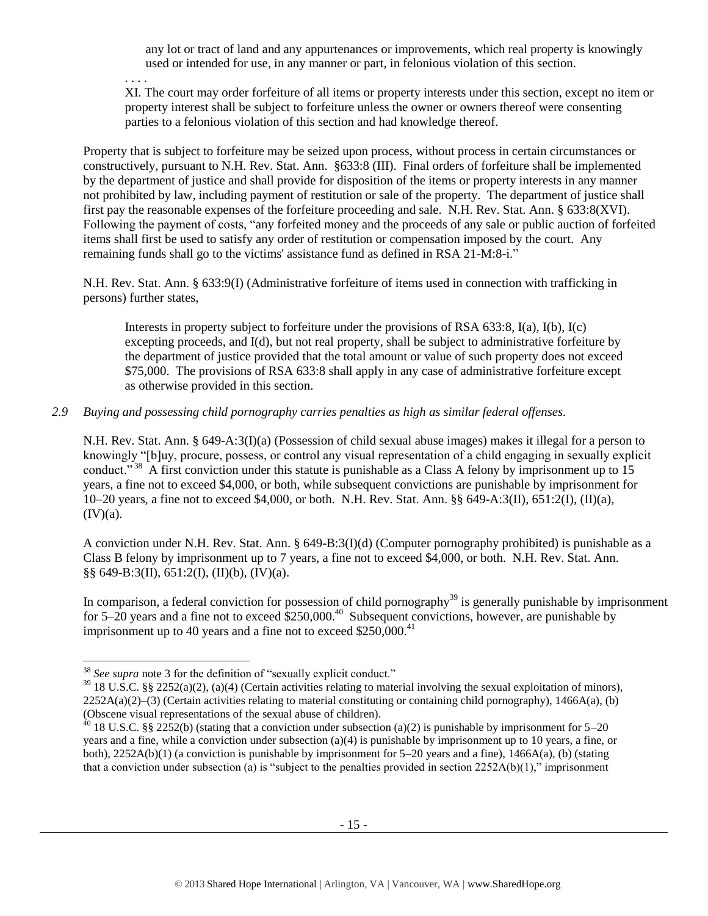any lot or tract of land and any appurtenances or improvements, which real property is knowingly used or intended for use, in any manner or part, in felonious violation of this section.

. . . . XI. The court may order forfeiture of all items or property interests under this section, except no item or property interest shall be subject to forfeiture unless the owner or owners thereof were consenting parties to a felonious violation of this section and had knowledge thereof.

Property that is subject to forfeiture may be seized upon process, without process in certain circumstances or constructively, pursuant to N.H. Rev. Stat. Ann. §633:8 (III). Final orders of forfeiture shall be implemented by the department of justice and shall provide for disposition of the items or property interests in any manner not prohibited by law, including payment of restitution or sale of the property. The department of justice shall first pay the reasonable expenses of the forfeiture proceeding and sale. N.H. Rev. Stat. Ann. § 633:8(XVI). Following the payment of costs, "any forfeited money and the proceeds of any sale or public auction of forfeited items shall first be used to satisfy any order of restitution or compensation imposed by the court. Any remaining funds shall go to the victims' assistance fund as defined in RSA 21-M:8-i."

N.H. Rev. Stat. Ann. § 633:9(I) (Administrative forfeiture of items used in connection with trafficking in persons) further states,

Interests in property subject to forfeiture under the provisions of RSA 633:8, I(a), I(b), I(c) excepting proceeds, and I(d), but not real property, shall be subject to administrative forfeiture by the department of justice provided that the total amount or value of such property does not exceed \$75,000. The provisions of RSA 633:8 shall apply in any case of administrative forfeiture except as otherwise provided in this section.

## *2.9 Buying and possessing child pornography carries penalties as high as similar federal offenses.*

N.H. Rev. Stat. Ann. § 649-A:3(I)(a) (Possession of child sexual abuse images) makes it illegal for a person to knowingly "[b]uy, procure, possess, or control any visual representation of a child engaging in sexually explicit conduct."<sup>38</sup> A first conviction under this statute is punishable as a Class A felony by imprisonment up to 15 years, a fine not to exceed \$4,000, or both, while subsequent convictions are punishable by imprisonment for 10–20 years, a fine not to exceed \$4,000, or both. N.H. Rev. Stat. Ann. §§ 649-A:3(II), 651:2(I), (II)(a),  $(IV)(a)$ .

A conviction under N.H. Rev. Stat. Ann. § 649-B:3(I)(d) (Computer pornography prohibited) is punishable as a Class B felony by imprisonment up to 7 years, a fine not to exceed \$4,000, or both. N.H. Rev. Stat. Ann. §§ 649-B:3(II), 651:2(I), (II)(b), (IV)(a).

In comparison, a federal conviction for possession of child pornography<sup>39</sup> is generally punishable by imprisonment for 5–20 years and a fine not to exceed  $$250,000.<sup>40</sup>$  Subsequent convictions, however, are punishable by imprisonment up to 40 years and a fine not to exceed  $$250,000.<sup>41</sup>$ 

<sup>38</sup> *See supra* note [3](#page-1-0) for the definition of "sexually explicit conduct."

 $39$  18 U.S.C. §§ 2252(a)(2), (a)(4) (Certain activities relating to material involving the sexual exploitation of minors),  $2252A(a)(2)$ –(3) (Certain activities relating to material constituting or containing child pornography), 1466A(a), (b) (Obscene visual representations of the sexual abuse of children).

 $40$  18 U.S.C. §§ 2252(b) (stating that a conviction under subsection (a)(2) is punishable by imprisonment for 5–20 years and a fine, while a conviction under subsection (a)(4) is punishable by imprisonment up to 10 years, a fine, or both), 2252A(b)(1) (a conviction is punishable by imprisonment for 5–20 years and a fine), 1466A(a), (b) (stating that a conviction under subsection (a) is "subject to the penalties provided in section  $2252A(b)(1)$ ," imprisonment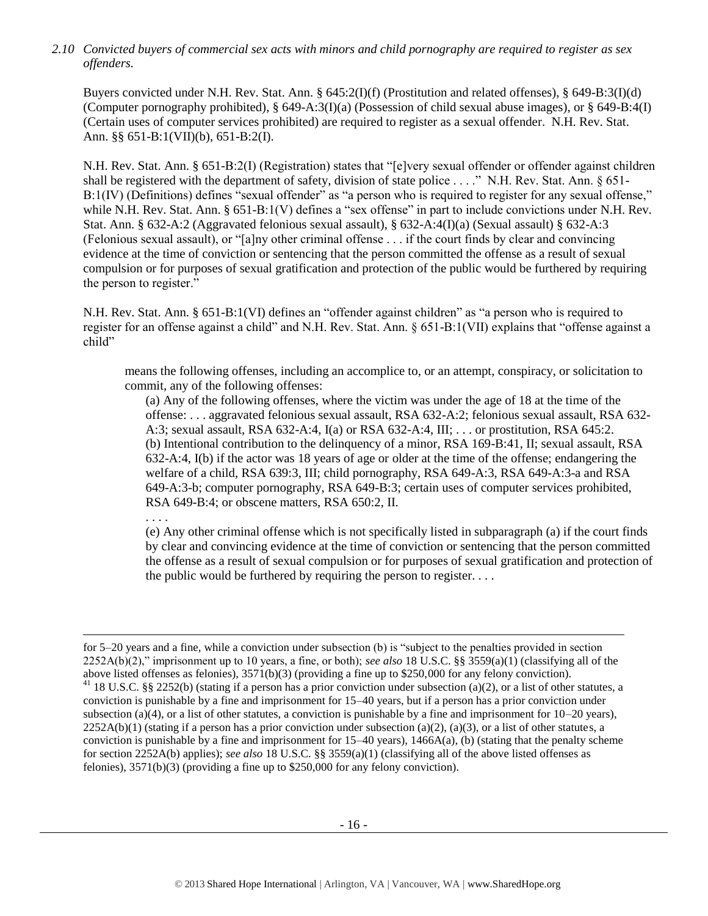*2.10 Convicted buyers of commercial sex acts with minors and child pornography are required to register as sex offenders.* 

Buyers convicted under N.H. Rev. Stat. Ann. § 645:2(I)(f) (Prostitution and related offenses), § 649-B:3(I)(d) (Computer pornography prohibited), § 649-A:3(I)(a) (Possession of child sexual abuse images), or § 649-B:4(I) (Certain uses of computer services prohibited) are required to register as a sexual offender. N.H. Rev. Stat. Ann. §§ 651-B:1(VII)(b), 651-B:2(I).

N.H. Rev. Stat. Ann. § 651-B:2(I) (Registration) states that "[e]very sexual offender or offender against children shall be registered with the department of safety, division of state police . . . ." N.H. Rev. Stat. Ann. § 651- B:1(IV) (Definitions) defines "sexual offender" as "a person who is required to register for any sexual offense," while N.H. Rev. Stat. Ann. § 651-B:1(V) defines a "sex offense" in part to include convictions under N.H. Rev. Stat. Ann. § 632-A:2 (Aggravated felonious sexual assault), § 632-A:4(I)(a) (Sexual assault) § 632-A:3 (Felonious sexual assault), or "[a]ny other criminal offense . . . if the court finds by clear and convincing evidence at the time of conviction or sentencing that the person committed the offense as a result of sexual compulsion or for purposes of sexual gratification and protection of the public would be furthered by requiring the person to register."

N.H. Rev. Stat. Ann. § 651-B:1(VI) defines an "offender against children" as "a person who is required to register for an offense against a child" and N.H. Rev. Stat. Ann. § 651-B:1(VII) explains that "offense against a child"

means the following offenses, including an accomplice to, or an attempt, conspiracy, or solicitation to commit, any of the following offenses:

(a) Any of the following offenses, where the victim was under the age of 18 at the time of the offense: . . . aggravated felonious sexual assault, RSA 632-A:2; felonious sexual assault, RSA 632- A:3; sexual assault, RSA 632-A:4, I(a) or RSA 632-A:4, III; . . . or prostitution, RSA 645:2. (b) Intentional contribution to the delinquency of a minor, RSA 169-B:41, II; sexual assault, RSA 632-A:4, I(b) if the actor was 18 years of age or older at the time of the offense; endangering the welfare of a child, RSA 639:3, III; child pornography, RSA 649-A:3, RSA 649-A:3-a and RSA 649-A:3-b; computer pornography, RSA 649-B:3; certain uses of computer services prohibited, RSA 649-B:4; or obscene matters, RSA 650:2, II.

. . . .

 $\overline{a}$ 

(e) Any other criminal offense which is not specifically listed in subparagraph (a) if the court finds by clear and convincing evidence at the time of conviction or sentencing that the person committed the offense as a result of sexual compulsion or for purposes of sexual gratification and protection of the public would be furthered by requiring the person to register. . . .

for 5–20 years and a fine, while a conviction under subsection (b) is "subject to the penalties provided in section 2252A(b)(2)," imprisonment up to 10 years, a fine, or both); *see also* 18 U.S.C. §§ 3559(a)(1) (classifying all of the above listed offenses as felonies), 3571(b)(3) (providing a fine up to \$250,000 for any felony conviction). <sup>41</sup> 18 U.S.C. §§ 2252(b) (stating if a person has a prior conviction under subsection (a)(2), or a list of other statutes, a conviction is punishable by a fine and imprisonment for 15–40 years, but if a person has a prior conviction under subsection (a)(4), or a list of other statutes, a conviction is punishable by a fine and imprisonment for  $10-20$  years),  $2252A(b)(1)$  (stating if a person has a prior conviction under subsection (a)(2), (a)(3), or a list of other statutes, a conviction is punishable by a fine and imprisonment for  $15-40$  years),  $1466A(a)$ , (b) (stating that the penalty scheme for section 2252A(b) applies); *see also* 18 U.S.C. §§ 3559(a)(1) (classifying all of the above listed offenses as felonies), 3571(b)(3) (providing a fine up to \$250,000 for any felony conviction).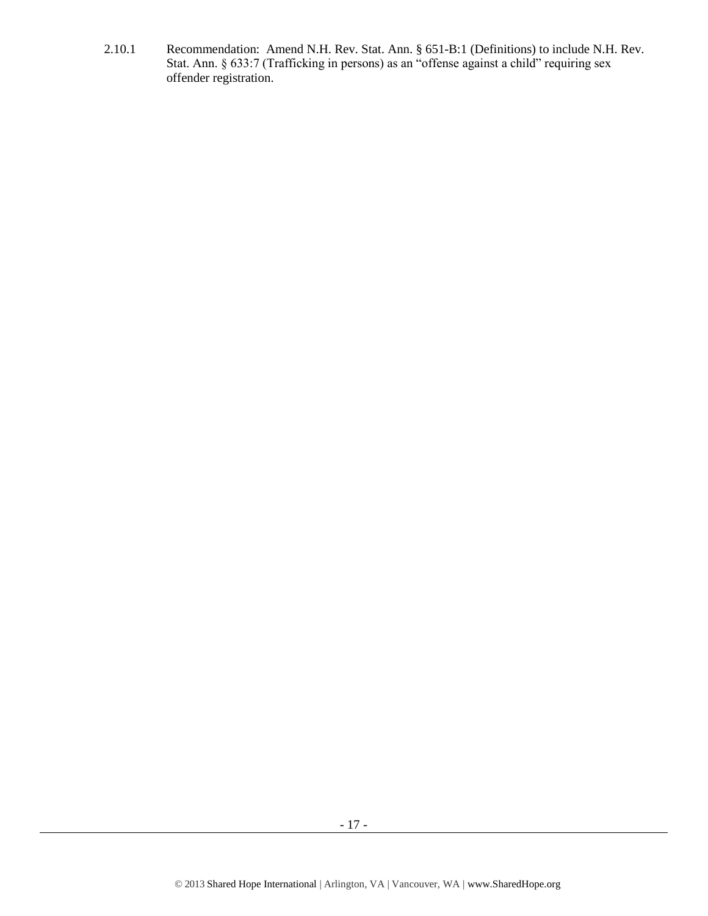2.10.1 Recommendation: Amend N.H. Rev. Stat. Ann. § 651-B:1 (Definitions) to include N.H. Rev. Stat. Ann. § 633:7 (Trafficking in persons) as an "offense against a child" requiring sex offender registration.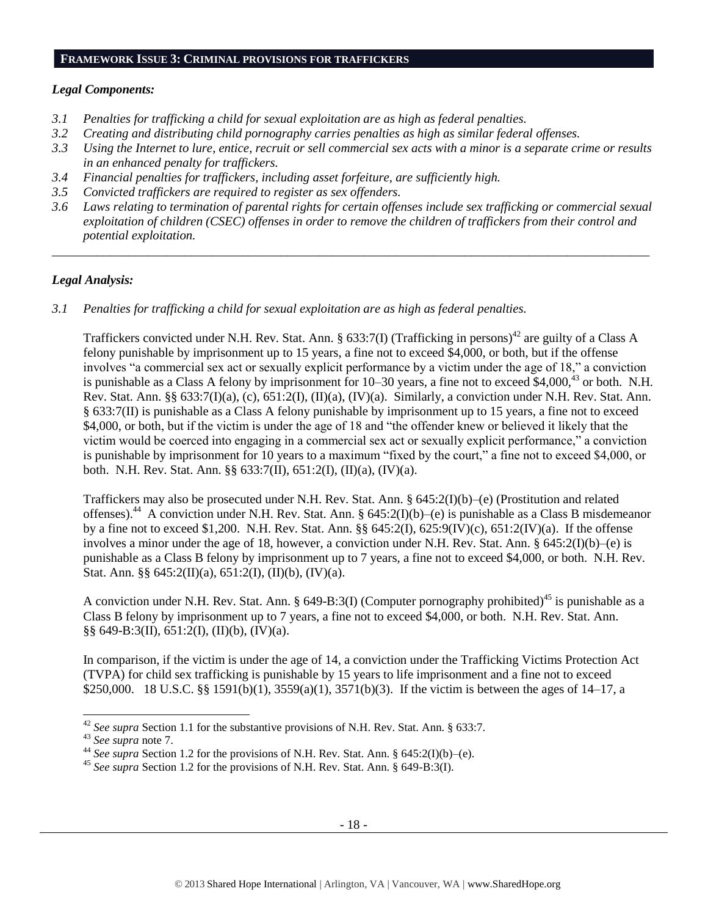#### **FRAMEWORK ISSUE 3: CRIMINAL PROVISIONS FOR TRAFFICKERS**

#### *Legal Components:*

- *3.1 Penalties for trafficking a child for sexual exploitation are as high as federal penalties.*
- *3.2 Creating and distributing child pornography carries penalties as high as similar federal offenses.*
- *3.3 Using the Internet to lure, entice, recruit or sell commercial sex acts with a minor is a separate crime or results in an enhanced penalty for traffickers.*
- *3.4 Financial penalties for traffickers, including asset forfeiture, are sufficiently high.*
- *3.5 Convicted traffickers are required to register as sex offenders.*
- *3.6 Laws relating to termination of parental rights for certain offenses include sex trafficking or commercial sexual exploitation of children (CSEC) offenses in order to remove the children of traffickers from their control and potential exploitation.*

*\_\_\_\_\_\_\_\_\_\_\_\_\_\_\_\_\_\_\_\_\_\_\_\_\_\_\_\_\_\_\_\_\_\_\_\_\_\_\_\_\_\_\_\_\_\_\_\_\_\_\_\_\_\_\_\_\_\_\_\_\_\_\_\_\_\_\_\_\_\_\_\_\_\_\_\_\_\_\_\_\_\_\_\_\_\_\_\_\_\_\_\_\_\_*

## *Legal Analysis:*

*3.1 Penalties for trafficking a child for sexual exploitation are as high as federal penalties.* 

Traffickers convicted under N.H. Rev. Stat. Ann. § 633:7(I) (Trafficking in persons)<sup>42</sup> are guilty of a Class A felony punishable by imprisonment up to 15 years, a fine not to exceed \$4,000, or both, but if the offense involves "a commercial sex act or sexually explicit performance by a victim under the age of 18," a conviction is punishable as a Class A felony by imprisonment for 10–30 years, a fine not to exceed \$4,000,<sup>43</sup> or both. N.H. Rev. Stat. Ann. §§ 633:7(I)(a), (c), 651:2(I), (II)(a), (IV)(a). Similarly, a conviction under N.H. Rev. Stat. Ann. § 633:7(II) is punishable as a Class A felony punishable by imprisonment up to 15 years, a fine not to exceed \$4,000, or both, but if the victim is under the age of 18 and "the offender knew or believed it likely that the victim would be coerced into engaging in a commercial sex act or sexually explicit performance," a conviction is punishable by imprisonment for 10 years to a maximum "fixed by the court," a fine not to exceed \$4,000, or both. N.H. Rev. Stat. Ann. §§ 633:7(II), 651:2(I), (II)(a), (IV)(a).

Traffickers may also be prosecuted under N.H. Rev. Stat. Ann. § 645:2(I)(b)–(e) (Prostitution and related offenses).<sup>44</sup> A conviction under N.H. Rev. Stat. Ann. § 645:2(I)(b)–(e) is punishable as a Class B misdemeanor by a fine not to exceed \$1,200. N.H. Rev. Stat. Ann. §§ 645:2(I), 625:9(IV)(c), 651:2(IV)(a). If the offense involves a minor under the age of 18, however, a conviction under N.H. Rev. Stat. Ann. § 645:2(I)(b)–(e) is punishable as a Class B felony by imprisonment up to 7 years, a fine not to exceed \$4,000, or both. N.H. Rev. Stat. Ann. §§ 645:2(II)(a), 651:2(I), (II)(b), (IV)(a).

A conviction under N.H. Rev. Stat. Ann. § 649-B:3(I) (Computer pornography prohibited)<sup>45</sup> is punishable as a Class B felony by imprisonment up to 7 years, a fine not to exceed \$4,000, or both. N.H. Rev. Stat. Ann.  $\S\S 649-B:3(II), 651:2(I), (II)(b), (IV)(a).$ 

In comparison, if the victim is under the age of 14, a conviction under the Trafficking Victims Protection Act (TVPA) for child sex trafficking is punishable by 15 years to life imprisonment and a fine not to exceed \$250,000. 18 U.S.C. §§ 1591(b)(1), 3559(a)(1), 3571(b)(3). If the victim is between the ages of 14–17, a

 $\overline{a}$ 

<sup>42</sup> *See supra* Section 1.1 for the substantive provisions of N.H. Rev. Stat. Ann. § 633:7.

<sup>43</sup> *See supra* note [7.](#page-2-2)

<sup>44</sup> *See supra* Section 1.2 for the provisions of N.H. Rev. Stat. Ann. § 645:2(I)(b)–(e).

<sup>45</sup> *See supra* Section 1.2 for the provisions of N.H. Rev. Stat. Ann. § 649-B:3(I).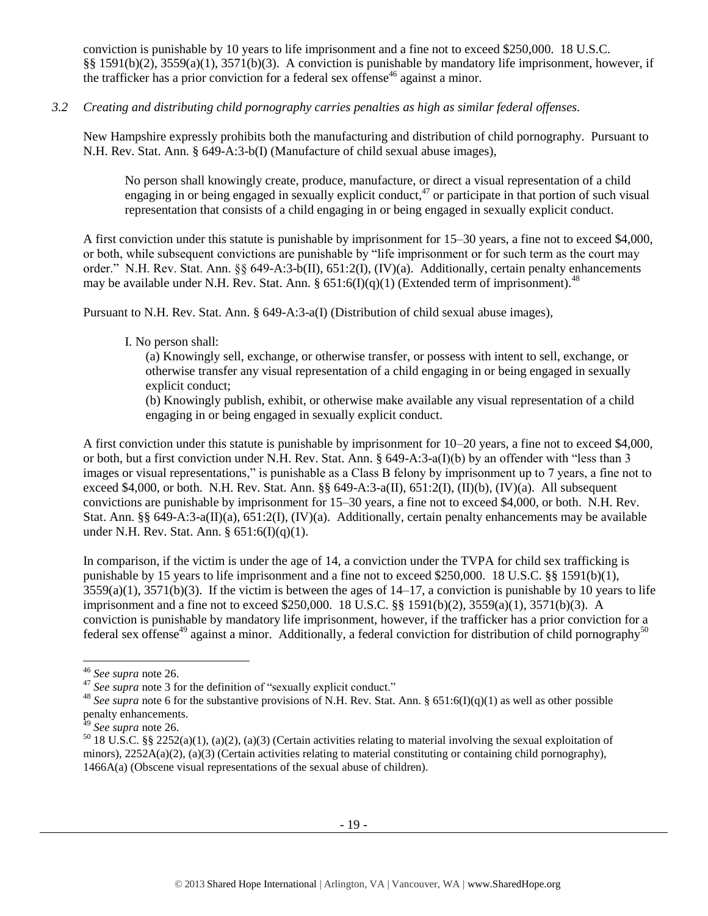conviction is punishable by 10 years to life imprisonment and a fine not to exceed \$250,000. 18 U.S.C. §§ 1591(b)(2), 3559(a)(1), 3571(b)(3). A conviction is punishable by mandatory life imprisonment, however, if the trafficker has a prior conviction for a federal sex offense<sup>46</sup> against a minor.

## *3.2 Creating and distributing child pornography carries penalties as high as similar federal offenses.*

New Hampshire expressly prohibits both the manufacturing and distribution of child pornography. Pursuant to N.H. Rev. Stat. Ann. § 649-A:3-b(I) (Manufacture of child sexual abuse images),

No person shall knowingly create, produce, manufacture, or direct a visual representation of a child engaging in or being engaged in sexually explicit conduct,  $47$  or participate in that portion of such visual representation that consists of a child engaging in or being engaged in sexually explicit conduct.

A first conviction under this statute is punishable by imprisonment for 15–30 years, a fine not to exceed \$4,000, or both, while subsequent convictions are punishable by "life imprisonment or for such term as the court may order." N.H. Rev. Stat. Ann. §§ 649-A:3-b(II), 651:2(I), (IV)(a). Additionally, certain penalty enhancements may be available under N.H. Rev. Stat. Ann. §  $651:6(I)(q)(1)$  (Extended term of imprisonment).<sup>48</sup>

Pursuant to N.H. Rev. Stat. Ann. § 649-A:3-a(I) (Distribution of child sexual abuse images),

## I. No person shall:

(a) Knowingly sell, exchange, or otherwise transfer, or possess with intent to sell, exchange, or otherwise transfer any visual representation of a child engaging in or being engaged in sexually explicit conduct;

(b) Knowingly publish, exhibit, or otherwise make available any visual representation of a child engaging in or being engaged in sexually explicit conduct.

A first conviction under this statute is punishable by imprisonment for 10–20 years, a fine not to exceed \$4,000, or both, but a first conviction under N.H. Rev. Stat. Ann. § 649-A:3-a(I)(b) by an offender with "less than 3 images or visual representations," is punishable as a Class B felony by imprisonment up to 7 years, a fine not to exceed \$4,000, or both. N.H. Rev. Stat. Ann. §§ 649-A:3-a(II), 651:2(I), (II)(b), (IV)(a). All subsequent convictions are punishable by imprisonment for 15–30 years, a fine not to exceed \$4,000, or both. N.H. Rev. Stat. Ann. §§ 649-A:3-a(II)(a), 651:2(I), (IV)(a). Additionally, certain penalty enhancements may be available under N.H. Rev. Stat. Ann. § 651:6(I)(q)(1).

In comparison, if the victim is under the age of 14, a conviction under the TVPA for child sex trafficking is punishable by 15 years to life imprisonment and a fine not to exceed \$250,000. 18 U.S.C. §§ 1591(b)(1),  $3559(a)(1)$ ,  $3571(b)(3)$ . If the victim is between the ages of  $14-17$ , a conviction is punishable by 10 years to life imprisonment and a fine not to exceed \$250,000. 18 U.S.C. §§ 1591(b)(2), 3559(a)(1), 3571(b)(3). A conviction is punishable by mandatory life imprisonment, however, if the trafficker has a prior conviction for a federal sex offense<sup>49</sup> against a minor. Additionally, a federal conviction for distribution of child pornography<sup>50</sup>

<sup>46</sup> *See supra* note [26.](#page-11-0)

<sup>&</sup>lt;sup>47</sup> See supra note [3](#page-1-0) for the definition of "sexually explicit conduct."

<sup>&</sup>lt;sup>48</sup> See supra note [6](#page-2-1) for the substantive provisions of N.H. Rev. Stat. Ann. § 651:6(I)(q)(1) as well as other possible penalty enhancements.

<sup>49</sup> *See supra* note [26.](#page-11-0)

<sup>&</sup>lt;sup>50</sup> 18 U.S.C. §§ 2252(a)(1), (a)(2), (a)(3) (Certain activities relating to material involving the sexual exploitation of minors),  $2252A(a)(2)$ ,  $(a)(3)$  (Certain activities relating to material constituting or containing child pornography), 1466A(a) (Obscene visual representations of the sexual abuse of children).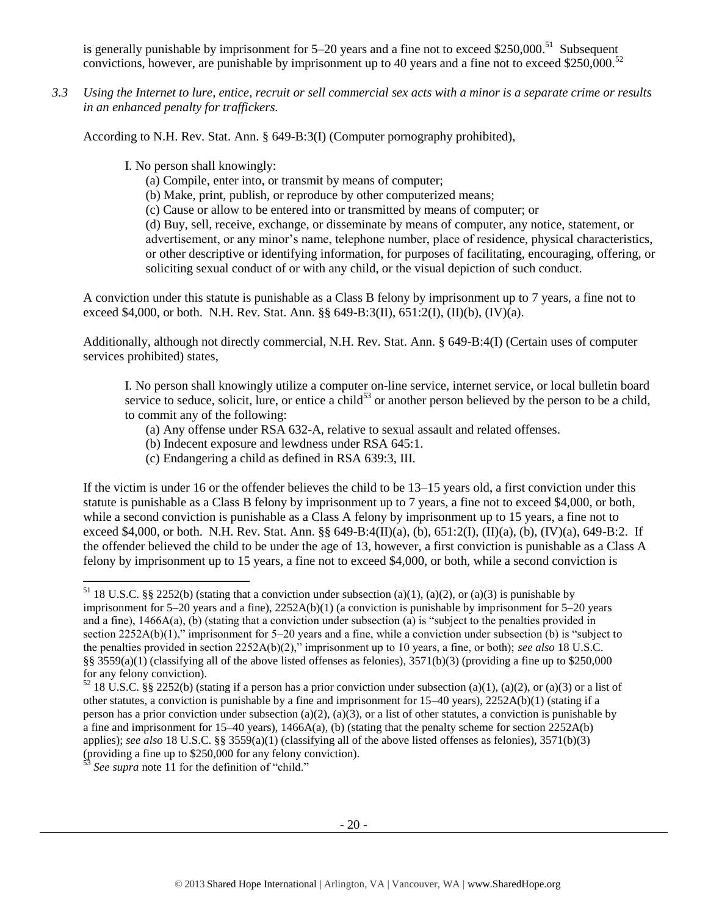is generally punishable by imprisonment for  $5-20$  years and a fine not to exceed \$250,000.<sup>51</sup> Subsequent convictions, however, are punishable by imprisonment up to 40 years and a fine not to exceed \$250,000.<sup>52</sup>

*3.3 Using the Internet to lure, entice, recruit or sell commercial sex acts with a minor is a separate crime or results in an enhanced penalty for traffickers.*

According to N.H. Rev. Stat. Ann. § 649-B:3(I) (Computer pornography prohibited),

I. No person shall knowingly:

- (a) Compile, enter into, or transmit by means of computer;
- (b) Make, print, publish, or reproduce by other computerized means;
- (c) Cause or allow to be entered into or transmitted by means of computer; or

(d) Buy, sell, receive, exchange, or disseminate by means of computer, any notice, statement, or advertisement, or any minor's name, telephone number, place of residence, physical characteristics, or other descriptive or identifying information, for purposes of facilitating, encouraging, offering, or soliciting sexual conduct of or with any child, or the visual depiction of such conduct.

A conviction under this statute is punishable as a Class B felony by imprisonment up to 7 years, a fine not to exceed \$4,000, or both. N.H. Rev. Stat. Ann. §§ 649-B:3(II), 651:2(I), (II)(b), (IV)(a).

Additionally, although not directly commercial, N.H. Rev. Stat. Ann. § 649-B:4(I) (Certain uses of computer services prohibited) states,

I. No person shall knowingly utilize a computer on-line service, internet service, or local bulletin board service to seduce, solicit, lure, or entice a child<sup>53</sup> or another person believed by the person to be a child, to commit any of the following:

- (a) Any offense under RSA 632-A, relative to sexual assault and related offenses.
- (b) Indecent exposure and lewdness under RSA 645:1.
- (c) Endangering a child as defined in RSA 639:3, III.

If the victim is under 16 or the offender believes the child to be 13–15 years old, a first conviction under this statute is punishable as a Class B felony by imprisonment up to 7 years, a fine not to exceed \$4,000, or both, while a second conviction is punishable as a Class A felony by imprisonment up to 15 years, a fine not to exceed \$4,000, or both. N.H. Rev. Stat. Ann. §§ 649-B:4(II)(a), (b), 651:2(I), (II)(a), (b), (IV)(a), 649-B:2. If the offender believed the child to be under the age of 13, however, a first conviction is punishable as a Class A felony by imprisonment up to 15 years, a fine not to exceed \$4,000, or both, while a second conviction is

<sup>&</sup>lt;sup>51</sup> 18 U.S.C. §§ 2252(b) (stating that a conviction under subsection (a)(1), (a)(2), or (a)(3) is punishable by imprisonment for 5–20 years and a fine), 2252A(b)(1) (a conviction is punishable by imprisonment for 5–20 years and a fine), 1466A(a), (b) (stating that a conviction under subsection (a) is "subject to the penalties provided in section 2252A(b)(1)," imprisonment for 5–20 years and a fine, while a conviction under subsection (b) is "subject to the penalties provided in section 2252A(b)(2)," imprisonment up to 10 years, a fine, or both); *see also* 18 U.S.C. §§ 3559(a)(1) (classifying all of the above listed offenses as felonies),  $3571(b)(3)$  (providing a fine up to \$250,000 for any felony conviction).

 $52$  18 U.S.C. §§ 2252(b) (stating if a person has a prior conviction under subsection (a)(1), (a)(2), or (a)(3) or a list of other statutes, a conviction is punishable by a fine and imprisonment for 15–40 years), 2252A(b)(1) (stating if a person has a prior conviction under subsection (a)(2), (a)(3), or a list of other statutes, a conviction is punishable by a fine and imprisonment for  $15-40$  years),  $1466A(a)$ , (b) (stating that the penalty scheme for section  $2252A(b)$ applies); *see also* 18 U.S.C. §§ 3559(a)(1) (classifying all of the above listed offenses as felonies), 3571(b)(3) (providing a fine up to \$250,000 for any felony conviction).

<sup>53</sup> *See supra* note [11](#page-5-0) for the definition of "child."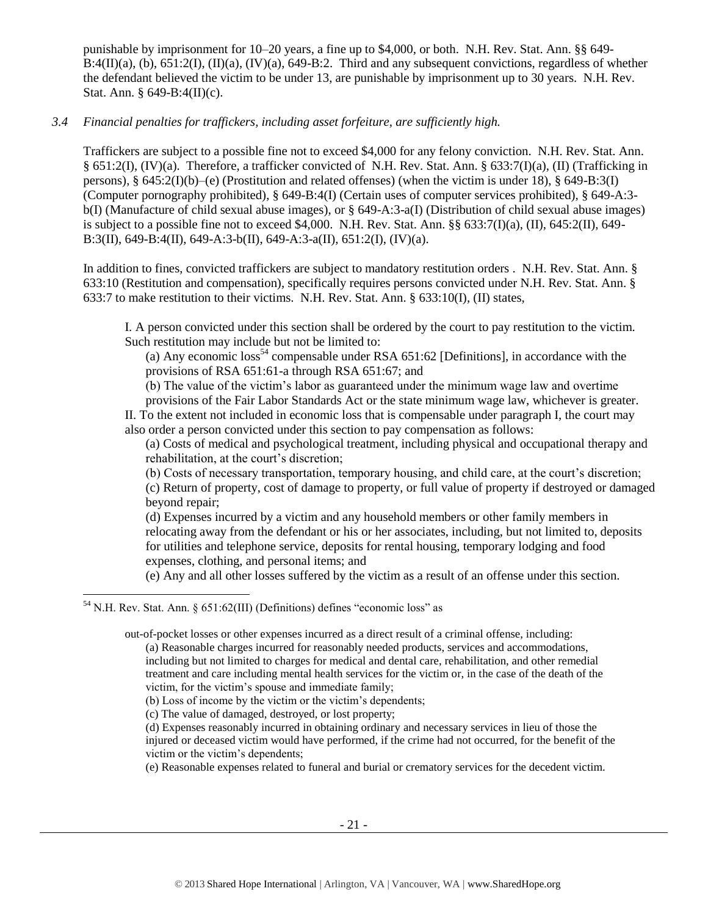punishable by imprisonment for 10–20 years, a fine up to \$4,000, or both. N.H. Rev. Stat. Ann. §§ 649-  $B:4(II)(a)$ , (b),  $651:2(I)$ ,  $(II)(a)$ ,  $(IV)(a)$ ,  $649-B:2$ . Third and any subsequent convictions, regardless of whether the defendant believed the victim to be under 13, are punishable by imprisonment up to 30 years. N.H. Rev. Stat. Ann. § 649-B:4(II)(c).

## *3.4 Financial penalties for traffickers, including asset forfeiture, are sufficiently high.*

Traffickers are subject to a possible fine not to exceed \$4,000 for any felony conviction. N.H. Rev. Stat. Ann. § 651:2(I), (IV)(a). Therefore, a trafficker convicted of N.H. Rev. Stat. Ann. § 633:7(I)(a), (II) (Trafficking in persons),  $\S$  645:2(I)(b)–(e) (Prostitution and related offenses) (when the victim is under 18),  $\S$  649-B:3(I) (Computer pornography prohibited), § 649-B:4(I) (Certain uses of computer services prohibited), § 649-A:3 b(I) (Manufacture of child sexual abuse images), or § 649-A:3-a(I) (Distribution of child sexual abuse images) is subject to a possible fine not to exceed \$4,000. N.H. Rev. Stat. Ann. §§ 633:7(I)(a), (II), 645:2(II), 649-B:3(II), 649-B:4(II), 649-A:3-b(II), 649-A:3-a(II), 651:2(I), (IV)(a).

In addition to fines, convicted traffickers are subject to mandatory restitution orders . N.H. Rev. Stat. Ann. § 633:10 (Restitution and compensation), specifically requires persons convicted under N.H. Rev. Stat. Ann. § 633:7 to make restitution to their victims. N.H. Rev. Stat. Ann. § 633:10(I), (II) states,

I. A person convicted under this section shall be ordered by the court to pay restitution to the victim. Such restitution may include but not be limited to:

<span id="page-20-0"></span>(a) Any economic  $loss^{54}$  compensable under RSA 651:62 [Definitions], in accordance with the provisions of RSA 651:61-a through RSA 651:67; and

(b) The value of the victim's labor as guaranteed under the minimum wage law and overtime

provisions of the Fair Labor Standards Act or the state minimum wage law, whichever is greater. II. To the extent not included in economic loss that is compensable under paragraph I, the court may also order a person convicted under this section to pay compensation as follows:

(a) Costs of medical and psychological treatment, including physical and occupational therapy and rehabilitation, at the court's discretion;

(b) Costs of necessary transportation, temporary housing, and child care, at the court's discretion; (c) Return of property, cost of damage to property, or full value of property if destroyed or damaged beyond repair;

(d) Expenses incurred by a victim and any household members or other family members in relocating away from the defendant or his or her associates, including, but not limited to, deposits for utilities and telephone service, deposits for rental housing, temporary lodging and food expenses, clothing, and personal items; and

(e) Any and all other losses suffered by the victim as a result of an offense under this section.

l

out-of-pocket losses or other expenses incurred as a direct result of a criminal offense, including: (a) Reasonable charges incurred for reasonably needed products, services and accommodations, including but not limited to charges for medical and dental care, rehabilitation, and other remedial treatment and care including mental health services for the victim or, in the case of the death of the victim, for the victim's spouse and immediate family;

(e) Reasonable expenses related to funeral and burial or crematory services for the decedent victim.

<sup>54</sup> N.H. Rev. Stat. Ann. § 651:62(III) (Definitions) defines "economic loss" as

<sup>(</sup>b) Loss of income by the victim or the victim's dependents;

<sup>(</sup>c) The value of damaged, destroyed, or lost property;

<sup>(</sup>d) Expenses reasonably incurred in obtaining ordinary and necessary services in lieu of those the injured or deceased victim would have performed, if the crime had not occurred, for the benefit of the victim or the victim's dependents;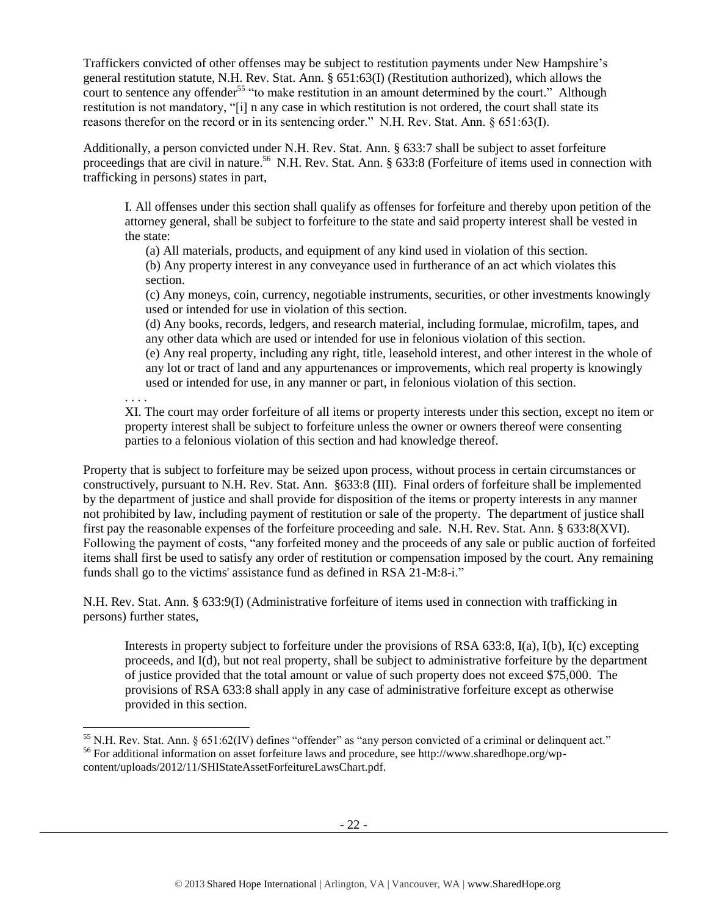Traffickers convicted of other offenses may be subject to restitution payments under New Hampshire's general restitution statute, N.H. Rev. Stat. Ann. § 651:63(I) (Restitution authorized), which allows the court to sentence any offender<sup>55</sup> "to make restitution in an amount determined by the court." Although restitution is not mandatory, "[i] n any case in which restitution is not ordered, the court shall state its reasons therefor on the record or in its sentencing order." N.H. Rev. Stat. Ann. § 651:63(I).

Additionally, a person convicted under N.H. Rev. Stat. Ann. § 633:7 shall be subject to asset forfeiture proceedings that are civil in nature.<sup>56</sup> N.H. Rev. Stat. Ann. § 633:8 (Forfeiture of items used in connection with trafficking in persons) states in part,

I. All offenses under this section shall qualify as offenses for forfeiture and thereby upon petition of the attorney general, shall be subject to forfeiture to the state and said property interest shall be vested in the state:

(a) All materials, products, and equipment of any kind used in violation of this section.

(b) Any property interest in any conveyance used in furtherance of an act which violates this section.

(c) Any moneys, coin, currency, negotiable instruments, securities, or other investments knowingly used or intended for use in violation of this section.

(d) Any books, records, ledgers, and research material, including formulae, microfilm, tapes, and any other data which are used or intended for use in felonious violation of this section.

(e) Any real property, including any right, title, leasehold interest, and other interest in the whole of any lot or tract of land and any appurtenances or improvements, which real property is knowingly used or intended for use, in any manner or part, in felonious violation of this section.

. . . .

l

XI. The court may order forfeiture of all items or property interests under this section, except no item or property interest shall be subject to forfeiture unless the owner or owners thereof were consenting parties to a felonious violation of this section and had knowledge thereof.

Property that is subject to forfeiture may be seized upon process, without process in certain circumstances or constructively, pursuant to N.H. Rev. Stat. Ann. §633:8 (III). Final orders of forfeiture shall be implemented by the department of justice and shall provide for disposition of the items or property interests in any manner not prohibited by law, including payment of restitution or sale of the property. The department of justice shall first pay the reasonable expenses of the forfeiture proceeding and sale. N.H. Rev. Stat. Ann. § 633:8(XVI). Following the payment of costs, "any forfeited money and the proceeds of any sale or public auction of forfeited items shall first be used to satisfy any order of restitution or compensation imposed by the court. Any remaining funds shall go to the victims' assistance fund as defined in RSA 21-M:8-i."

N.H. Rev. Stat. Ann. § 633:9(I) (Administrative forfeiture of items used in connection with trafficking in persons) further states,

Interests in property subject to forfeiture under the provisions of RSA 633:8, I(a), I(b), I(c) excepting proceeds, and I(d), but not real property, shall be subject to administrative forfeiture by the department of justice provided that the total amount or value of such property does not exceed \$75,000. The provisions of RSA 633:8 shall apply in any case of administrative forfeiture except as otherwise provided in this section.

 $55$  N.H. Rev. Stat. Ann. § 651:62(IV) defines "offender" as "any person convicted of a criminal or delinquent act." <sup>56</sup> For additional information on asset forfeiture laws and procedure, see http://www.sharedhope.org/wpcontent/uploads/2012/11/SHIStateAssetForfeitureLawsChart.pdf.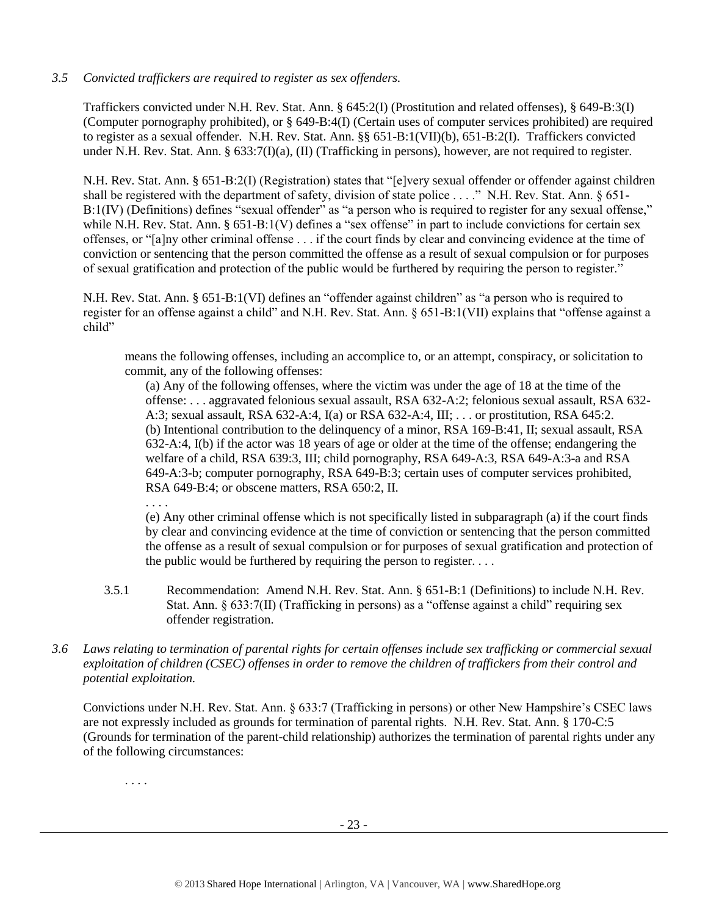## *3.5 Convicted traffickers are required to register as sex offenders.*

Traffickers convicted under N.H. Rev. Stat. Ann. § 645:2(I) (Prostitution and related offenses), § 649-B:3(I) (Computer pornography prohibited), or § 649-B:4(I) (Certain uses of computer services prohibited) are required to register as a sexual offender. N.H. Rev. Stat. Ann. §§ 651-B:1(VII)(b), 651-B:2(I). Traffickers convicted under N.H. Rev. Stat. Ann. § 633:7(I)(a), (II) (Trafficking in persons), however, are not required to register.

N.H. Rev. Stat. Ann. § 651-B:2(I) (Registration) states that "[e]very sexual offender or offender against children shall be registered with the department of safety, division of state police . . . ." N.H. Rev. Stat. Ann. § 651-B:1(IV) (Definitions) defines "sexual offender" as "a person who is required to register for any sexual offense," while N.H. Rev. Stat. Ann. § 651-B:1(V) defines a "sex offense" in part to include convictions for certain sex offenses, or "[a]ny other criminal offense . . . if the court finds by clear and convincing evidence at the time of conviction or sentencing that the person committed the offense as a result of sexual compulsion or for purposes of sexual gratification and protection of the public would be furthered by requiring the person to register."

N.H. Rev. Stat. Ann. § 651-B:1(VI) defines an "offender against children" as "a person who is required to register for an offense against a child" and N.H. Rev. Stat. Ann. § 651-B:1(VII) explains that "offense against a child"

means the following offenses, including an accomplice to, or an attempt, conspiracy, or solicitation to commit, any of the following offenses:

(a) Any of the following offenses, where the victim was under the age of 18 at the time of the offense: . . . aggravated felonious sexual assault, RSA 632-A:2; felonious sexual assault, RSA 632- A:3; sexual assault, RSA 632-A:4, I(a) or RSA 632-A:4, III; . . . or prostitution, RSA 645:2. (b) Intentional contribution to the delinquency of a minor, RSA 169-B:41, II; sexual assault, RSA 632-A:4, I(b) if the actor was 18 years of age or older at the time of the offense; endangering the welfare of a child, RSA 639:3, III; child pornography, RSA 649-A:3, RSA 649-A:3-a and RSA 649-A:3-b; computer pornography, RSA 649-B:3; certain uses of computer services prohibited, RSA 649-B:4; or obscene matters, RSA 650:2, II.

. . . .

(e) Any other criminal offense which is not specifically listed in subparagraph (a) if the court finds by clear and convincing evidence at the time of conviction or sentencing that the person committed the offense as a result of sexual compulsion or for purposes of sexual gratification and protection of the public would be furthered by requiring the person to register. . . .

- 3.5.1 Recommendation: Amend N.H. Rev. Stat. Ann. § 651-B:1 (Definitions) to include N.H. Rev. Stat. Ann. § 633:7(II) (Trafficking in persons) as a "offense against a child" requiring sex offender registration.
- *3.6 Laws relating to termination of parental rights for certain offenses include sex trafficking or commercial sexual exploitation of children (CSEC) offenses in order to remove the children of traffickers from their control and potential exploitation.*

Convictions under N.H. Rev. Stat. Ann. § 633:7 (Trafficking in persons) or other New Hampshire's CSEC laws are not expressly included as grounds for termination of parental rights. N.H. Rev. Stat. Ann. § 170-C:5 (Grounds for termination of the parent-child relationship) authorizes the termination of parental rights under any of the following circumstances:

. . . .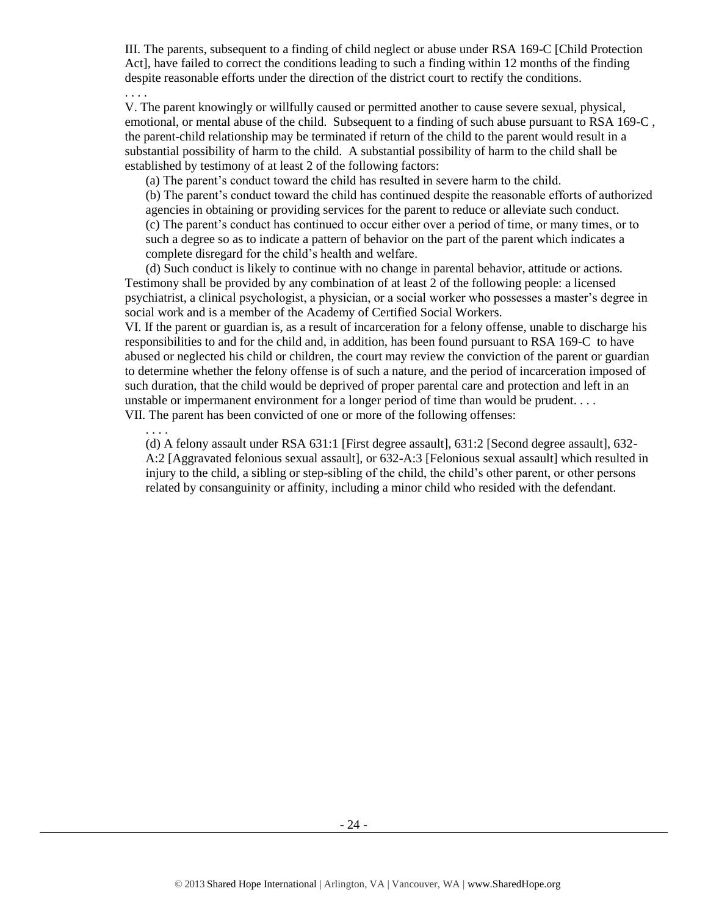III. The parents, subsequent to a finding of child neglect or abuse under RSA 169-C [Child Protection Act], have failed to correct the conditions leading to such a finding within 12 months of the finding despite reasonable efforts under the direction of the district court to rectify the conditions. . . . .

V. The parent knowingly or willfully caused or permitted another to cause severe sexual, physical, emotional, or mental abuse of the child. Subsequent to a finding of such abuse pursuant to RSA 169-C , the parent-child relationship may be terminated if return of the child to the parent would result in a substantial possibility of harm to the child. A substantial possibility of harm to the child shall be established by testimony of at least 2 of the following factors:

(a) The parent's conduct toward the child has resulted in severe harm to the child.

(b) The parent's conduct toward the child has continued despite the reasonable efforts of authorized agencies in obtaining or providing services for the parent to reduce or alleviate such conduct. (c) The parent's conduct has continued to occur either over a period of time, or many times, or to such a degree so as to indicate a pattern of behavior on the part of the parent which indicates a complete disregard for the child's health and welfare.

(d) Such conduct is likely to continue with no change in parental behavior, attitude or actions. Testimony shall be provided by any combination of at least 2 of the following people: a licensed psychiatrist, a clinical psychologist, a physician, or a social worker who possesses a master's degree in social work and is a member of the Academy of Certified Social Workers.

VI. If the parent or guardian is, as a result of incarceration for a felony offense, unable to discharge his responsibilities to and for the child and, in addition, has been found pursuant to RSA 169-C to have abused or neglected his child or children, the court may review the conviction of the parent or guardian to determine whether the felony offense is of such a nature, and the period of incarceration imposed of such duration, that the child would be deprived of proper parental care and protection and left in an unstable or impermanent environment for a longer period of time than would be prudent. . . . VII. The parent has been convicted of one or more of the following offenses:

. . . .

(d) A felony assault under RSA 631:1 [First degree assault], 631:2 [Second degree assault], 632- A:2 [Aggravated felonious sexual assault], or 632-A:3 [Felonious sexual assault] which resulted in injury to the child, a sibling or step-sibling of the child, the child's other parent, or other persons related by consanguinity or affinity, including a minor child who resided with the defendant.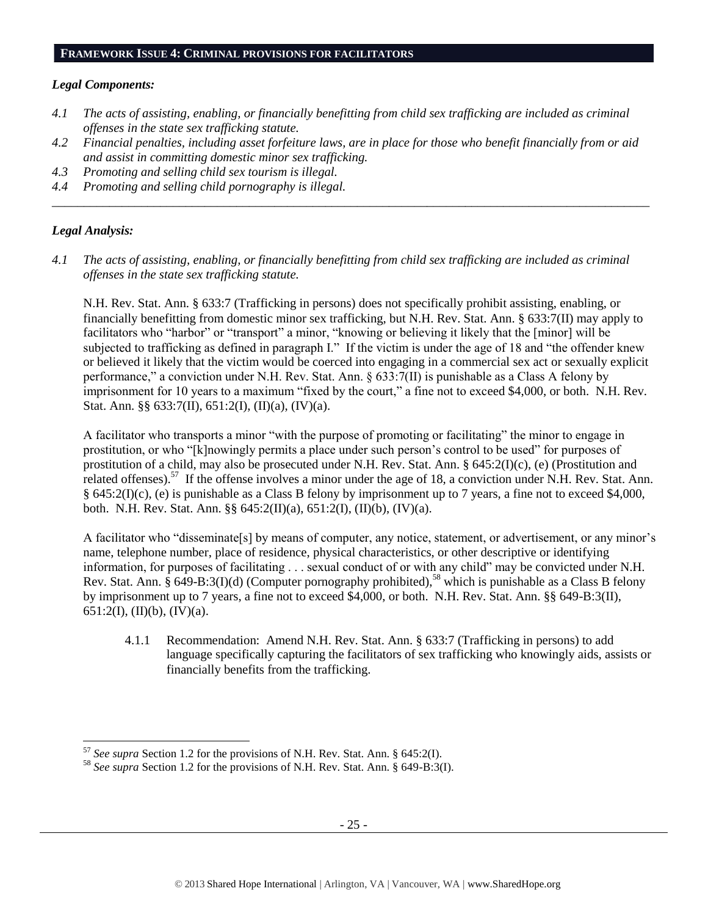#### **FRAMEWORK ISSUE 4: CRIMINAL PROVISIONS FOR FACILITATORS**

#### *Legal Components:*

- *4.1 The acts of assisting, enabling, or financially benefitting from child sex trafficking are included as criminal offenses in the state sex trafficking statute.*
- *4.2 Financial penalties, including asset forfeiture laws, are in place for those who benefit financially from or aid and assist in committing domestic minor sex trafficking.*

*\_\_\_\_\_\_\_\_\_\_\_\_\_\_\_\_\_\_\_\_\_\_\_\_\_\_\_\_\_\_\_\_\_\_\_\_\_\_\_\_\_\_\_\_\_\_\_\_\_\_\_\_\_\_\_\_\_\_\_\_\_\_\_\_\_\_\_\_\_\_\_\_\_\_\_\_\_\_\_\_\_\_\_\_\_\_\_\_\_\_\_\_\_\_*

- *4.3 Promoting and selling child sex tourism is illegal.*
- *4.4 Promoting and selling child pornography is illegal.*

#### *Legal Analysis:*

 $\overline{\phantom{a}}$ 

*4.1 The acts of assisting, enabling, or financially benefitting from child sex trafficking are included as criminal offenses in the state sex trafficking statute.*

N.H. Rev. Stat. Ann. § 633:7 (Trafficking in persons) does not specifically prohibit assisting, enabling, or financially benefitting from domestic minor sex trafficking, but N.H. Rev. Stat. Ann. § 633:7(II) may apply to facilitators who "harbor" or "transport" a minor, "knowing or believing it likely that the [minor] will be subjected to trafficking as defined in paragraph I." If the victim is under the age of 18 and "the offender knew or believed it likely that the victim would be coerced into engaging in a commercial sex act or sexually explicit performance," a conviction under N.H. Rev. Stat. Ann. § 633:7(II) is punishable as a Class A felony by imprisonment for 10 years to a maximum "fixed by the court," a fine not to exceed \$4,000, or both. N.H. Rev. Stat. Ann. §§  $633:7(II)$ ,  $651:2(I)$ ,  $(II)(a)$ ,  $(IV)(a)$ .

A facilitator who transports a minor "with the purpose of promoting or facilitating" the minor to engage in prostitution, or who "[k]nowingly permits a place under such person's control to be used" for purposes of prostitution of a child, may also be prosecuted under N.H. Rev. Stat. Ann. § 645:2(I)(c), (e) (Prostitution and related offenses).<sup>57</sup> If the offense involves a minor under the age of 18, a conviction under N.H. Rev. Stat. Ann. § 645:2(I)(c), (e) is punishable as a Class B felony by imprisonment up to 7 years, a fine not to exceed \$4,000, both. N.H. Rev. Stat. Ann. §§ 645:2(II)(a), 651:2(I), (II)(b), (IV)(a).

A facilitator who "disseminate[s] by means of computer, any notice, statement, or advertisement, or any minor's name, telephone number, place of residence, physical characteristics, or other descriptive or identifying information, for purposes of facilitating . . . sexual conduct of or with any child" may be convicted under N.H. Rev. Stat. Ann.  $\hat{\S}$  649-B:3(I)(d) (Computer pornography prohibited),<sup>58</sup> which is punishable as a Class B felony by imprisonment up to 7 years, a fine not to exceed \$4,000, or both. N.H. Rev. Stat. Ann. §§ 649-B:3(II), 651:2(I), (II)(b), (IV)(a).

4.1.1 Recommendation: Amend N.H. Rev. Stat. Ann. § 633:7 (Trafficking in persons) to add language specifically capturing the facilitators of sex trafficking who knowingly aids, assists or financially benefits from the trafficking.

<sup>57</sup> *See supra* Section 1.2 for the provisions of N.H. Rev. Stat. Ann. § 645:2(I).

<sup>58</sup> *See supra* Section 1.2 for the provisions of N.H. Rev. Stat. Ann. § 649-B:3(I).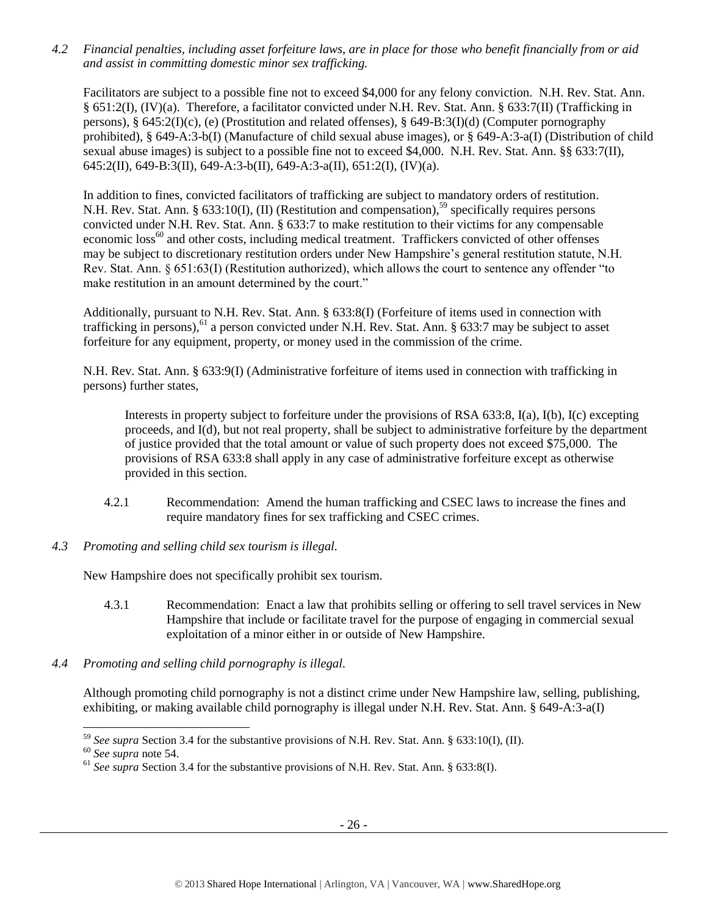*4.2 Financial penalties, including asset forfeiture laws, are in place for those who benefit financially from or aid and assist in committing domestic minor sex trafficking.*

Facilitators are subject to a possible fine not to exceed \$4,000 for any felony conviction. N.H. Rev. Stat. Ann. § 651:2(I), (IV)(a). Therefore, a facilitator convicted under N.H. Rev. Stat. Ann. § 633:7(II) (Trafficking in persons), § 645:2(I)(c), (e) (Prostitution and related offenses), § 649-B:3(I)(d) (Computer pornography prohibited), § 649-A:3-b(I) (Manufacture of child sexual abuse images), or § 649-A:3-a(I) (Distribution of child sexual abuse images) is subject to a possible fine not to exceed \$4,000. N.H. Rev. Stat. Ann. §§ 633:7(II), 645:2(II), 649-B:3(II), 649-A:3-b(II), 649-A:3-a(II), 651:2(I), (IV)(a).

In addition to fines, convicted facilitators of trafficking are subject to mandatory orders of restitution. N.H. Rev. Stat. Ann. § 633:10(I), (II) (Restitution and compensation),<sup>59</sup> specifically requires persons convicted under N.H. Rev. Stat. Ann. § 633:7 to make restitution to their victims for any compensable economic loss<sup>60</sup> and other costs, including medical treatment. Traffickers convicted of other offenses may be subject to discretionary restitution orders under New Hampshire's general restitution statute, N.H. Rev. Stat. Ann. § 651:63(I) (Restitution authorized), which allows the court to sentence any offender "to make restitution in an amount determined by the court."

Additionally, pursuant to N.H. Rev. Stat. Ann. § 633:8(I) (Forfeiture of items used in connection with trafficking in persons),  $61$  a person convicted under N.H. Rev. Stat. Ann. § 633:7 may be subject to asset forfeiture for any equipment, property, or money used in the commission of the crime.

N.H. Rev. Stat. Ann. § 633:9(I) (Administrative forfeiture of items used in connection with trafficking in persons) further states,

Interests in property subject to forfeiture under the provisions of RSA 633:8, I(a), I(b), I(c) excepting proceeds, and I(d), but not real property, shall be subject to administrative forfeiture by the department of justice provided that the total amount or value of such property does not exceed \$75,000. The provisions of RSA 633:8 shall apply in any case of administrative forfeiture except as otherwise provided in this section.

- 4.2.1 Recommendation: Amend the human trafficking and CSEC laws to increase the fines and require mandatory fines for sex trafficking and CSEC crimes.
- *4.3 Promoting and selling child sex tourism is illegal.*

New Hampshire does not specifically prohibit sex tourism.

- 4.3.1 Recommendation: Enact a law that prohibits selling or offering to sell travel services in New Hampshire that include or facilitate travel for the purpose of engaging in commercial sexual exploitation of a minor either in or outside of New Hampshire.
- *4.4 Promoting and selling child pornography is illegal.*

Although promoting child pornography is not a distinct crime under New Hampshire law, selling, publishing, exhibiting, or making available child pornography is illegal under N.H. Rev. Stat. Ann. § 649-A:3-a(I)

<sup>59</sup> *See supra* Section 3.4 for the substantive provisions of N.H. Rev. Stat. Ann. § 633:10(I), (II).

<sup>60</sup> *See supra* note [54.](#page-20-0) 

<sup>61</sup> *See supra* Section 3.4 for the substantive provisions of N.H. Rev. Stat. Ann. § 633:8(I).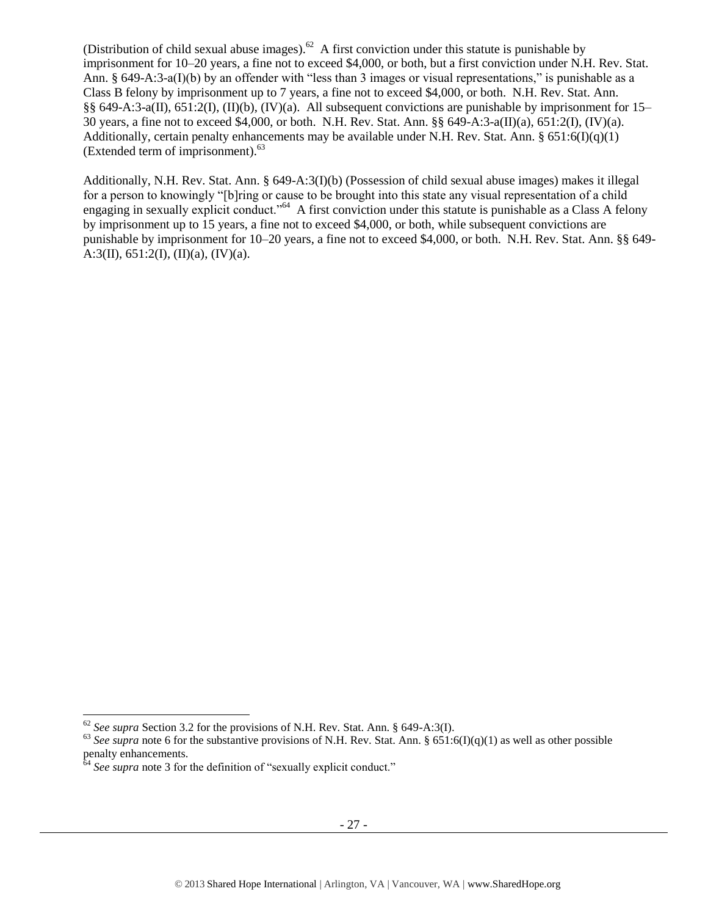(Distribution of child sexual abuse images). $62$  A first conviction under this statute is punishable by imprisonment for 10–20 years, a fine not to exceed \$4,000, or both, but a first conviction under N.H. Rev. Stat. Ann. § 649-A:3-a(I)(b) by an offender with "less than 3 images or visual representations," is punishable as a Class B felony by imprisonment up to 7 years, a fine not to exceed \$4,000, or both. N.H. Rev. Stat. Ann. §§ 649-A:3-a(II), 651:2(I), (II)(b), (IV)(a). All subsequent convictions are punishable by imprisonment for 15– 30 years, a fine not to exceed \$4,000, or both. N.H. Rev. Stat. Ann. §§ 649-A:3-a(II)(a), 651:2(I), (IV)(a). Additionally, certain penalty enhancements may be available under N.H. Rev. Stat. Ann.  $\S 651:6(D(q)(1))$ (Extended term of imprisonment).<sup>63</sup>

Additionally, N.H. Rev. Stat. Ann. § 649-A:3(I)(b) (Possession of child sexual abuse images) makes it illegal for a person to knowingly "[b]ring or cause to be brought into this state any visual representation of a child engaging in sexually explicit conduct."<sup>64</sup> A first conviction under this statute is punishable as a Class A felony by imprisonment up to 15 years, a fine not to exceed \$4,000, or both, while subsequent convictions are punishable by imprisonment for 10–20 years, a fine not to exceed \$4,000, or both. N.H. Rev. Stat. Ann. §§ 649- A:3(II),  $651:2(I), (II)(a), (IV)(a)$ .

 $\overline{a}$ 

<sup>62</sup> *See supra* Section 3.2 for the provisions of N.H. Rev. Stat. Ann. § 649-A:3(I).

<sup>&</sup>lt;sup>63</sup> See supra note [6](#page-2-1) for the substantive provisions of N.H. Rev. Stat. Ann. § 651:6(I)(q)(1) as well as other possible penalty enhancements.

<sup>&</sup>lt;sup>64</sup> See supra note [3](#page-1-0) for the definition of "sexually explicit conduct."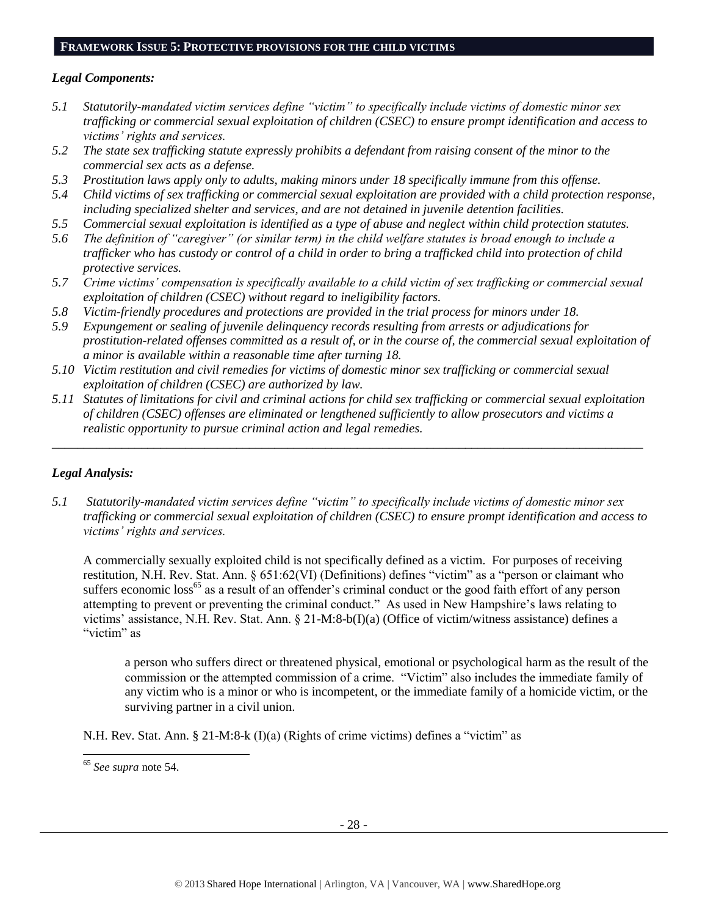#### **FRAMEWORK ISSUE 5: PROTECTIVE PROVISIONS FOR THE CHILD VICTIMS**

#### *Legal Components:*

- *5.1 Statutorily-mandated victim services define "victim" to specifically include victims of domestic minor sex trafficking or commercial sexual exploitation of children (CSEC) to ensure prompt identification and access to victims' rights and services.*
- *5.2 The state sex trafficking statute expressly prohibits a defendant from raising consent of the minor to the commercial sex acts as a defense.*
- *5.3 Prostitution laws apply only to adults, making minors under 18 specifically immune from this offense.*
- *5.4 Child victims of sex trafficking or commercial sexual exploitation are provided with a child protection response, including specialized shelter and services, and are not detained in juvenile detention facilities.*
- *5.5 Commercial sexual exploitation is identified as a type of abuse and neglect within child protection statutes.*
- *5.6 The definition of "caregiver" (or similar term) in the child welfare statutes is broad enough to include a trafficker who has custody or control of a child in order to bring a trafficked child into protection of child protective services.*
- *5.7 Crime victims' compensation is specifically available to a child victim of sex trafficking or commercial sexual exploitation of children (CSEC) without regard to ineligibility factors.*
- *5.8 Victim-friendly procedures and protections are provided in the trial process for minors under 18.*
- *5.9 Expungement or sealing of juvenile delinquency records resulting from arrests or adjudications for prostitution-related offenses committed as a result of, or in the course of, the commercial sexual exploitation of a minor is available within a reasonable time after turning 18.*
- *5.10 Victim restitution and civil remedies for victims of domestic minor sex trafficking or commercial sexual exploitation of children (CSEC) are authorized by law.*
- *5.11 Statutes of limitations for civil and criminal actions for child sex trafficking or commercial sexual exploitation of children (CSEC) offenses are eliminated or lengthened sufficiently to allow prosecutors and victims a realistic opportunity to pursue criminal action and legal remedies.*

*\_\_\_\_\_\_\_\_\_\_\_\_\_\_\_\_\_\_\_\_\_\_\_\_\_\_\_\_\_\_\_\_\_\_\_\_\_\_\_\_\_\_\_\_\_\_\_\_\_\_\_\_\_\_\_\_\_\_\_\_\_\_\_\_\_\_\_\_\_\_\_\_\_\_\_\_\_\_\_\_\_\_\_\_\_\_\_\_\_\_\_\_\_*

## *Legal Analysis:*

*5.1 Statutorily-mandated victim services define "victim" to specifically include victims of domestic minor sex trafficking or commercial sexual exploitation of children (CSEC) to ensure prompt identification and access to victims' rights and services.* 

A commercially sexually exploited child is not specifically defined as a victim. For purposes of receiving restitution, N.H. Rev. Stat. Ann. § 651:62(VI) (Definitions) defines "victim" as a "person or claimant who suffers economic loss<sup>65</sup> as a result of an offender's criminal conduct or the good faith effort of any person attempting to prevent or preventing the criminal conduct." As used in New Hampshire's laws relating to victims' assistance, N.H. Rev. Stat. Ann. § 21-M:8-b(I)(a) (Office of victim/witness assistance) defines a "victim" as

a person who suffers direct or threatened physical, emotional or psychological harm as the result of the commission or the attempted commission of a crime. "Victim" also includes the immediate family of any victim who is a minor or who is incompetent, or the immediate family of a homicide victim, or the surviving partner in a civil union.

N.H. Rev. Stat. Ann. § 21-M:8-k (I)(a) (Rights of crime victims) defines a "victim" as

<sup>65</sup> *See supra* note [54.](#page-20-0)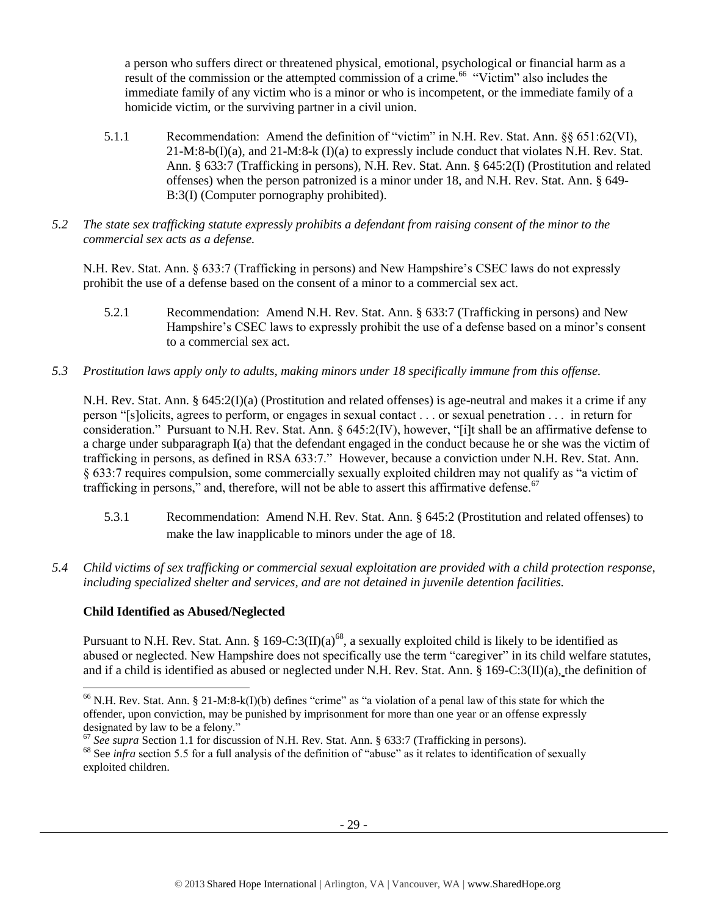a person who suffers direct or threatened physical, emotional, psychological or financial harm as a result of the commission or the attempted commission of a crime.<sup>66</sup> "Victim" also includes the immediate family of any victim who is a minor or who is incompetent, or the immediate family of a homicide victim, or the surviving partner in a civil union.

- 5.1.1 Recommendation: Amend the definition of "victim" in N.H. Rev. Stat. Ann. §§ 651:62(VI),  $21-M:8-b(1)(a)$ , and  $21-M:8-k(1)(a)$  to expressly include conduct that violates N.H. Rev. Stat. Ann. § 633:7 (Trafficking in persons), N.H. Rev. Stat. Ann. § 645:2(I) (Prostitution and related offenses) when the person patronized is a minor under 18, and N.H. Rev. Stat. Ann. § 649- B:3(I) (Computer pornography prohibited).
- *5.2 The state sex trafficking statute expressly prohibits a defendant from raising consent of the minor to the commercial sex acts as a defense.*

N.H. Rev. Stat. Ann. § 633:7 (Trafficking in persons) and New Hampshire's CSEC laws do not expressly prohibit the use of a defense based on the consent of a minor to a commercial sex act.

- 5.2.1 Recommendation: Amend N.H. Rev. Stat. Ann. § 633:7 (Trafficking in persons) and New Hampshire's CSEC laws to expressly prohibit the use of a defense based on a minor's consent to a commercial sex act.
- *5.3 Prostitution laws apply only to adults, making minors under 18 specifically immune from this offense.*

N.H. Rev. Stat. Ann. § 645:2(I)(a) (Prostitution and related offenses) is age-neutral and makes it a crime if any person "[s]olicits, agrees to perform, or engages in sexual contact . . . or sexual penetration . . . in return for consideration." Pursuant to N.H. Rev. Stat. Ann. § 645:2(IV), however, "[i]t shall be an affirmative defense to a charge under subparagraph I(a) that the defendant engaged in the conduct because he or she was the victim of trafficking in persons, as defined in RSA 633:7." However, because a conviction under N.H. Rev. Stat. Ann. § 633:7 requires compulsion, some commercially sexually exploited children may not qualify as "a victim of trafficking in persons," and, therefore, will not be able to assert this affirmative defense.<sup>67</sup>

- 5.3.1 Recommendation: Amend N.H. Rev. Stat. Ann. § 645:2 (Prostitution and related offenses) to make the law inapplicable to minors under the age of 18.
- *5.4 Child victims of sex trafficking or commercial sexual exploitation are provided with a child protection response, including specialized shelter and services, and are not detained in juvenile detention facilities.*

## **Child Identified as Abused/Neglected**

l

Pursuant to N.H. Rev. Stat. Ann. § 169-C:3(II)(a)<sup>68</sup>, a sexually exploited child is likely to be identified as abused or neglected. New Hampshire does not specifically use the term "caregiver" in its child welfare statutes, and if a child is identified as abused or neglected under N.H. Rev. Stat. Ann. § 169-C:3(II)(a), the definition of

<sup>&</sup>lt;sup>66</sup> N.H. Rev. Stat. Ann. § 21-M:8-k(I)(b) defines "crime" as "a violation of a penal law of this state for which the offender, upon conviction, may be punished by imprisonment for more than one year or an offense expressly designated by law to be a felony."

<sup>&</sup>lt;sup>67</sup> See supra Section 1.1 for discussion of N.H. Rev. Stat. Ann. § 633:7 (Trafficking in persons).

<sup>&</sup>lt;sup>68</sup> See *infra* section 5.5 for a full analysis of the definition of "abuse" as it relates to identification of sexually exploited children.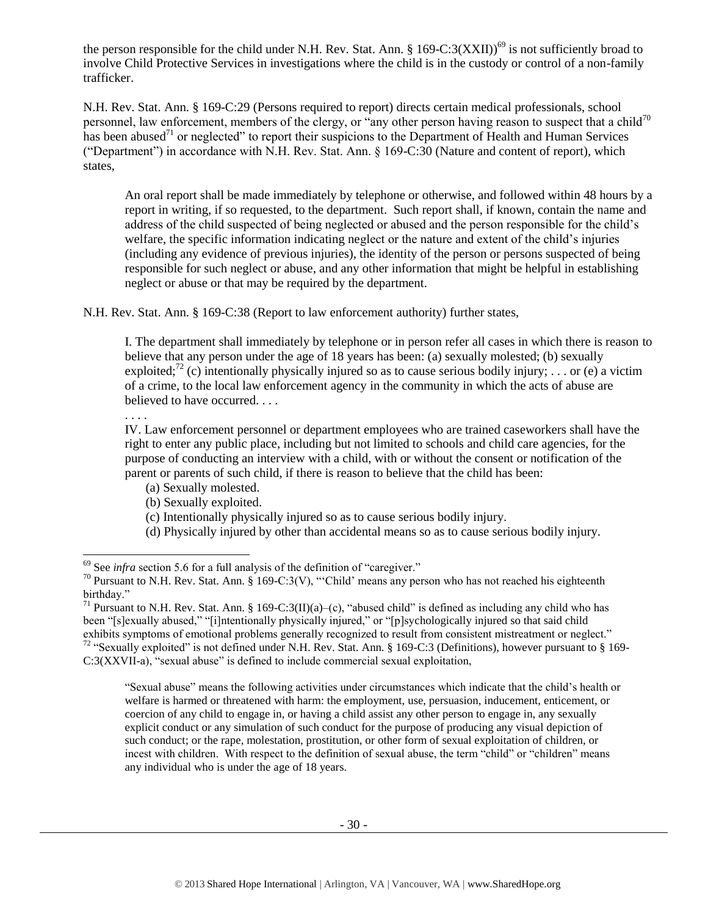the person responsible for the child under N.H. Rev. Stat. Ann.  $\S 169-C:3(XXII))^6$  is not sufficiently broad to involve Child Protective Services in investigations where the child is in the custody or control of a non-family trafficker.

N.H. Rev. Stat. Ann. § 169-C:29 (Persons required to report) directs certain medical professionals, school personnel, law enforcement, members of the clergy, or "any other person having reason to suspect that a child<sup>70</sup> has been abused<sup>71</sup> or neglected" to report their suspicions to the Department of Health and Human Services ("Department") in accordance with N.H. Rev. Stat. Ann. § 169-C:30 (Nature and content of report), which states,

An oral report shall be made immediately by telephone or otherwise, and followed within 48 hours by a report in writing, if so requested, to the department. Such report shall, if known, contain the name and address of the child suspected of being neglected or abused and the person responsible for the child's welfare, the specific information indicating neglect or the nature and extent of the child's injuries (including any evidence of previous injuries), the identity of the person or persons suspected of being responsible for such neglect or abuse, and any other information that might be helpful in establishing neglect or abuse or that may be required by the department.

N.H. Rev. Stat. Ann. § 169-C:38 (Report to law enforcement authority) further states,

I. The department shall immediately by telephone or in person refer all cases in which there is reason to believe that any person under the age of 18 years has been: (a) sexually molested; (b) sexually exploited;<sup>72</sup> (c) intentionally physically injured so as to cause serious bodily injury; ... or (e) a victim of a crime, to the local law enforcement agency in the community in which the acts of abuse are believed to have occurred. . . .

. . . .

 $\overline{a}$ 

IV. Law enforcement personnel or department employees who are trained caseworkers shall have the right to enter any public place, including but not limited to schools and child care agencies, for the purpose of conducting an interview with a child, with or without the consent or notification of the parent or parents of such child, if there is reason to believe that the child has been:

- (a) Sexually molested.
- (b) Sexually exploited.
- (c) Intentionally physically injured so as to cause serious bodily injury.
- (d) Physically injured by other than accidental means so as to cause serious bodily injury.

"Sexual abuse" means the following activities under circumstances which indicate that the child's health or welfare is harmed or threatened with harm: the employment, use, persuasion, inducement, enticement, or coercion of any child to engage in, or having a child assist any other person to engage in, any sexually explicit conduct or any simulation of such conduct for the purpose of producing any visual depiction of such conduct; or the rape, molestation, prostitution, or other form of sexual exploitation of children, or incest with children. With respect to the definition of sexual abuse, the term "child" or "children" means any individual who is under the age of 18 years.

<sup>&</sup>lt;sup>69</sup> See *infra* section 5.6 for a full analysis of the definition of "caregiver."

<sup>70</sup> Pursuant to N.H. Rev. Stat. Ann. § 169-C:3(V), "'Child' means any person who has not reached his eighteenth birthday."

<sup>&</sup>lt;sup>71</sup> Pursuant to N.H. Rev. Stat. Ann. § 169-C:3(II)(a)–(c), "abused child" is defined as including any child who has been "[s]exually abused," "[i]ntentionally physically injured," or "[p]sychologically injured so that said child exhibits symptoms of emotional problems generally recognized to result from consistent mistreatment or neglect." <sup>72</sup> "Sexually exploited" is not defined under N.H. Rev. Stat. Ann. § 169-C:3 (Definitions), however pursuant to § 169- C:3(XXVII-a), "sexual abuse" is defined to include commercial sexual exploitation,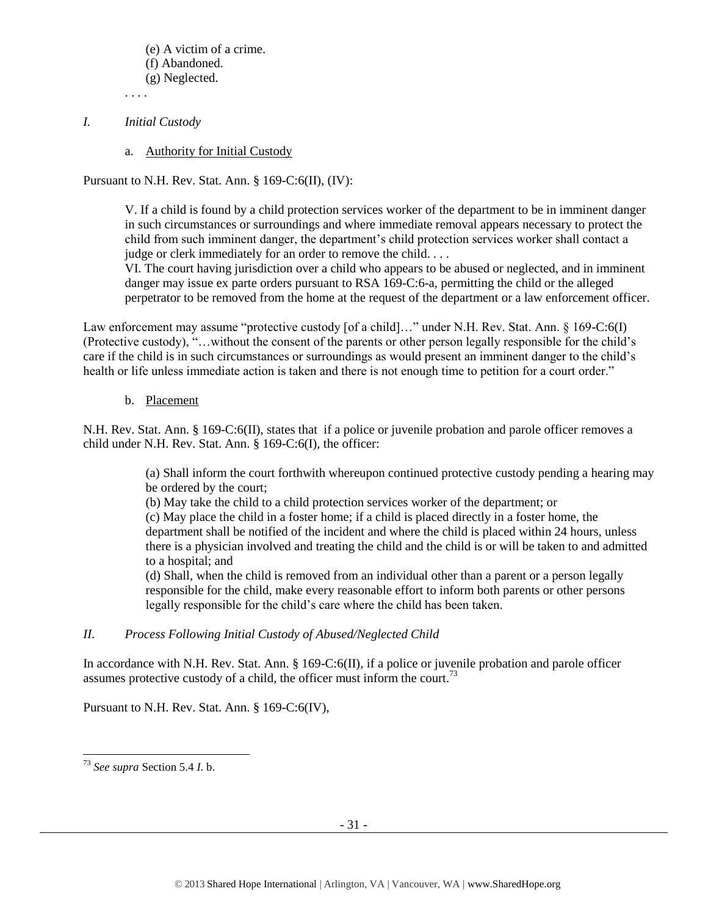(e) A victim of a crime. (f) Abandoned. (g) Neglected.

. . . .

- *I. Initial Custody*
	- a. Authority for Initial Custody

Pursuant to N.H. Rev. Stat. Ann. § 169-C:6(II), (IV):

V. If a child is found by a child protection services worker of the department to be in imminent danger in such circumstances or surroundings and where immediate removal appears necessary to protect the child from such imminent danger, the department's child protection services worker shall contact a judge or clerk immediately for an order to remove the child. . . .

VI. The court having jurisdiction over a child who appears to be abused or neglected, and in imminent danger may issue ex parte orders pursuant to RSA 169-C:6-a, permitting the child or the alleged perpetrator to be removed from the home at the request of the department or a law enforcement officer.

Law enforcement may assume "protective custody [of a child]…" under N.H. Rev. Stat. Ann. § 169-C:6(I) (Protective custody), "…without the consent of the parents or other person legally responsible for the child's care if the child is in such circumstances or surroundings as would present an imminent danger to the child's health or life unless immediate action is taken and there is not enough time to petition for a court order."

## b. Placement

N.H. Rev. Stat. Ann. § 169-C:6(II), states that if a police or juvenile probation and parole officer removes a child under N.H. Rev. Stat. Ann. § 169-C:6(I), the officer:

> (a) Shall inform the court forthwith whereupon continued protective custody pending a hearing may be ordered by the court;

(b) May take the child to a child protection services worker of the department; or

(c) May place the child in a foster home; if a child is placed directly in a foster home, the department shall be notified of the incident and where the child is placed within 24 hours, unless there is a physician involved and treating the child and the child is or will be taken to and admitted to a hospital; and

(d) Shall, when the child is removed from an individual other than a parent or a person legally responsible for the child, make every reasonable effort to inform both parents or other persons legally responsible for the child's care where the child has been taken.

## *II. Process Following Initial Custody of Abused/Neglected Child*

In accordance with N.H. Rev. Stat. Ann. § 169-C:6(II), if a police or juvenile probation and parole officer assumes protective custody of a child, the officer must inform the court.<sup>73</sup>

Pursuant to N.H. Rev. Stat. Ann. § 169-C:6(IV),

l <sup>73</sup> *See supra* Section 5.4 *I*. b.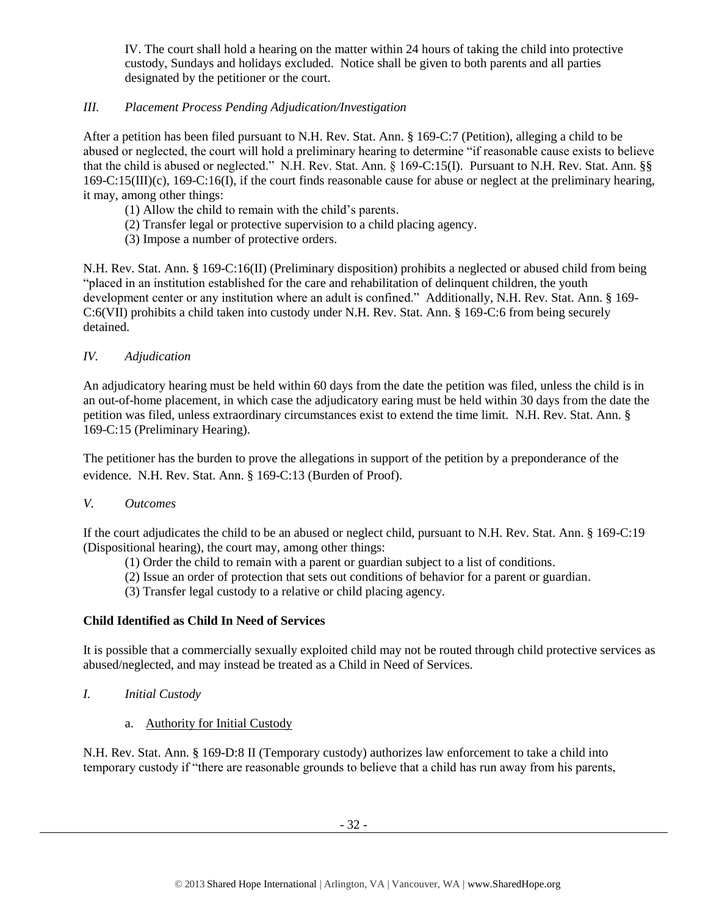IV. The court shall hold a hearing on the matter within 24 hours of taking the child into protective custody, Sundays and holidays excluded. Notice shall be given to both parents and all parties designated by the petitioner or the court.

## *III. Placement Process Pending Adjudication/Investigation*

After a petition has been filed pursuant to N.H. Rev. Stat. Ann. § 169-C:7 (Petition), alleging a child to be abused or neglected, the court will hold a preliminary hearing to determine "if reasonable cause exists to believe that the child is abused or neglected." N.H. Rev. Stat. Ann. § 169-C:15(I). Pursuant to N.H. Rev. Stat. Ann. §§ 169-C:15(III)(c), 169-C:16(I), if the court finds reasonable cause for abuse or neglect at the preliminary hearing, it may, among other things:

- (1) Allow the child to remain with the child's parents.
- (2) Transfer legal or protective supervision to a child placing agency.
- (3) Impose a number of protective orders.

N.H. Rev. Stat. Ann. § 169-C:16(II) (Preliminary disposition) prohibits a neglected or abused child from being "placed in an institution established for the care and rehabilitation of delinquent children, the youth development center or any institution where an adult is confined." Additionally, N.H. Rev. Stat. Ann. § 169- C:6(VII) prohibits a child taken into custody under N.H. Rev. Stat. Ann. § 169-C:6 from being securely detained.

## *IV. Adjudication*

An adjudicatory hearing must be held within 60 days from the date the petition was filed, unless the child is in an out-of-home placement, in which case the adjudicatory earing must be held within 30 days from the date the petition was filed, unless extraordinary circumstances exist to extend the time limit. N.H. Rev. Stat. Ann. § 169-C:15 (Preliminary Hearing).

The petitioner has the burden to prove the allegations in support of the petition by a preponderance of the evidence. N.H. Rev. Stat. Ann. § 169-C:13 (Burden of Proof).

## *V. Outcomes*

If the court adjudicates the child to be an abused or neglect child, pursuant to N.H. Rev. Stat. Ann. § 169-C:19 (Dispositional hearing), the court may, among other things:

- (1) Order the child to remain with a parent or guardian subject to a list of conditions.
- (2) Issue an order of protection that sets out conditions of behavior for a parent or guardian.
- (3) Transfer legal custody to a relative or child placing agency.

## **Child Identified as Child In Need of Services**

It is possible that a commercially sexually exploited child may not be routed through child protective services as abused/neglected, and may instead be treated as a Child in Need of Services.

- *I. Initial Custody*
	- a. Authority for Initial Custody

N.H. Rev. Stat. Ann. § 169-D:8 II (Temporary custody) authorizes law enforcement to take a child into temporary custody if "there are reasonable grounds to believe that a child has run away from his parents,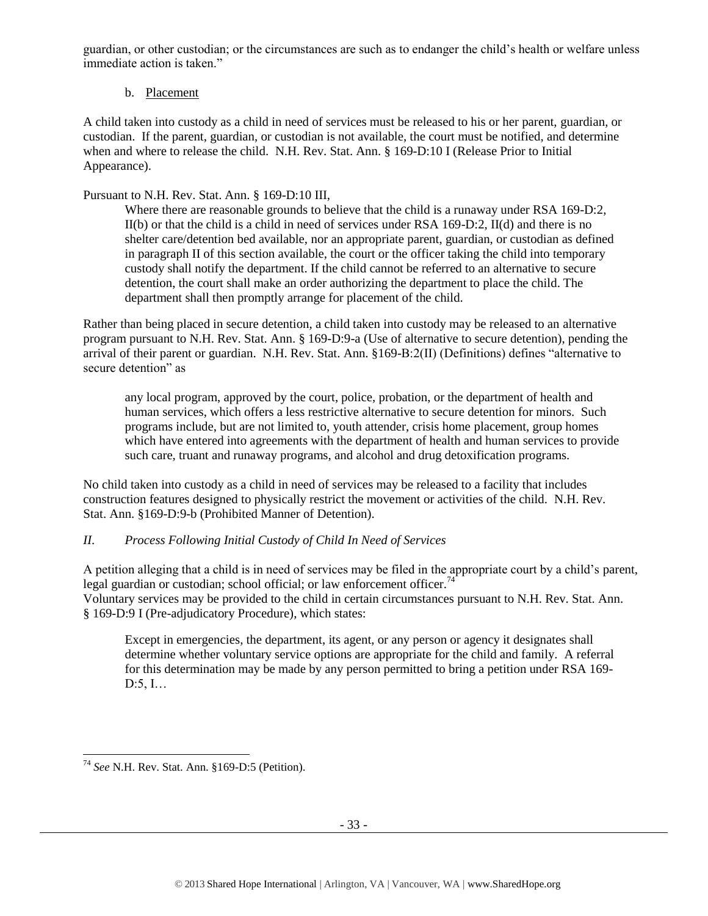guardian, or other custodian; or the circumstances are such as to endanger the child's health or welfare unless immediate action is taken."

## b. Placement

A child taken into custody as a child in need of services must be released to his or her parent, guardian, or custodian. If the parent, guardian, or custodian is not available, the court must be notified, and determine when and where to release the child. N.H. Rev. Stat. Ann. § 169-D:10 I (Release Prior to Initial Appearance).

## Pursuant to N.H. Rev. Stat. Ann. § 169-D:10 III,

Where there are reasonable grounds to believe that the child is a runaway under RSA 169-D:2, II(b) or that the child is a child in need of services under RSA 169-D:2, II(d) and there is no shelter care/detention bed available, nor an appropriate parent, guardian, or custodian as defined in paragraph II of this section available, the court or the officer taking the child into temporary custody shall notify the department. If the child cannot be referred to an alternative to secure detention, the court shall make an order authorizing the department to place the child. The department shall then promptly arrange for placement of the child.

Rather than being placed in secure detention, a child taken into custody may be released to an alternative program pursuant to N.H. Rev. Stat. Ann. § 169-D:9-a (Use of alternative to secure detention), pending the arrival of their parent or guardian. N.H. Rev. Stat. Ann. §169-B:2(II) (Definitions) defines "alternative to secure detention" as

any local program, approved by the court, police, probation, or the department of health and human services, which offers a less restrictive alternative to secure detention for minors. Such programs include, but are not limited to, youth attender, crisis home placement, group homes which have entered into agreements with the department of health and human services to provide such care, truant and runaway programs, and alcohol and drug detoxification programs.

No child taken into custody as a child in need of services may be released to a facility that includes construction features designed to physically restrict the movement or activities of the child. N.H. Rev. Stat. Ann. §169-D:9-b (Prohibited Manner of Detention).

## *II. Process Following Initial Custody of Child In Need of Services*

A petition alleging that a child is in need of services may be filed in the appropriate court by a child's parent, legal guardian or custodian; school official; or law enforcement officer.<sup>74</sup> Voluntary services may be provided to the child in certain circumstances pursuant to N.H. Rev. Stat. Ann. § 169-D:9 I (Pre-adjudicatory Procedure), which states:

Except in emergencies, the department, its agent, or any person or agency it designates shall determine whether voluntary service options are appropriate for the child and family. A referral for this determination may be made by any person permitted to bring a petition under RSA 169- D:5, I…

l <sup>74</sup> *See* N.H. Rev. Stat. Ann. §169-D:5 (Petition).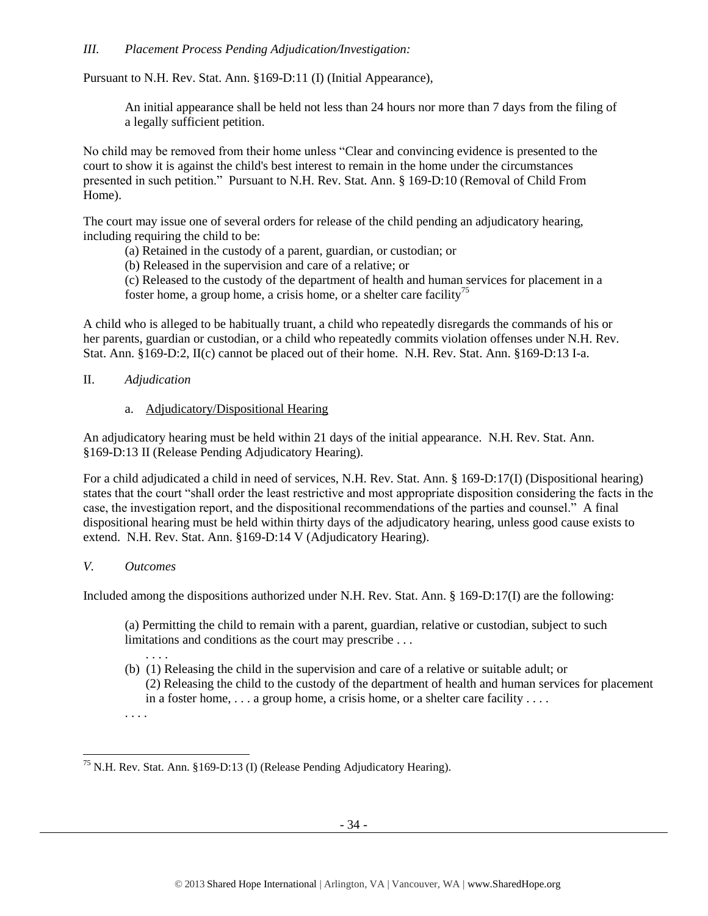## *III. Placement Process Pending Adjudication/Investigation:*

Pursuant to N.H. Rev. Stat. Ann. §169-D:11 (I) (Initial Appearance),

An initial appearance shall be held not less than 24 hours nor more than 7 days from the filing of a legally sufficient petition.

No child may be removed from their home unless "Clear and convincing evidence is presented to the court to show it is against the child's best interest to remain in the home under the circumstances presented in such petition." Pursuant to N.H. Rev. Stat. Ann. § 169-D:10 (Removal of Child From Home).

The court may issue one of several orders for release of the child pending an adjudicatory hearing, including requiring the child to be:

(a) Retained in the custody of a parent, guardian, or custodian; or

(b) Released in the supervision and care of a relative; or

(c) Released to the custody of the department of health and human services for placement in a foster home, a group home, a crisis home, or a shelter care facility<sup>75</sup>

A child who is alleged to be habitually truant, a child who repeatedly disregards the commands of his or her parents, guardian or custodian, or a child who repeatedly commits violation offenses under N.H. Rev. Stat. Ann. §169-D:2, II(c) cannot be placed out of their home. N.H. Rev. Stat. Ann. §169-D:13 I-a.

- II. *Adjudication*
	- a. Adjudicatory/Dispositional Hearing

An adjudicatory hearing must be held within 21 days of the initial appearance. N.H. Rev. Stat. Ann. §169-D:13 II (Release Pending Adjudicatory Hearing).

For a child adjudicated a child in need of services, N.H. Rev. Stat. Ann. § 169-D:17(I) (Dispositional hearing) states that the court "shall order the least restrictive and most appropriate disposition considering the facts in the case, the investigation report, and the dispositional recommendations of the parties and counsel." A final dispositional hearing must be held within thirty days of the adjudicatory hearing, unless good cause exists to extend. N.H. Rev. Stat. Ann. §169-D:14 V (Adjudicatory Hearing).

## *V. Outcomes*

l

Included among the dispositions authorized under N.H. Rev. Stat. Ann. § 169-D:17(I) are the following:

(a) Permitting the child to remain with a parent, guardian, relative or custodian, subject to such limitations and conditions as the court may prescribe . . .

. . . . (b) (1) Releasing the child in the supervision and care of a relative or suitable adult; or (2) Releasing the child to the custody of the department of health and human services for placement in a foster home, . . . a group home, a crisis home, or a shelter care facility . . . . . . . .

<sup>&</sup>lt;sup>75</sup> N.H. Rev. Stat. Ann. §169-D:13 (I) (Release Pending Adjudicatory Hearing).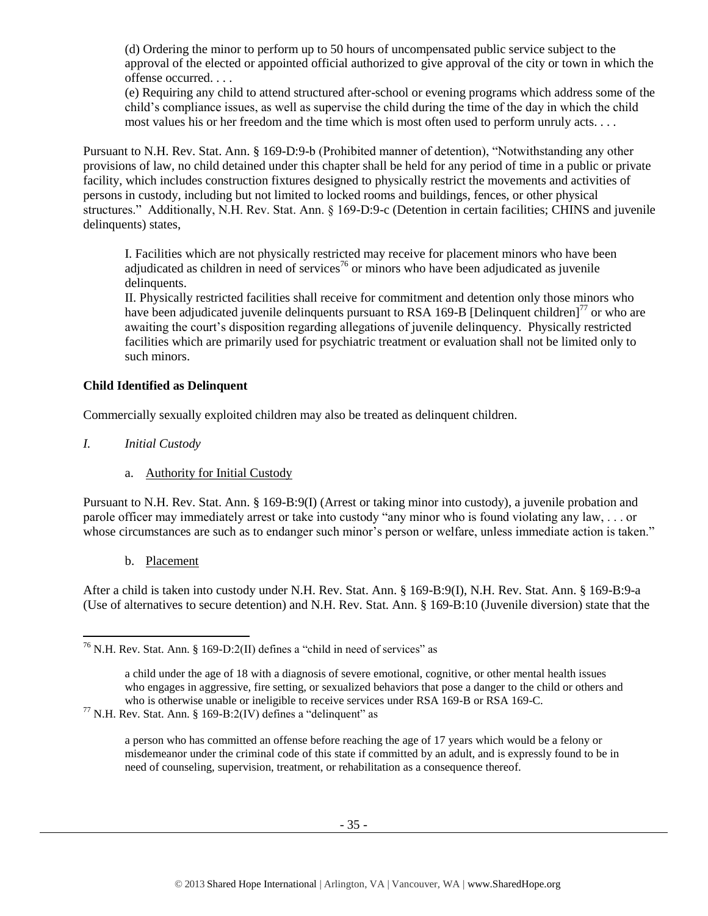(d) Ordering the minor to perform up to 50 hours of uncompensated public service subject to the approval of the elected or appointed official authorized to give approval of the city or town in which the offense occurred. . . .

(e) Requiring any child to attend structured after-school or evening programs which address some of the child's compliance issues, as well as supervise the child during the time of the day in which the child most values his or her freedom and the time which is most often used to perform unruly acts. . . .

Pursuant to N.H. Rev. Stat. Ann. § 169-D:9-b (Prohibited manner of detention), "Notwithstanding any other provisions of law, no child detained under this chapter shall be held for any period of time in a public or private facility, which includes construction fixtures designed to physically restrict the movements and activities of persons in custody, including but not limited to locked rooms and buildings, fences, or other physical structures." Additionally, N.H. Rev. Stat. Ann. § 169-D:9-c (Detention in certain facilities; CHINS and juvenile delinquents) states,

I. Facilities which are not physically restricted may receive for placement minors who have been adjudicated as children in need of services<sup>76</sup> or minors who have been adjudicated as juvenile delinquents.

II. Physically restricted facilities shall receive for commitment and detention only those minors who have been adjudicated juvenile delinquents pursuant to RSA 169-B [Delinquent children]<sup>77</sup> or who are awaiting the court's disposition regarding allegations of juvenile delinquency. Physically restricted facilities which are primarily used for psychiatric treatment or evaluation shall not be limited only to such minors.

## **Child Identified as Delinquent**

Commercially sexually exploited children may also be treated as delinquent children.

- *I. Initial Custody*
	- a. Authority for Initial Custody

Pursuant to N.H. Rev. Stat. Ann. § 169-B:9(I) (Arrest or taking minor into custody), a juvenile probation and parole officer may immediately arrest or take into custody "any minor who is found violating any law, . . . or whose circumstances are such as to endanger such minor's person or welfare, unless immediate action is taken."

b. Placement

l

After a child is taken into custody under N.H. Rev. Stat. Ann. § 169-B:9(I), N.H. Rev. Stat. Ann. § 169-B:9-a (Use of alternatives to secure detention) and N.H. Rev. Stat. Ann. § 169-B:10 (Juvenile diversion) state that the

a person who has committed an offense before reaching the age of 17 years which would be a felony or misdemeanor under the criminal code of this state if committed by an adult, and is expressly found to be in need of counseling, supervision, treatment, or rehabilitation as a consequence thereof.

 $76$  N.H. Rev. Stat. Ann. § 169-D:2(II) defines a "child in need of services" as

a child under the age of 18 with a diagnosis of severe emotional, cognitive, or other mental health issues who engages in aggressive, fire setting, or sexualized behaviors that pose a danger to the child or others and who is otherwise unable or ineligible to receive services under RSA 169-B or RSA 169-C.

 $77$  N.H. Rev. Stat. Ann. § 169-B:2(IV) defines a "delinguent" as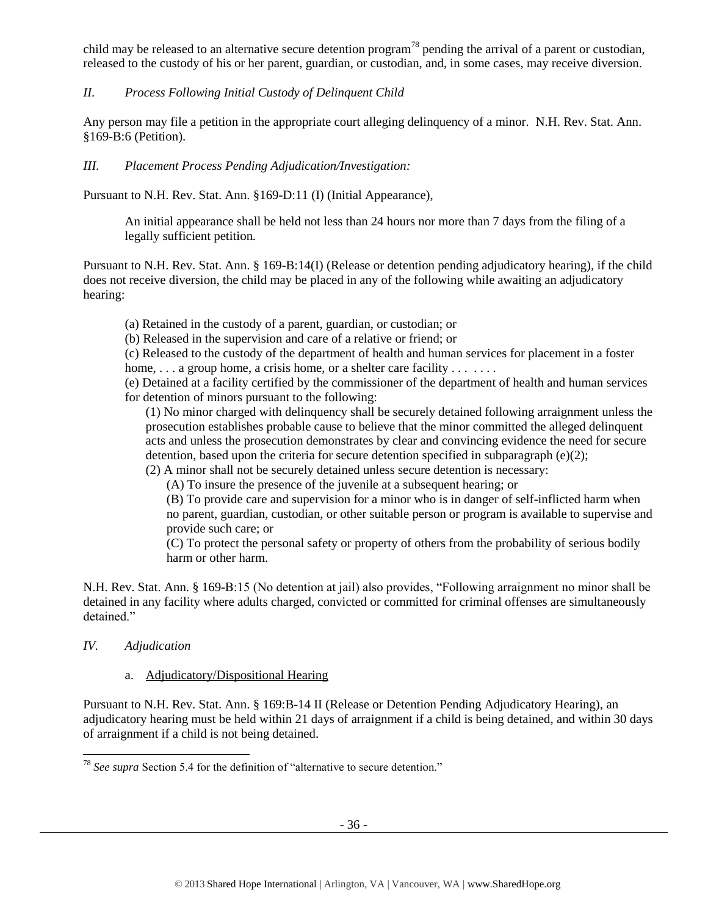child may be released to an alternative secure detention program<sup>78</sup> pending the arrival of a parent or custodian, released to the custody of his or her parent, guardian, or custodian, and, in some cases, may receive diversion.

## *II. Process Following Initial Custody of Delinquent Child*

Any person may file a petition in the appropriate court alleging delinquency of a minor. N.H. Rev. Stat. Ann. §169-B:6 (Petition).

## *III. Placement Process Pending Adjudication/Investigation:*

Pursuant to N.H. Rev. Stat. Ann. §169-D:11 (I) (Initial Appearance),

An initial appearance shall be held not less than 24 hours nor more than 7 days from the filing of a legally sufficient petition.

Pursuant to N.H. Rev. Stat. Ann. § 169-B:14(I) (Release or detention pending adjudicatory hearing), if the child does not receive diversion, the child may be placed in any of the following while awaiting an adjudicatory hearing:

(a) Retained in the custody of a parent, guardian, or custodian; or

(b) Released in the supervision and care of a relative or friend; or

(c) Released to the custody of the department of health and human services for placement in a foster home,  $\dots$  a group home, a crisis home, or a shelter care facility  $\dots$ ...

(e) Detained at a facility certified by the commissioner of the department of health and human services for detention of minors pursuant to the following:

(1) No minor charged with delinquency shall be securely detained following arraignment unless the prosecution establishes probable cause to believe that the minor committed the alleged delinquent acts and unless the prosecution demonstrates by clear and convincing evidence the need for secure detention, based upon the criteria for secure detention specified in subparagraph  $(e)(2)$ ;

(2) A minor shall not be securely detained unless secure detention is necessary:

(A) To insure the presence of the juvenile at a subsequent hearing; or

(B) To provide care and supervision for a minor who is in danger of self-inflicted harm when no parent, guardian, custodian, or other suitable person or program is available to supervise and provide such care; or

(C) To protect the personal safety or property of others from the probability of serious bodily harm or other harm.

N.H. Rev. Stat. Ann. § 169-B:15 (No detention at jail) also provides, "Following arraignment no minor shall be detained in any facility where adults charged, convicted or committed for criminal offenses are simultaneously detained."

## *IV. Adjudication*

l

## a. Adjudicatory/Dispositional Hearing

Pursuant to N.H. Rev. Stat. Ann. § 169:B-14 II (Release or Detention Pending Adjudicatory Hearing), an adjudicatory hearing must be held within 21 days of arraignment if a child is being detained, and within 30 days of arraignment if a child is not being detained.

<sup>78</sup> *See supra* Section 5.4 for the definition of "alternative to secure detention."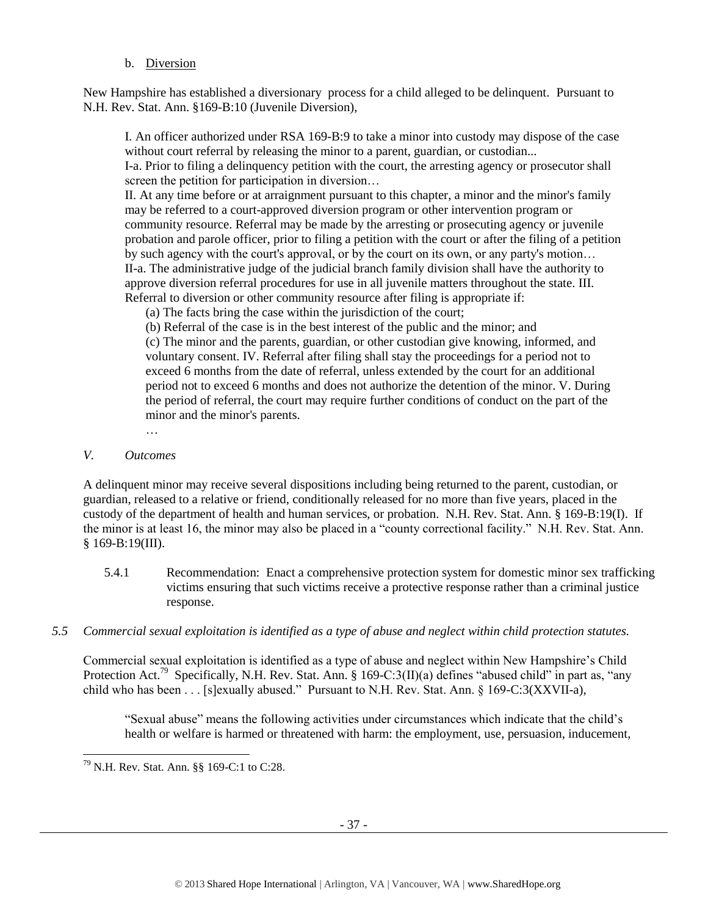## b. Diversion

New Hampshire has established a diversionary process for a child alleged to be delinquent. Pursuant to N.H. Rev. Stat. Ann. §169-B:10 (Juvenile Diversion),

I. An officer authorized under RSA 169-B:9 to take a minor into custody may dispose of the case without court referral by releasing the minor to a parent, guardian, or custodian...

I-a. Prior to filing a delinquency petition with the court, the arresting agency or prosecutor shall screen the petition for participation in diversion...

II. At any time before or at arraignment pursuant to this chapter, a minor and the minor's family may be referred to a court-approved diversion program or other intervention program or community resource. Referral may be made by the arresting or prosecuting agency or juvenile probation and parole officer, prior to filing a petition with the court or after the filing of a petition by such agency with the court's approval, or by the court on its own, or any party's motion… II-a. The administrative judge of the judicial branch family division shall have the authority to approve diversion referral procedures for use in all juvenile matters throughout the state. III. Referral to diversion or other community resource after filing is appropriate if:

(a) The facts bring the case within the jurisdiction of the court;

(b) Referral of the case is in the best interest of the public and the minor; and

(c) The minor and the parents, guardian, or other custodian give knowing, informed, and voluntary consent. IV. Referral after filing shall stay the proceedings for a period not to exceed 6 months from the date of referral, unless extended by the court for an additional period not to exceed 6 months and does not authorize the detention of the minor. V. During the period of referral, the court may require further conditions of conduct on the part of the minor and the minor's parents.

## *V. Outcomes*

A delinquent minor may receive several dispositions including being returned to the parent, custodian, or guardian, released to a relative or friend, conditionally released for no more than five years, placed in the custody of the department of health and human services, or probation. N.H. Rev. Stat. Ann. § 169-B:19(I). If the minor is at least 16, the minor may also be placed in a "county correctional facility." N.H. Rev. Stat. Ann. § 169-B:19(III).

5.4.1 Recommendation: Enact a comprehensive protection system for domestic minor sex trafficking victims ensuring that such victims receive a protective response rather than a criminal justice response.

## *5.5 Commercial sexual exploitation is identified as a type of abuse and neglect within child protection statutes.*

Commercial sexual exploitation is identified as a type of abuse and neglect within New Hampshire's Child Protection Act.<sup>79</sup> Specifically, N.H. Rev. Stat. Ann. § 169-C:3(II)(a) defines "abused child" in part as, "any child who has been . . . [s]exually abused." Pursuant to N.H. Rev. Stat. Ann. § 169-C:3(XXVII-a),

"Sexual abuse" means the following activities under circumstances which indicate that the child's health or welfare is harmed or threatened with harm: the employment, use, persuasion, inducement,

<sup>79</sup> N.H. Rev. Stat. Ann. §§ 169-C:1 to C:28.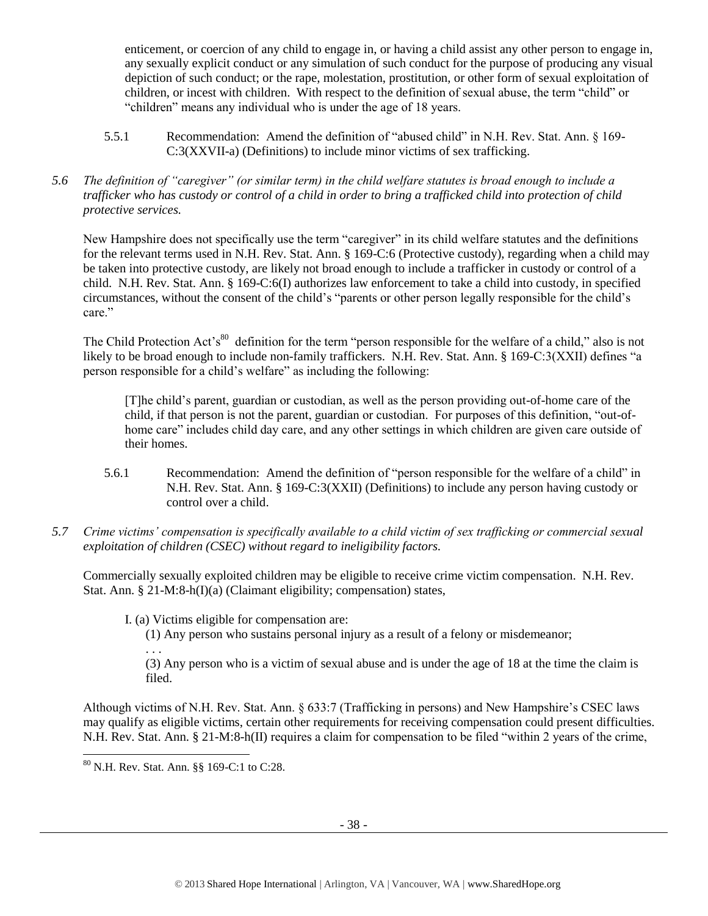enticement, or coercion of any child to engage in, or having a child assist any other person to engage in, any sexually explicit conduct or any simulation of such conduct for the purpose of producing any visual depiction of such conduct; or the rape, molestation, prostitution, or other form of sexual exploitation of children, or incest with children. With respect to the definition of sexual abuse, the term "child" or "children" means any individual who is under the age of 18 years.

- 5.5.1 Recommendation: Amend the definition of "abused child" in N.H. Rev. Stat. Ann. § 169- C:3(XXVII-a) (Definitions) to include minor victims of sex trafficking.
- *5.6 The definition of "caregiver" (or similar term) in the child welfare statutes is broad enough to include a trafficker who has custody or control of a child in order to bring a trafficked child into protection of child protective services.*

New Hampshire does not specifically use the term "caregiver" in its child welfare statutes and the definitions for the relevant terms used in N.H. Rev. Stat. Ann. § 169-C:6 (Protective custody), regarding when a child may be taken into protective custody, are likely not broad enough to include a trafficker in custody or control of a child. N.H. Rev. Stat. Ann. § 169-C:6(I) authorizes law enforcement to take a child into custody, in specified circumstances, without the consent of the child's "parents or other person legally responsible for the child's care."

The Child Protection Act's<sup>80</sup> definition for the term "person responsible for the welfare of a child," also is not likely to be broad enough to include non-family traffickers. N.H. Rev. Stat. Ann. § 169-C:3(XXII) defines "a person responsible for a child's welfare" as including the following:

[T]he child's parent, guardian or custodian, as well as the person providing out-of-home care of the child, if that person is not the parent, guardian or custodian. For purposes of this definition, "out-ofhome care" includes child day care, and any other settings in which children are given care outside of their homes.

- 5.6.1 Recommendation: Amend the definition of "person responsible for the welfare of a child" in N.H. Rev. Stat. Ann. § 169-C:3(XXII) (Definitions) to include any person having custody or control over a child.
- *5.7 Crime victims' compensation is specifically available to a child victim of sex trafficking or commercial sexual exploitation of children (CSEC) without regard to ineligibility factors.*

Commercially sexually exploited children may be eligible to receive crime victim compensation. N.H. Rev. Stat. Ann. § 21-M:8-h(I)(a) (Claimant eligibility; compensation) states,

I. (a) Victims eligible for compensation are:

(1) Any person who sustains personal injury as a result of a felony or misdemeanor;

(3) Any person who is a victim of sexual abuse and is under the age of 18 at the time the claim is filed.

Although victims of N.H. Rev. Stat. Ann. § 633:7 (Trafficking in persons) and New Hampshire's CSEC laws may qualify as eligible victims, certain other requirements for receiving compensation could present difficulties. N.H. Rev. Stat. Ann. § 21-M:8-h(II) requires a claim for compensation to be filed "within 2 years of the crime,

. . .

<sup>80</sup> N.H. Rev. Stat. Ann. §§ 169-C:1 to C:28.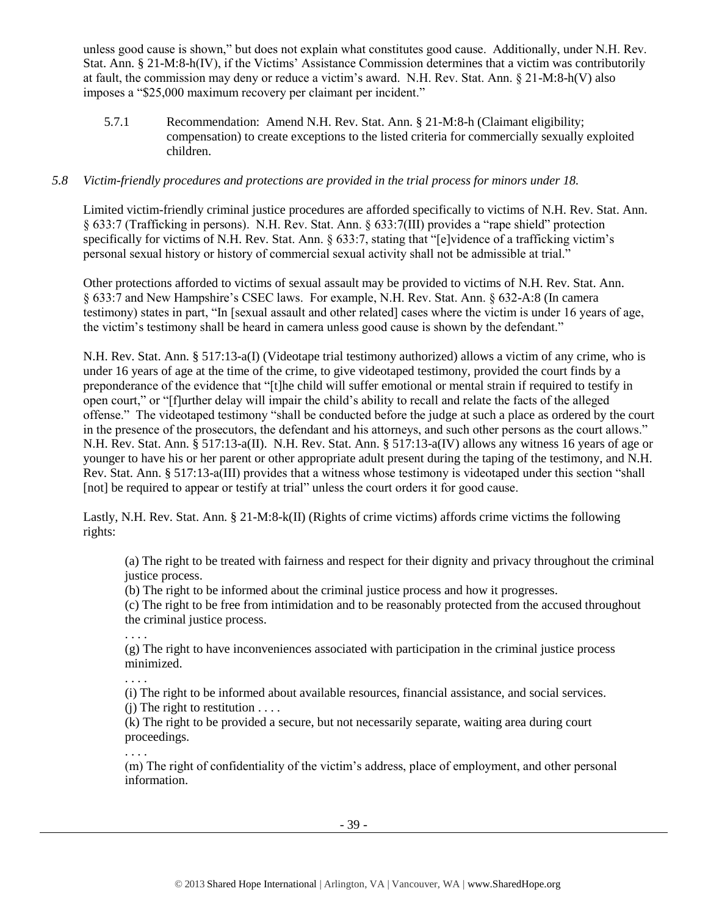unless good cause is shown," but does not explain what constitutes good cause. Additionally, under N.H. Rev. Stat. Ann. § 21-M:8-h(IV), if the Victims' Assistance Commission determines that a victim was contributorily at fault, the commission may deny or reduce a victim's award. N.H. Rev. Stat. Ann. § 21-M:8-h(V) also imposes a "\$25,000 maximum recovery per claimant per incident."

5.7.1 Recommendation: Amend N.H. Rev. Stat. Ann. § 21-M:8-h (Claimant eligibility; compensation) to create exceptions to the listed criteria for commercially sexually exploited children.

## *5.8 Victim-friendly procedures and protections are provided in the trial process for minors under 18.*

Limited victim-friendly criminal justice procedures are afforded specifically to victims of N.H. Rev. Stat. Ann. § 633:7 (Trafficking in persons). N.H. Rev. Stat. Ann. § 633:7(III) provides a "rape shield" protection specifically for victims of N.H. Rev. Stat. Ann. § 633:7, stating that "[e]vidence of a trafficking victim's personal sexual history or history of commercial sexual activity shall not be admissible at trial."

Other protections afforded to victims of sexual assault may be provided to victims of N.H. Rev. Stat. Ann. § 633:7 and New Hampshire's CSEC laws. For example, N.H. Rev. Stat. Ann. § 632-A:8 (In camera testimony) states in part, "In [sexual assault and other related] cases where the victim is under 16 years of age, the victim's testimony shall be heard in camera unless good cause is shown by the defendant."

N.H. Rev. Stat. Ann. § 517:13-a(I) (Videotape trial testimony authorized) allows a victim of any crime, who is under 16 years of age at the time of the crime, to give videotaped testimony, provided the court finds by a preponderance of the evidence that "[t]he child will suffer emotional or mental strain if required to testify in open court," or "[f]urther delay will impair the child's ability to recall and relate the facts of the alleged offense." The videotaped testimony "shall be conducted before the judge at such a place as ordered by the court in the presence of the prosecutors, the defendant and his attorneys, and such other persons as the court allows." N.H. Rev. Stat. Ann. § 517:13-a(II). N.H. Rev. Stat. Ann. § 517:13-a(IV) allows any witness 16 years of age or younger to have his or her parent or other appropriate adult present during the taping of the testimony, and N.H. Rev. Stat. Ann. § 517:13-a(III) provides that a witness whose testimony is videotaped under this section "shall [not] be required to appear or testify at trial" unless the court orders it for good cause.

Lastly, N.H. Rev. Stat. Ann. § 21-M:8-k(II) (Rights of crime victims) affords crime victims the following rights:

(a) The right to be treated with fairness and respect for their dignity and privacy throughout the criminal justice process.

(b) The right to be informed about the criminal justice process and how it progresses.

(c) The right to be free from intimidation and to be reasonably protected from the accused throughout the criminal justice process.

. . . .

(g) The right to have inconveniences associated with participation in the criminal justice process minimized.

. . . . (i) The right to be informed about available resources, financial assistance, and social services.

 $(i)$  The right to restitution  $\dots$ .

(k) The right to be provided a secure, but not necessarily separate, waiting area during court proceedings.

. . . .

(m) The right of confidentiality of the victim's address, place of employment, and other personal information.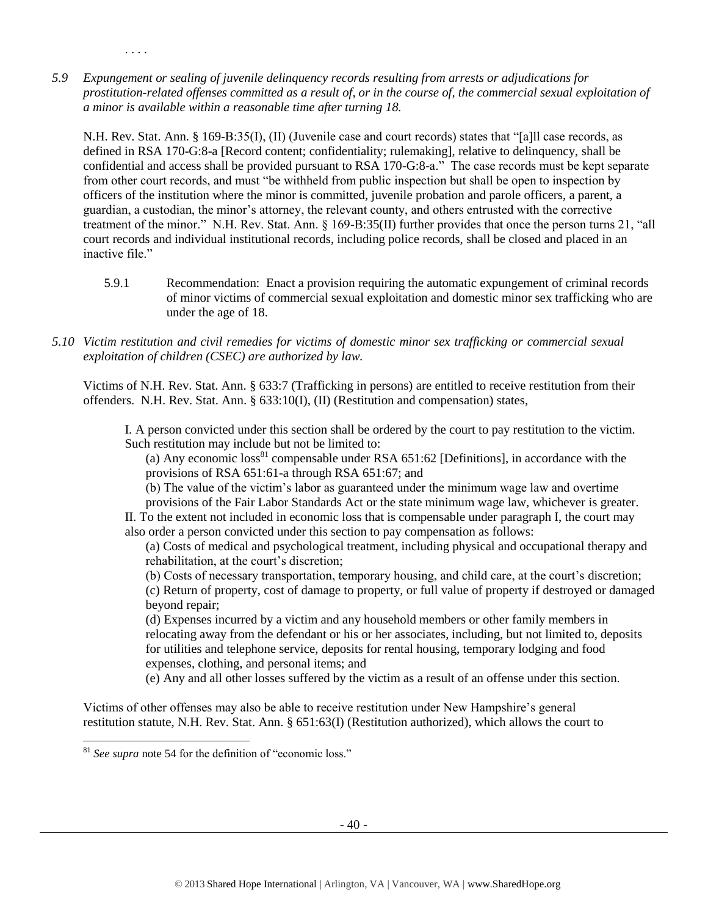*5.9 Expungement or sealing of juvenile delinquency records resulting from arrests or adjudications for prostitution-related offenses committed as a result of, or in the course of, the commercial sexual exploitation of a minor is available within a reasonable time after turning 18.*

N.H. Rev. Stat. Ann. § 169-B:35(I), (II) (Juvenile case and court records) states that "[a]ll case records, as defined in RSA 170-G:8-a [Record content; confidentiality; rulemaking], relative to delinquency, shall be confidential and access shall be provided pursuant to RSA 170-G:8-a." The case records must be kept separate from other court records, and must "be withheld from public inspection but shall be open to inspection by officers of the institution where the minor is committed, juvenile probation and parole officers, a parent, a guardian, a custodian, the minor's attorney, the relevant county, and others entrusted with the corrective treatment of the minor." N.H. Rev. Stat. Ann. § 169-B:35(II) further provides that once the person turns 21, "all court records and individual institutional records, including police records, shall be closed and placed in an inactive file."

- 5.9.1 Recommendation: Enact a provision requiring the automatic expungement of criminal records of minor victims of commercial sexual exploitation and domestic minor sex trafficking who are under the age of 18.
- *5.10 Victim restitution and civil remedies for victims of domestic minor sex trafficking or commercial sexual exploitation of children (CSEC) are authorized by law.*

Victims of N.H. Rev. Stat. Ann. § 633:7 (Trafficking in persons) are entitled to receive restitution from their offenders. N.H. Rev. Stat. Ann. § 633:10(I), (II) (Restitution and compensation) states,

I. A person convicted under this section shall be ordered by the court to pay restitution to the victim. Such restitution may include but not be limited to:

(a) Any economic  $loss<sup>81</sup>$  compensable under RSA 651:62 [Definitions], in accordance with the provisions of RSA 651:61-a through RSA 651:67; and

(b) The value of the victim's labor as guaranteed under the minimum wage law and overtime provisions of the Fair Labor Standards Act or the state minimum wage law, whichever is greater.

II. To the extent not included in economic loss that is compensable under paragraph I, the court may also order a person convicted under this section to pay compensation as follows:

(a) Costs of medical and psychological treatment, including physical and occupational therapy and rehabilitation, at the court's discretion;

(b) Costs of necessary transportation, temporary housing, and child care, at the court's discretion; (c) Return of property, cost of damage to property, or full value of property if destroyed or damaged beyond repair;

(d) Expenses incurred by a victim and any household members or other family members in relocating away from the defendant or his or her associates, including, but not limited to, deposits for utilities and telephone service, deposits for rental housing, temporary lodging and food expenses, clothing, and personal items; and

(e) Any and all other losses suffered by the victim as a result of an offense under this section.

Victims of other offenses may also be able to receive restitution under New Hampshire's general restitution statute, N.H. Rev. Stat. Ann. § 651:63(I) (Restitution authorized), which allows the court to

 $\overline{\phantom{a}}$ 

. . . .

<sup>81</sup> *See supra* note [54](#page-20-0) for the definition of "economic loss."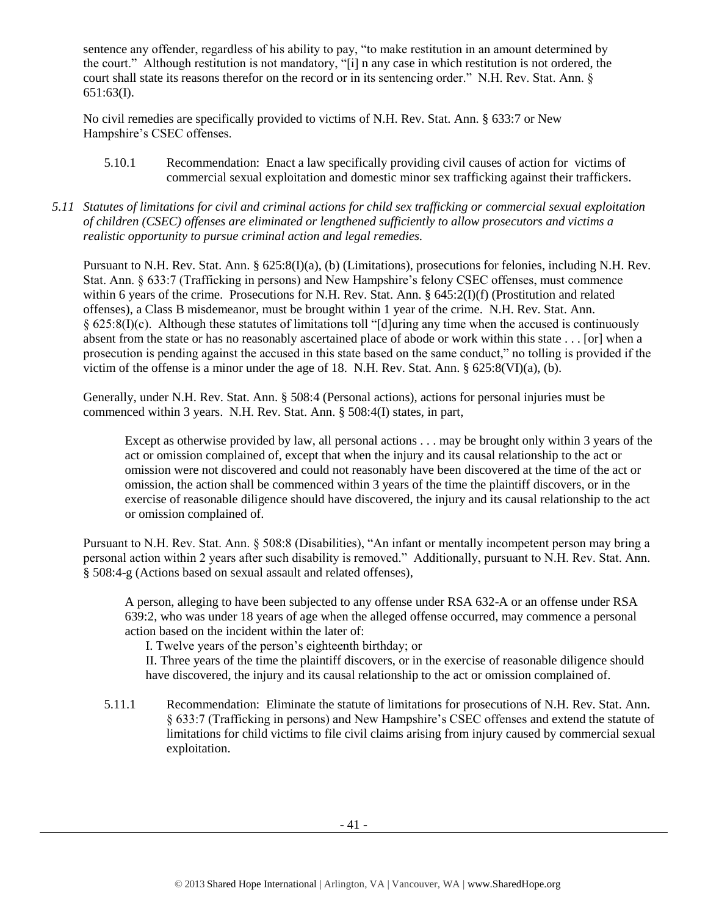sentence any offender, regardless of his ability to pay, "to make restitution in an amount determined by the court." Although restitution is not mandatory, "[i] n any case in which restitution is not ordered, the court shall state its reasons therefor on the record or in its sentencing order." N.H. Rev. Stat. Ann. § 651:63(I).

No civil remedies are specifically provided to victims of N.H. Rev. Stat. Ann. § 633:7 or New Hampshire's CSEC offenses.

- 5.10.1 Recommendation: Enact a law specifically providing civil causes of action for victims of commercial sexual exploitation and domestic minor sex trafficking against their traffickers.
- *5.11 Statutes of limitations for civil and criminal actions for child sex trafficking or commercial sexual exploitation of children (CSEC) offenses are eliminated or lengthened sufficiently to allow prosecutors and victims a realistic opportunity to pursue criminal action and legal remedies.*

Pursuant to N.H. Rev. Stat. Ann. § 625:8(I)(a), (b) (Limitations), prosecutions for felonies, including N.H. Rev. Stat. Ann. § 633:7 (Trafficking in persons) and New Hampshire's felony CSEC offenses, must commence within 6 years of the crime. Prosecutions for N.H. Rev. Stat. Ann. § 645:2(I)(f) (Prostitution and related offenses), a Class B misdemeanor, must be brought within 1 year of the crime. N.H. Rev. Stat. Ann. § 625:8(I)(c). Although these statutes of limitations toll "[d]uring any time when the accused is continuously absent from the state or has no reasonably ascertained place of abode or work within this state . . . [or] when a prosecution is pending against the accused in this state based on the same conduct," no tolling is provided if the victim of the offense is a minor under the age of 18. N.H. Rev. Stat. Ann. § 625:8(VI)(a), (b).

Generally, under N.H. Rev. Stat. Ann. § 508:4 (Personal actions), actions for personal injuries must be commenced within 3 years. N.H. Rev. Stat. Ann. § 508:4(I) states, in part,

Except as otherwise provided by law, all personal actions . . . may be brought only within 3 years of the act or omission complained of, except that when the injury and its causal relationship to the act or omission were not discovered and could not reasonably have been discovered at the time of the act or omission, the action shall be commenced within 3 years of the time the plaintiff discovers, or in the exercise of reasonable diligence should have discovered, the injury and its causal relationship to the act or omission complained of.

Pursuant to N.H. Rev. Stat. Ann. § 508:8 (Disabilities), "An infant or mentally incompetent person may bring a personal action within 2 years after such disability is removed." Additionally, pursuant to N.H. Rev. Stat. Ann. § 508:4-g (Actions based on sexual assault and related offenses),

A person, alleging to have been subjected to any offense under RSA 632-A or an offense under RSA 639:2, who was under 18 years of age when the alleged offense occurred, may commence a personal action based on the incident within the later of:

I. Twelve years of the person's eighteenth birthday; or

II. Three years of the time the plaintiff discovers, or in the exercise of reasonable diligence should have discovered, the injury and its causal relationship to the act or omission complained of.

5.11.1 Recommendation: Eliminate the statute of limitations for prosecutions of N.H. Rev. Stat. Ann. § 633:7 (Trafficking in persons) and New Hampshire's CSEC offenses and extend the statute of limitations for child victims to file civil claims arising from injury caused by commercial sexual exploitation.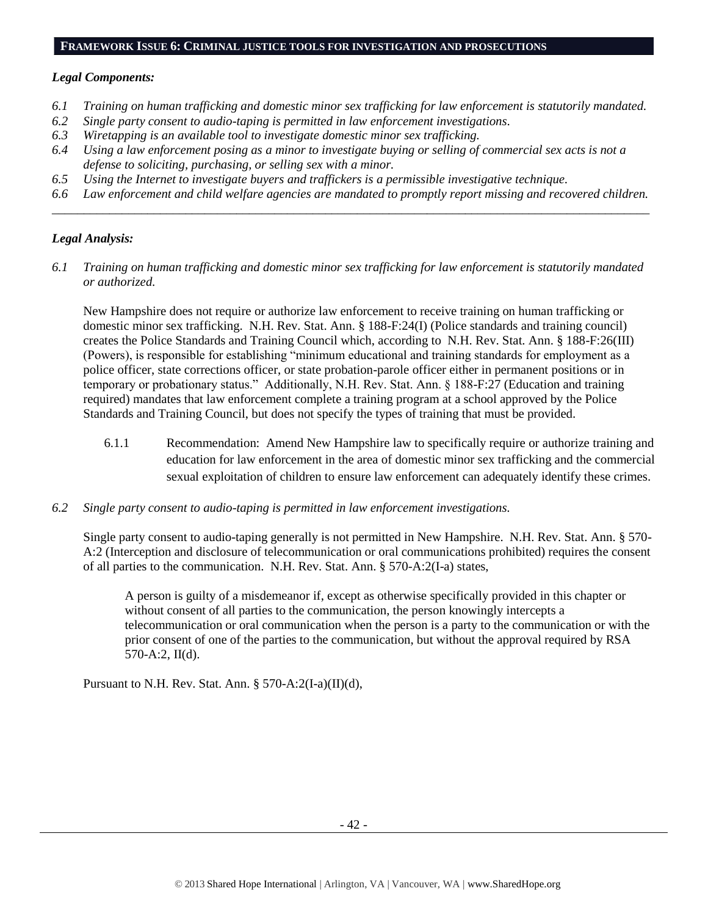#### **FRAMEWORK ISSUE 6: CRIMINAL JUSTICE TOOLS FOR INVESTIGATION AND PROSECUTIONS**

#### *Legal Components:*

- *6.1 Training on human trafficking and domestic minor sex trafficking for law enforcement is statutorily mandated.*
- *6.2 Single party consent to audio-taping is permitted in law enforcement investigations.*
- *6.3 Wiretapping is an available tool to investigate domestic minor sex trafficking.*
- *6.4 Using a law enforcement posing as a minor to investigate buying or selling of commercial sex acts is not a defense to soliciting, purchasing, or selling sex with a minor.*
- *6.5 Using the Internet to investigate buyers and traffickers is a permissible investigative technique.*
- *6.6 Law enforcement and child welfare agencies are mandated to promptly report missing and recovered children. \_\_\_\_\_\_\_\_\_\_\_\_\_\_\_\_\_\_\_\_\_\_\_\_\_\_\_\_\_\_\_\_\_\_\_\_\_\_\_\_\_\_\_\_\_\_\_\_\_\_\_\_\_\_\_\_\_\_\_\_\_\_\_\_\_\_\_\_\_\_\_\_\_\_\_\_\_\_\_\_\_\_\_\_\_\_\_\_\_\_\_\_\_\_*

## *Legal Analysis:*

*6.1 Training on human trafficking and domestic minor sex trafficking for law enforcement is statutorily mandated or authorized.*

New Hampshire does not require or authorize law enforcement to receive training on human trafficking or domestic minor sex trafficking. N.H. Rev. Stat. Ann. § 188-F:24(I) (Police standards and training council) creates the Police Standards and Training Council which, according to N.H. Rev. Stat. Ann. § 188-F:26(III) (Powers), is responsible for establishing "minimum educational and training standards for employment as a police officer, state corrections officer, or state probation-parole officer either in permanent positions or in temporary or probationary status." Additionally, N.H. Rev. Stat. Ann. § 188-F:27 (Education and training required) mandates that law enforcement complete a training program at a school approved by the Police Standards and Training Council, but does not specify the types of training that must be provided.

- 6.1.1 Recommendation: Amend New Hampshire law to specifically require or authorize training and education for law enforcement in the area of domestic minor sex trafficking and the commercial sexual exploitation of children to ensure law enforcement can adequately identify these crimes.
- *6.2 Single party consent to audio-taping is permitted in law enforcement investigations.*

Single party consent to audio-taping generally is not permitted in New Hampshire. N.H. Rev. Stat. Ann. § 570- A:2 (Interception and disclosure of telecommunication or oral communications prohibited) requires the consent of all parties to the communication. N.H. Rev. Stat. Ann. § 570-A:2(I-a) states,

A person is guilty of a misdemeanor if, except as otherwise specifically provided in this chapter or without consent of all parties to the communication, the person knowingly intercepts a telecommunication or oral communication when the person is a party to the communication or with the prior consent of one of the parties to the communication, but without the approval required by RSA 570-A:2, II(d).

Pursuant to N.H. Rev. Stat. Ann. § 570-A:2(I-a)(II)(d),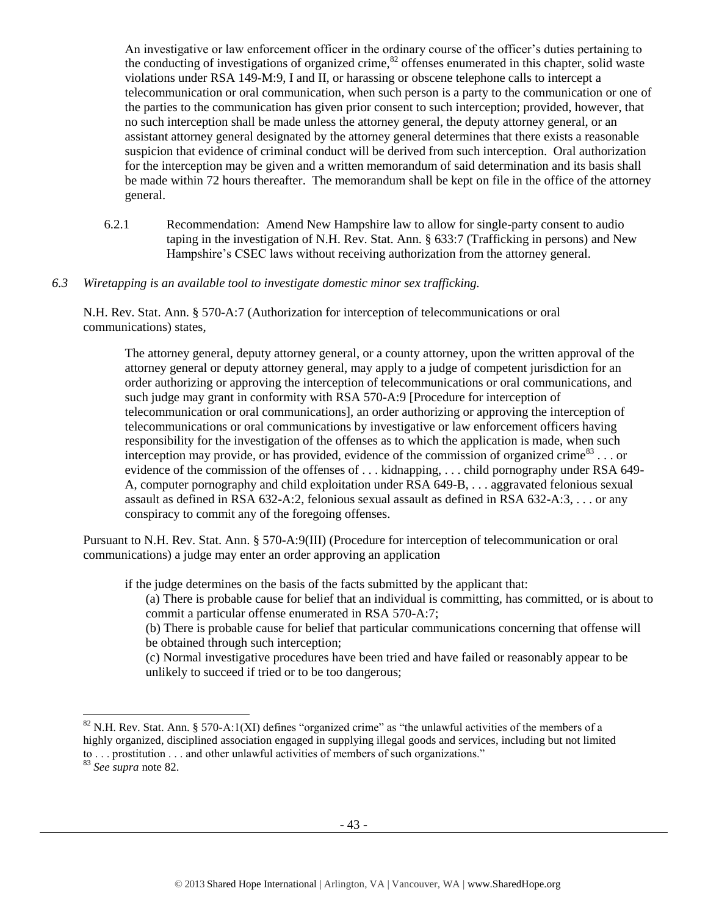<span id="page-42-0"></span>An investigative or law enforcement officer in the ordinary course of the officer's duties pertaining to the conducting of investigations of organized crime, $82$  offenses enumerated in this chapter, solid waste violations under RSA 149-M:9, I and II, or harassing or obscene telephone calls to intercept a telecommunication or oral communication, when such person is a party to the communication or one of the parties to the communication has given prior consent to such interception; provided, however, that no such interception shall be made unless the attorney general, the deputy attorney general, or an assistant attorney general designated by the attorney general determines that there exists a reasonable suspicion that evidence of criminal conduct will be derived from such interception. Oral authorization for the interception may be given and a written memorandum of said determination and its basis shall be made within 72 hours thereafter. The memorandum shall be kept on file in the office of the attorney general.

- 6.2.1 Recommendation: Amend New Hampshire law to allow for single-party consent to audio taping in the investigation of N.H. Rev. Stat. Ann. § 633:7 (Trafficking in persons) and New Hampshire's CSEC laws without receiving authorization from the attorney general.
- *6.3 Wiretapping is an available tool to investigate domestic minor sex trafficking.*

N.H. Rev. Stat. Ann. § 570-A:7 (Authorization for interception of telecommunications or oral communications) states,

The attorney general, deputy attorney general, or a county attorney, upon the written approval of the attorney general or deputy attorney general, may apply to a judge of competent jurisdiction for an order authorizing or approving the interception of telecommunications or oral communications, and such judge may grant in conformity with RSA 570-A:9 [Procedure for interception of telecommunication or oral communications], an order authorizing or approving the interception of telecommunications or oral communications by investigative or law enforcement officers having responsibility for the investigation of the offenses as to which the application is made, when such interception may provide, or has provided, evidence of the commission of organized crime<sup>83</sup>... or evidence of the commission of the offenses of ... kidnapping, ... child pornography under RSA 649-A, computer pornography and child exploitation under RSA 649-B, . . . aggravated felonious sexual assault as defined in RSA 632-A:2, felonious sexual assault as defined in RSA 632-A:3, . . . or any conspiracy to commit any of the foregoing offenses.

Pursuant to N.H. Rev. Stat. Ann. § 570-A:9(III) (Procedure for interception of telecommunication or oral communications) a judge may enter an order approving an application

if the judge determines on the basis of the facts submitted by the applicant that:

(a) There is probable cause for belief that an individual is committing, has committed, or is about to commit a particular offense enumerated in RSA 570-A:7;

(b) There is probable cause for belief that particular communications concerning that offense will be obtained through such interception;

(c) Normal investigative procedures have been tried and have failed or reasonably appear to be unlikely to succeed if tried or to be too dangerous;

 $\overline{a}$ 

<sup>&</sup>lt;sup>82</sup> N.H. Rev. Stat. Ann. § 570-A:1(XI) defines "organized crime" as "the unlawful activities of the members of a highly organized, disciplined association engaged in supplying illegal goods and services, including but not limited to . . . prostitution . . . and other unlawful activities of members of such organizations."

<sup>83</sup> *See supra* note [82.](#page-42-0)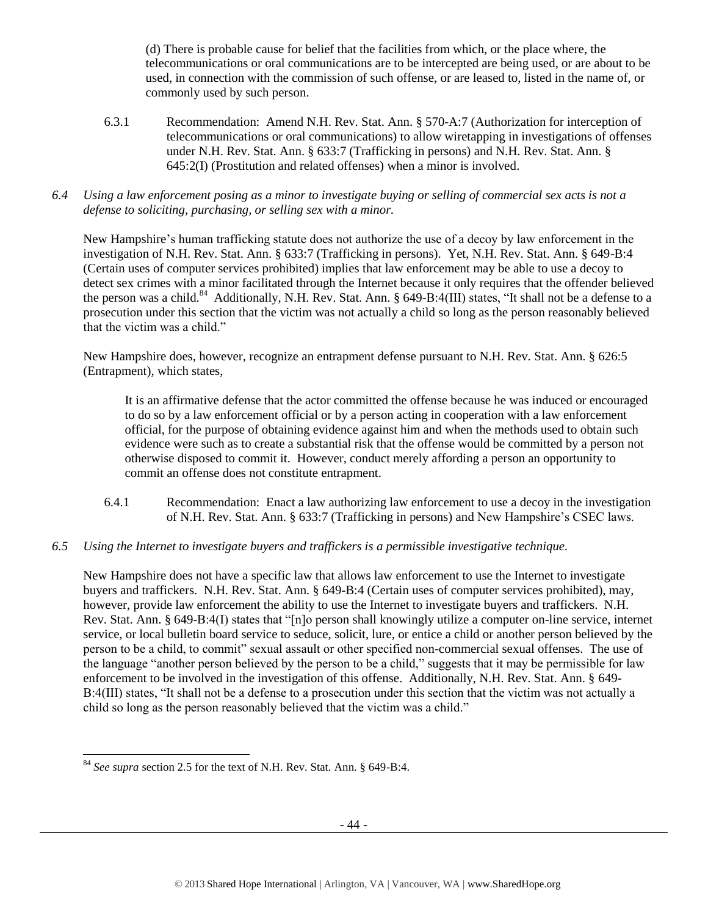(d) There is probable cause for belief that the facilities from which, or the place where, the telecommunications or oral communications are to be intercepted are being used, or are about to be used, in connection with the commission of such offense, or are leased to, listed in the name of, or commonly used by such person.

- 6.3.1 Recommendation: Amend N.H. Rev. Stat. Ann. § 570-A:7 (Authorization for interception of telecommunications or oral communications) to allow wiretapping in investigations of offenses under N.H. Rev. Stat. Ann. § 633:7 (Trafficking in persons) and N.H. Rev. Stat. Ann. § 645:2(I) (Prostitution and related offenses) when a minor is involved.
- *6.4 Using a law enforcement posing as a minor to investigate buying or selling of commercial sex acts is not a defense to soliciting, purchasing, or selling sex with a minor.*

New Hampshire's human trafficking statute does not authorize the use of a decoy by law enforcement in the investigation of N.H. Rev. Stat. Ann. § 633:7 (Trafficking in persons). Yet, N.H. Rev. Stat. Ann. § 649-B:4 (Certain uses of computer services prohibited) implies that law enforcement may be able to use a decoy to detect sex crimes with a minor facilitated through the Internet because it only requires that the offender believed the person was a child.<sup>84</sup> Additionally, N.H. Rev. Stat. Ann. § 649-B:4(III) states, "It shall not be a defense to a prosecution under this section that the victim was not actually a child so long as the person reasonably believed that the victim was a child."

New Hampshire does, however, recognize an entrapment defense pursuant to N.H. Rev. Stat. Ann. § 626:5 (Entrapment), which states,

It is an affirmative defense that the actor committed the offense because he was induced or encouraged to do so by a law enforcement official or by a person acting in cooperation with a law enforcement official, for the purpose of obtaining evidence against him and when the methods used to obtain such evidence were such as to create a substantial risk that the offense would be committed by a person not otherwise disposed to commit it. However, conduct merely affording a person an opportunity to commit an offense does not constitute entrapment.

- 6.4.1 Recommendation: Enact a law authorizing law enforcement to use a decoy in the investigation of N.H. Rev. Stat. Ann. § 633:7 (Trafficking in persons) and New Hampshire's CSEC laws.
- *6.5 Using the Internet to investigate buyers and traffickers is a permissible investigative technique.*

New Hampshire does not have a specific law that allows law enforcement to use the Internet to investigate buyers and traffickers. N.H. Rev. Stat. Ann. § 649-B:4 (Certain uses of computer services prohibited), may, however, provide law enforcement the ability to use the Internet to investigate buyers and traffickers. N.H. Rev. Stat. Ann. § 649-B:4(I) states that "[n]o person shall knowingly utilize a computer on-line service, internet service, or local bulletin board service to seduce, solicit, lure, or entice a child or another person believed by the person to be a child, to commit" sexual assault or other specified non-commercial sexual offenses. The use of the language "another person believed by the person to be a child," suggests that it may be permissible for law enforcement to be involved in the investigation of this offense. Additionally, N.H. Rev. Stat. Ann. § 649- B:4(III) states, "It shall not be a defense to a prosecution under this section that the victim was not actually a child so long as the person reasonably believed that the victim was a child."

<sup>84</sup> *See supra* section 2.5 for the text of N.H. Rev. Stat. Ann. § 649-B:4.